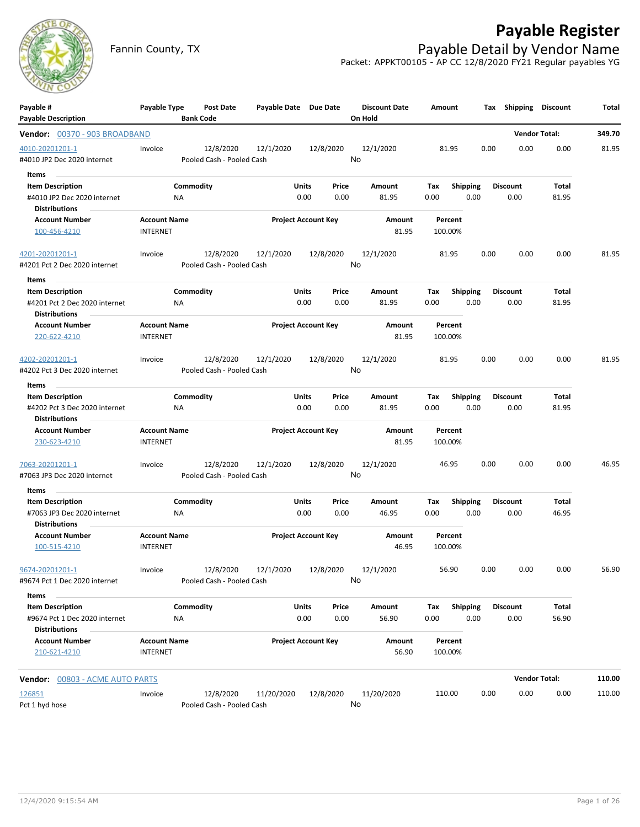

## **Payable Register**

Fannin County, TX **Payable Detail by Vendor Name** Packet: APPKT00105 - AP CC 12/8/2020 FY21 Regular payables YG

| Payable #                             | Payable Type                           | Post Date                 | Payable Date Due Date           |                            | <b>Discount Date</b> | Amount             |                 | Tax Shipping    | Discount             | Total  |
|---------------------------------------|----------------------------------------|---------------------------|---------------------------------|----------------------------|----------------------|--------------------|-----------------|-----------------|----------------------|--------|
| <b>Payable Description</b>            |                                        | <b>Bank Code</b>          |                                 |                            | On Hold              |                    |                 |                 |                      |        |
| Vendor: 00370 - 903 BROADBAND         |                                        |                           |                                 |                            |                      |                    |                 |                 | <b>Vendor Total:</b> | 349.70 |
| 4010-20201201-1                       | Invoice                                | 12/8/2020                 | 12/1/2020                       | 12/8/2020                  | 12/1/2020            | 81.95              |                 | 0.00<br>0.00    | 0.00                 | 81.95  |
| #4010 JP2 Dec 2020 internet           |                                        | Pooled Cash - Pooled Cash |                                 |                            | No                   |                    |                 |                 |                      |        |
| Items                                 |                                        |                           |                                 |                            |                      |                    |                 |                 |                      |        |
| <b>Item Description</b>               |                                        | Commodity                 |                                 | Units<br>Price             | Amount               | Tax                | Shipping        | <b>Discount</b> | Total                |        |
| #4010 JP2 Dec 2020 internet           | ΝA                                     |                           |                                 | 0.00<br>0.00               | 81.95                | 0.00               | 0.00            | 0.00            | 81.95                |        |
| <b>Distributions</b>                  |                                        |                           |                                 |                            |                      |                    |                 |                 |                      |        |
| <b>Account Number</b>                 | <b>Account Name</b>                    |                           |                                 | <b>Project Account Key</b> | Amount               | Percent            |                 |                 |                      |        |
| 100-456-4210                          | <b>INTERNET</b>                        |                           |                                 |                            | 81.95                | 100.00%            |                 |                 |                      |        |
| 4201-20201201-1                       | Invoice                                | 12/8/2020                 | 12/1/2020                       | 12/8/2020                  | 12/1/2020            | 81.95              |                 | 0.00<br>0.00    | 0.00                 | 81.95  |
| #4201 Pct 2 Dec 2020 internet         |                                        | Pooled Cash - Pooled Cash |                                 |                            | No                   |                    |                 |                 |                      |        |
| ltems                                 |                                        |                           |                                 |                            |                      |                    |                 |                 |                      |        |
| <b>Item Description</b>               |                                        | Commodity                 |                                 | Units<br>Price             | Amount               | Tax                | <b>Shipping</b> | <b>Discount</b> | Total                |        |
| #4201 Pct 2 Dec 2020 internet         | ΝA                                     |                           |                                 | 0.00<br>0.00               | 81.95                | 0.00               | 0.00            | 0.00            | 81.95                |        |
| <b>Distributions</b>                  |                                        |                           |                                 |                            |                      |                    |                 |                 |                      |        |
| <b>Account Number</b>                 | <b>Account Name</b>                    |                           |                                 | <b>Project Account Key</b> | Amount               | Percent            |                 |                 |                      |        |
| 220-622-4210                          | <b>INTERNET</b>                        |                           |                                 |                            | 81.95                | 100.00%            |                 |                 |                      |        |
| 4202-20201201-1                       | Invoice                                | 12/8/2020                 | 12/1/2020                       | 12/8/2020                  | 12/1/2020            | 81.95              |                 | 0.00<br>0.00    | 0.00                 | 81.95  |
| #4202 Pct 3 Dec 2020 internet         |                                        | Pooled Cash - Pooled Cash |                                 |                            | No                   |                    |                 |                 |                      |        |
| Items                                 |                                        |                           |                                 |                            |                      |                    |                 |                 |                      |        |
| <b>Item Description</b>               |                                        | Commodity                 |                                 | <b>Units</b><br>Price      | Amount               | Tax                | <b>Shipping</b> | <b>Discount</b> | Total                |        |
| #4202 Pct 3 Dec 2020 internet         | NA                                     |                           |                                 | 0.00<br>0.00               | 81.95                | 0.00               | 0.00            | 0.00            | 81.95                |        |
| <b>Distributions</b>                  |                                        |                           |                                 |                            |                      |                    |                 |                 |                      |        |
| <b>Account Number</b>                 | <b>Account Name</b>                    |                           |                                 | <b>Project Account Key</b> | Amount               | Percent            |                 |                 |                      |        |
| 230-623-4210                          | <b>INTERNET</b>                        |                           |                                 |                            | 81.95                | 100.00%            |                 |                 |                      |        |
| 7063-20201201-1                       | Invoice                                | 12/8/2020                 | 12/1/2020                       | 12/8/2020                  | 12/1/2020            | 46.95              |                 | 0.00<br>0.00    | 0.00                 | 46.95  |
| #7063 JP3 Dec 2020 internet           |                                        | Pooled Cash - Pooled Cash |                                 |                            | No                   |                    |                 |                 |                      |        |
| Items                                 |                                        |                           |                                 |                            |                      |                    |                 |                 |                      |        |
| <b>Item Description</b>               |                                        | Commodity                 |                                 | Units<br>Price             | Amount               | Tax                | <b>Shipping</b> | <b>Discount</b> | Total                |        |
| #7063 JP3 Dec 2020 internet           | ΝA                                     |                           |                                 | 0.00<br>0.00               | 46.95                | 0.00               | 0.00            | 0.00            | 46.95                |        |
| <b>Distributions</b>                  |                                        |                           |                                 |                            |                      |                    |                 |                 |                      |        |
| <b>Account Number</b><br>100-515-4210 | <b>Account Name</b><br><b>INTERNET</b> |                           |                                 | <b>Project Account Key</b> | Amount<br>46.95      | Percent<br>100.00% |                 |                 |                      |        |
| 9674-20201201-1                       | Invoice                                |                           | 12/8/2020  12/1/2020  12/8/2020 |                            | 12/1/2020            | 56.90              |                 | 0.00<br>0.00    | 0.00                 | 56.90  |
| #9674 Pct 1 Dec 2020 internet         |                                        | Pooled Cash - Pooled Cash |                                 |                            | No                   |                    |                 |                 |                      |        |
| Items                                 |                                        |                           |                                 |                            |                      |                    |                 |                 |                      |        |
| <b>Item Description</b>               |                                        | Commodity                 |                                 | <b>Units</b><br>Price      | Amount               | Tax                | Shipping        | <b>Discount</b> | Total                |        |
| #9674 Pct 1 Dec 2020 internet         | ΝA                                     |                           |                                 | 0.00<br>0.00               | 56.90                | 0.00               | 0.00            | 0.00            | 56.90                |        |
| <b>Distributions</b>                  |                                        |                           |                                 |                            |                      |                    |                 |                 |                      |        |
| <b>Account Number</b>                 | <b>Account Name</b>                    |                           |                                 | <b>Project Account Key</b> | Amount               | Percent            |                 |                 |                      |        |
| 210-621-4210                          | <b>INTERNET</b>                        |                           |                                 |                            | 56.90                | 100.00%            |                 |                 |                      |        |
| Vendor: 00803 - ACME AUTO PARTS       |                                        |                           |                                 |                            |                      |                    |                 |                 | <b>Vendor Total:</b> | 110.00 |
| 126851                                | Invoice                                | 12/8/2020                 | 11/20/2020                      | 12/8/2020                  | 11/20/2020           | 110.00             |                 | 0.00<br>0.00    | 0.00                 | 110.00 |
| Pct 1 hyd hose                        |                                        | Pooled Cash - Pooled Cash |                                 |                            | No                   |                    |                 |                 |                      |        |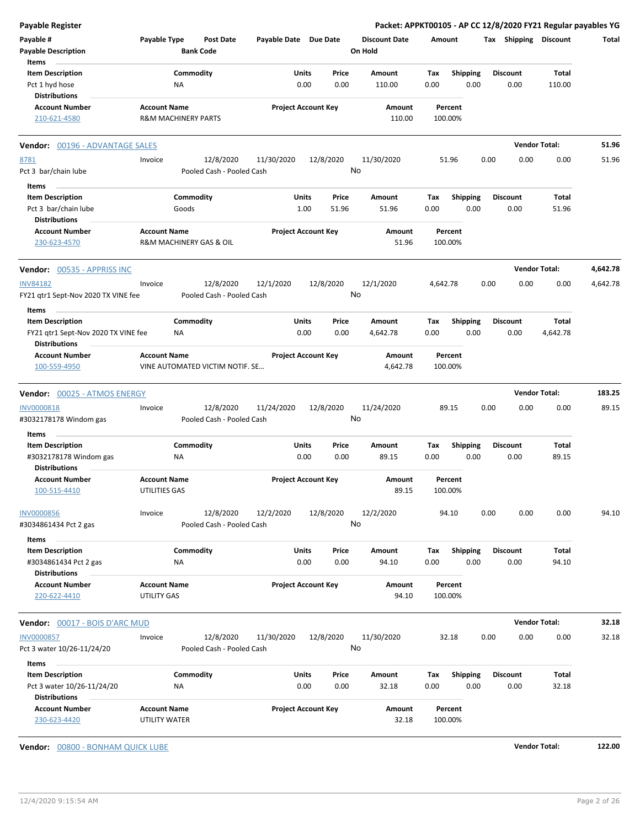| Total    |
|----------|
|          |
|          |
|          |
|          |
|          |
|          |
| 51.96    |
| 51.96    |
|          |
|          |
|          |
|          |
|          |
|          |
| 4,642.78 |
| 4,642.78 |
|          |
|          |
|          |
|          |
|          |
|          |
|          |
| 183.25   |
|          |
| 89.15    |
|          |
|          |
|          |
|          |
|          |
|          |
| 94.10    |
|          |
|          |
|          |
|          |
|          |
|          |
|          |
|          |
| 32.18    |
| 32.18    |
|          |
|          |
|          |
|          |
|          |
|          |
|          |

**Vendor:** 00800 - BONHAM QUICK LUBE **Vendor Total: 122.00**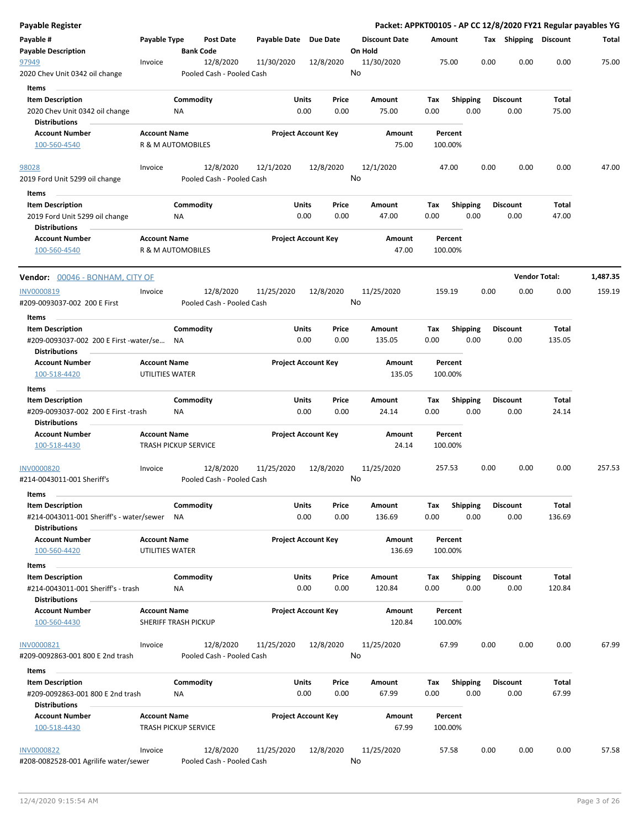| Payable Register                         |                                        |                              |                           |                       |                            |                                 |      |                    |      |                       |                      | Packet: APPKT00105 - AP CC 12/8/2020 FY21 Regular payables YG |
|------------------------------------------|----------------------------------------|------------------------------|---------------------------|-----------------------|----------------------------|---------------------------------|------|--------------------|------|-----------------------|----------------------|---------------------------------------------------------------|
| Payable #                                | Payable Type                           | <b>Bank Code</b>             | Post Date                 | Payable Date Due Date |                            | <b>Discount Date</b><br>On Hold |      | Amount             |      | Tax Shipping Discount |                      | Total                                                         |
| <b>Payable Description</b><br>97949      | Invoice                                |                              | 12/8/2020                 | 11/30/2020            | 12/8/2020                  | 11/30/2020                      |      | 75.00              | 0.00 | 0.00                  | 0.00                 | 75.00                                                         |
| 2020 Chev Unit 0342 oil change           |                                        |                              | Pooled Cash - Pooled Cash |                       |                            | No                              |      |                    |      |                       |                      |                                                               |
| Items                                    |                                        |                              |                           |                       |                            |                                 |      |                    |      |                       |                      |                                                               |
| <b>Item Description</b>                  |                                        | Commodity                    |                           | Units                 | Price                      | Amount                          | Tax  | <b>Shipping</b>    |      | <b>Discount</b>       | Total                |                                                               |
| 2020 Chev Unit 0342 oil change           |                                        | ΝA                           |                           |                       | 0.00<br>0.00               | 75.00                           | 0.00 | 0.00               |      | 0.00                  | 75.00                |                                                               |
| <b>Distributions</b>                     |                                        |                              |                           |                       |                            |                                 |      |                    |      |                       |                      |                                                               |
| <b>Account Number</b>                    | <b>Account Name</b>                    |                              |                           |                       | <b>Project Account Key</b> | <b>Amount</b>                   |      | Percent            |      |                       |                      |                                                               |
| 100-560-4540                             |                                        | <b>R &amp; M AUTOMOBILES</b> |                           |                       |                            | 75.00                           |      | 100.00%            |      |                       |                      |                                                               |
| 98028                                    | Invoice                                |                              | 12/8/2020                 | 12/1/2020             | 12/8/2020                  | 12/1/2020                       |      | 47.00              | 0.00 | 0.00                  | 0.00                 | 47.00                                                         |
| 2019 Ford Unit 5299 oil change           |                                        |                              | Pooled Cash - Pooled Cash |                       |                            | No                              |      |                    |      |                       |                      |                                                               |
| Items                                    |                                        |                              |                           |                       |                            |                                 |      |                    |      |                       |                      |                                                               |
| <b>Item Description</b>                  |                                        | Commodity                    |                           | Units                 | Price                      | Amount                          | Tax  | <b>Shipping</b>    |      | <b>Discount</b>       | Total                |                                                               |
| 2019 Ford Unit 5299 oil change           |                                        | NA                           |                           |                       | 0.00<br>0.00               | 47.00                           | 0.00 | 0.00               |      | 0.00                  | 47.00                |                                                               |
| <b>Distributions</b>                     |                                        |                              |                           |                       |                            |                                 |      |                    |      |                       |                      |                                                               |
| <b>Account Number</b>                    | <b>Account Name</b>                    |                              |                           |                       | <b>Project Account Key</b> | Amount                          |      | Percent            |      |                       |                      |                                                               |
| 100-560-4540                             |                                        | <b>R &amp; M AUTOMOBILES</b> |                           |                       |                            | 47.00                           |      | 100.00%            |      |                       |                      |                                                               |
| <b>Vendor:</b> 00046 - BONHAM, CITY OF   |                                        |                              |                           |                       |                            |                                 |      |                    |      |                       | <b>Vendor Total:</b> | 1,487.35                                                      |
| INV0000819                               | Invoice                                |                              | 12/8/2020                 | 11/25/2020            | 12/8/2020                  | 11/25/2020                      |      | 159.19             | 0.00 | 0.00                  | 0.00                 | 159.19                                                        |
| #209-0093037-002 200 E First             |                                        |                              | Pooled Cash - Pooled Cash |                       |                            | No                              |      |                    |      |                       |                      |                                                               |
| Items                                    |                                        |                              |                           |                       |                            |                                 |      |                    |      |                       |                      |                                                               |
| <b>Item Description</b>                  |                                        | Commodity                    |                           | Units                 | Price                      | Amount                          | Tax  | <b>Shipping</b>    |      | <b>Discount</b>       | Total                |                                                               |
| #209-0093037-002 200 E First -water/se   |                                        | <b>NA</b>                    |                           |                       | 0.00<br>0.00               | 135.05                          | 0.00 | 0.00               |      | 0.00                  | 135.05               |                                                               |
| <b>Distributions</b>                     |                                        |                              |                           |                       |                            |                                 |      |                    |      |                       |                      |                                                               |
| <b>Account Number</b>                    | <b>Account Name</b>                    |                              |                           |                       | <b>Project Account Key</b> | Amount                          |      | Percent            |      |                       |                      |                                                               |
| 100-518-4420                             | UTILITIES WATER                        |                              |                           |                       |                            | 135.05                          |      | 100.00%            |      |                       |                      |                                                               |
| <b>Items</b>                             |                                        |                              |                           |                       |                            |                                 |      |                    |      |                       |                      |                                                               |
| <b>Item Description</b>                  |                                        | Commodity                    |                           | Units                 | Price                      | Amount                          | Tax  | <b>Shipping</b>    |      | <b>Discount</b>       | Total                |                                                               |
| #209-0093037-002 200 E First -trash      |                                        | ΝA                           |                           |                       | 0.00<br>0.00               | 24.14                           | 0.00 | 0.00               |      | 0.00                  | 24.14                |                                                               |
| <b>Distributions</b>                     |                                        |                              |                           |                       |                            |                                 |      |                    |      |                       |                      |                                                               |
| <b>Account Number</b>                    | <b>Account Name</b>                    |                              |                           |                       | <b>Project Account Key</b> | Amount                          |      | Percent            |      |                       |                      |                                                               |
| 100-518-4430                             |                                        | <b>TRASH PICKUP SERVICE</b>  |                           |                       |                            | 24.14                           |      | 100.00%            |      |                       |                      |                                                               |
| <b>INV0000820</b>                        | Invoice                                |                              | 12/8/2020                 | 11/25/2020            | 12/8/2020                  | 11/25/2020                      |      | 257.53             | 0.00 | 0.00                  | 0.00                 | 257.53                                                        |
| #214-0043011-001 Sheriff's               |                                        |                              | Pooled Cash - Pooled Cash |                       |                            | No                              |      |                    |      |                       |                      |                                                               |
| Items                                    |                                        |                              |                           |                       |                            |                                 |      |                    |      |                       |                      |                                                               |
| <b>Item Description</b>                  |                                        | Commodity                    |                           | Units                 | Price                      | Amount                          | Tax  | <b>Shipping</b>    |      | Discount              | Total                |                                                               |
| #214-0043011-001 Sheriff's - water/sewer |                                        | ΝA                           |                           |                       | 0.00<br>0.00               | 136.69                          | 0.00 | 0.00               |      | 0.00                  | 136.69               |                                                               |
| <b>Distributions</b>                     |                                        |                              |                           |                       |                            |                                 |      |                    |      |                       |                      |                                                               |
| <b>Account Number</b><br>100-560-4420    | <b>Account Name</b><br>UTILITIES WATER |                              |                           |                       | <b>Project Account Key</b> | Amount<br>136.69                |      | Percent<br>100.00% |      |                       |                      |                                                               |
|                                          |                                        |                              |                           |                       |                            |                                 |      |                    |      |                       |                      |                                                               |
| Items<br><b>Item Description</b>         |                                        | Commodity                    |                           | Units                 | Price                      | Amount                          | Тах  | Shipping           |      | <b>Discount</b>       | Total                |                                                               |
| #214-0043011-001 Sheriff's - trash       |                                        | NA                           |                           |                       | 0.00<br>0.00               | 120.84                          | 0.00 | 0.00               |      | 0.00                  | 120.84               |                                                               |
| <b>Distributions</b>                     |                                        |                              |                           |                       |                            |                                 |      |                    |      |                       |                      |                                                               |
| <b>Account Number</b>                    | <b>Account Name</b>                    |                              |                           |                       | <b>Project Account Key</b> | Amount                          |      | Percent            |      |                       |                      |                                                               |
| 100-560-4430                             |                                        | SHERIFF TRASH PICKUP         |                           |                       |                            | 120.84                          |      | 100.00%            |      |                       |                      |                                                               |
| INV0000821                               | Invoice                                |                              | 12/8/2020                 | 11/25/2020            | 12/8/2020                  | 11/25/2020                      |      | 67.99              | 0.00 | 0.00                  | 0.00                 | 67.99                                                         |
| #209-0092863-001 800 E 2nd trash         |                                        |                              | Pooled Cash - Pooled Cash |                       |                            | No                              |      |                    |      |                       |                      |                                                               |
| Items                                    |                                        |                              |                           |                       |                            |                                 |      |                    |      |                       |                      |                                                               |
| <b>Item Description</b>                  |                                        | Commodity                    |                           | Units                 | Price                      | Amount                          | Tax  | <b>Shipping</b>    |      | Discount              | Total                |                                                               |
| #209-0092863-001 800 E 2nd trash         |                                        | ΝA                           |                           |                       | 0.00<br>0.00               | 67.99                           | 0.00 | 0.00               |      | 0.00                  | 67.99                |                                                               |
| <b>Distributions</b>                     |                                        |                              |                           |                       |                            |                                 |      |                    |      |                       |                      |                                                               |
| <b>Account Number</b><br>100-518-4430    | <b>Account Name</b>                    | <b>TRASH PICKUP SERVICE</b>  |                           |                       | <b>Project Account Key</b> | Amount<br>67.99                 |      | Percent<br>100.00% |      |                       |                      |                                                               |
| <b>INV0000822</b>                        | Invoice                                |                              | 12/8/2020                 | 11/25/2020            | 12/8/2020                  | 11/25/2020                      |      | 57.58              | 0.00 | 0.00                  | 0.00                 | 57.58                                                         |
| #208-0082528-001 Agrilife water/sewer    |                                        |                              | Pooled Cash - Pooled Cash |                       |                            | No                              |      |                    |      |                       |                      |                                                               |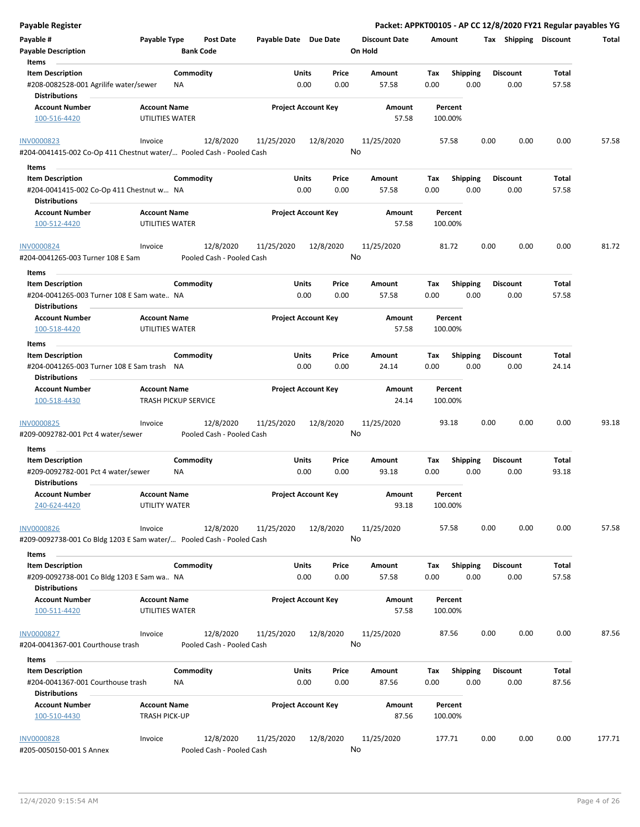| <b>Payable Register</b>                                                                   |                                                    |                                        |                       |                            | Packet: APPKT00105 - AP CC 12/8/2020 FY21 Regular payables YG |                    |                         |                         |      |                |        |
|-------------------------------------------------------------------------------------------|----------------------------------------------------|----------------------------------------|-----------------------|----------------------------|---------------------------------------------------------------|--------------------|-------------------------|-------------------------|------|----------------|--------|
| Payable #<br><b>Payable Description</b>                                                   | Payable Type                                       | <b>Post Date</b><br><b>Bank Code</b>   | Payable Date Due Date |                            | <b>Discount Date</b><br>On Hold                               | Amount             |                         | Tax Shipping Discount   |      |                | Total  |
| Items                                                                                     |                                                    |                                        |                       |                            |                                                               |                    |                         |                         |      |                |        |
| <b>Item Description</b>                                                                   |                                                    | Commodity                              | Units                 | Price                      | Amount                                                        | Tax                | <b>Shipping</b>         | <b>Discount</b>         |      | Total          |        |
| #208-0082528-001 Agrilife water/sewer<br><b>Distributions</b>                             | NA                                                 |                                        | 0.00                  | 0.00                       | 57.58                                                         | 0.00               | 0.00                    | 0.00                    |      | 57.58          |        |
| <b>Account Number</b><br>100-516-4420                                                     | <b>Account Name</b><br>UTILITIES WATER             |                                        |                       | <b>Project Account Key</b> | Amount<br>57.58                                               | Percent<br>100.00% |                         |                         |      |                |        |
| <b>INV0000823</b><br>#204-0041415-002 Co-Op 411 Chestnut water/ Pooled Cash - Pooled Cash | Invoice                                            | 12/8/2020                              | 11/25/2020            | 12/8/2020                  | 11/25/2020<br>No                                              | 57.58              |                         | 0.00                    | 0.00 | 0.00           | 57.58  |
| Items                                                                                     |                                                    |                                        |                       |                            |                                                               |                    |                         |                         |      |                |        |
| <b>Item Description</b>                                                                   |                                                    | Commodity                              | Units                 | Price                      | Amount                                                        | Tax                | <b>Shipping</b>         | <b>Discount</b>         |      | Total          |        |
| #204-0041415-002 Co-Op 411 Chestnut w NA<br><b>Distributions</b>                          |                                                    |                                        | 0.00                  | 0.00                       | 57.58                                                         | 0.00               | 0.00                    | 0.00                    |      | 57.58          |        |
| <b>Account Number</b>                                                                     | <b>Account Name</b>                                |                                        |                       | <b>Project Account Key</b> | Amount                                                        | Percent            |                         |                         |      |                |        |
| 100-512-4420                                                                              | UTILITIES WATER                                    |                                        |                       |                            | 57.58                                                         | 100.00%            |                         |                         |      |                |        |
| <b>INV0000824</b><br>#204-0041265-003 Turner 108 E Sam                                    | Invoice                                            | 12/8/2020<br>Pooled Cash - Pooled Cash | 11/25/2020            | 12/8/2020                  | 11/25/2020<br>No                                              | 81.72              |                         | 0.00                    | 0.00 | 0.00           | 81.72  |
| Items                                                                                     |                                                    |                                        |                       |                            |                                                               |                    |                         |                         |      |                |        |
| <b>Item Description</b><br>#204-0041265-003 Turner 108 E Sam wate NA                      |                                                    | Commodity                              | Units<br>0.00         | Price<br>0.00              | Amount<br>57.58                                               | Tax<br>0.00        | <b>Shipping</b><br>0.00 | <b>Discount</b><br>0.00 |      | Total<br>57.58 |        |
| <b>Distributions</b>                                                                      |                                                    |                                        |                       | <b>Project Account Key</b> |                                                               |                    |                         |                         |      |                |        |
| <b>Account Number</b><br>100-518-4420                                                     | <b>Account Name</b><br>UTILITIES WATER             |                                        |                       |                            | Amount<br>57.58                                               | Percent<br>100.00% |                         |                         |      |                |        |
| Items                                                                                     |                                                    |                                        |                       |                            |                                                               |                    |                         |                         |      |                |        |
| <b>Item Description</b>                                                                   |                                                    | Commodity                              | Units                 | Price                      | Amount                                                        | Tax                | <b>Shipping</b>         | <b>Discount</b>         |      | Total          |        |
| #204-0041265-003 Turner 108 E Sam trash<br><b>Distributions</b>                           | NA                                                 |                                        | 0.00                  | 0.00                       | 24.14                                                         | 0.00               | 0.00                    | 0.00                    |      | 24.14          |        |
| <b>Account Number</b><br>100-518-4430                                                     | <b>Account Name</b><br><b>TRASH PICKUP SERVICE</b> |                                        |                       | <b>Project Account Key</b> | Amount<br>24.14                                               | Percent<br>100.00% |                         |                         |      |                |        |
| <b>INV0000825</b><br>#209-0092782-001 Pct 4 water/sewer                                   | Invoice                                            | 12/8/2020<br>Pooled Cash - Pooled Cash | 11/25/2020            | 12/8/2020                  | 11/25/2020<br>No                                              | 93.18              |                         | 0.00                    | 0.00 | 0.00           | 93.18  |
| Items                                                                                     |                                                    |                                        |                       |                            |                                                               |                    |                         |                         |      |                |        |
| <b>Item Description</b>                                                                   |                                                    | Commodity                              | Units                 | Price                      | Amount                                                        | Tax                | <b>Shipping</b>         | <b>Discount</b>         |      | Total          |        |
| #209-0092782-001 Pct 4 water/sewer<br><b>Distributions</b>                                | <b>NA</b>                                          |                                        | 0.00                  | 0.00                       | 93.18                                                         | 0.00               | 0.00                    | 0.00                    |      | 93.18          |        |
| <b>Account Number</b><br>240-624-4420                                                     | <b>Account Name</b><br>UTILITY WATER               |                                        |                       | <b>Project Account Key</b> | Amount<br>93.18                                               | Percent<br>100.00% |                         |                         |      |                |        |
| <b>INV0000826</b><br>#209-0092738-001 Co Bldg 1203 E Sam water/ Pooled Cash - Pooled Cash | Invoice                                            | 12/8/2020                              | 11/25/2020            | 12/8/2020                  | 11/25/2020<br>No                                              | 57.58              |                         | 0.00                    | 0.00 | 0.00           | 57.58  |
| Items                                                                                     |                                                    |                                        |                       |                            |                                                               |                    |                         |                         |      |                |        |
| <b>Item Description</b><br>#209-0092738-001 Co Bldg 1203 E Sam wa NA                      |                                                    | Commodity                              | Units<br>0.00         | Price<br>0.00              | Amount<br>57.58                                               | Tax<br>0.00        | <b>Shipping</b><br>0.00 | <b>Discount</b><br>0.00 |      | Total<br>57.58 |        |
| <b>Distributions</b>                                                                      |                                                    |                                        |                       |                            |                                                               |                    |                         |                         |      |                |        |
| <b>Account Number</b><br>100-511-4420                                                     | <b>Account Name</b><br>UTILITIES WATER             |                                        |                       | <b>Project Account Key</b> | Amount<br>57.58                                               | Percent<br>100.00% |                         |                         |      |                |        |
| INV0000827<br>#204-0041367-001 Courthouse trash                                           | Invoice                                            | 12/8/2020<br>Pooled Cash - Pooled Cash | 11/25/2020            | 12/8/2020                  | 11/25/2020<br>No                                              | 87.56              |                         | 0.00                    | 0.00 | 0.00           | 87.56  |
| Items                                                                                     |                                                    |                                        |                       |                            |                                                               |                    |                         |                         |      |                |        |
| <b>Item Description</b><br>#204-0041367-001 Courthouse trash                              | NA.                                                | Commodity                              | Units<br>0.00         | Price<br>0.00              | Amount<br>87.56                                               | Tax<br>0.00        | <b>Shipping</b><br>0.00 | <b>Discount</b><br>0.00 |      | Total<br>87.56 |        |
| <b>Distributions</b>                                                                      |                                                    |                                        |                       |                            |                                                               |                    |                         |                         |      |                |        |
| <b>Account Number</b><br>100-510-4430                                                     | <b>Account Name</b><br><b>TRASH PICK-UP</b>        |                                        |                       | <b>Project Account Key</b> | Amount<br>87.56                                               | Percent<br>100.00% |                         |                         |      |                |        |
| <b>INV0000828</b><br>#205-0050150-001 S Annex                                             | Invoice                                            | 12/8/2020<br>Pooled Cash - Pooled Cash | 11/25/2020            | 12/8/2020                  | 11/25/2020<br>No                                              | 177.71             |                         | 0.00                    | 0.00 | 0.00           | 177.71 |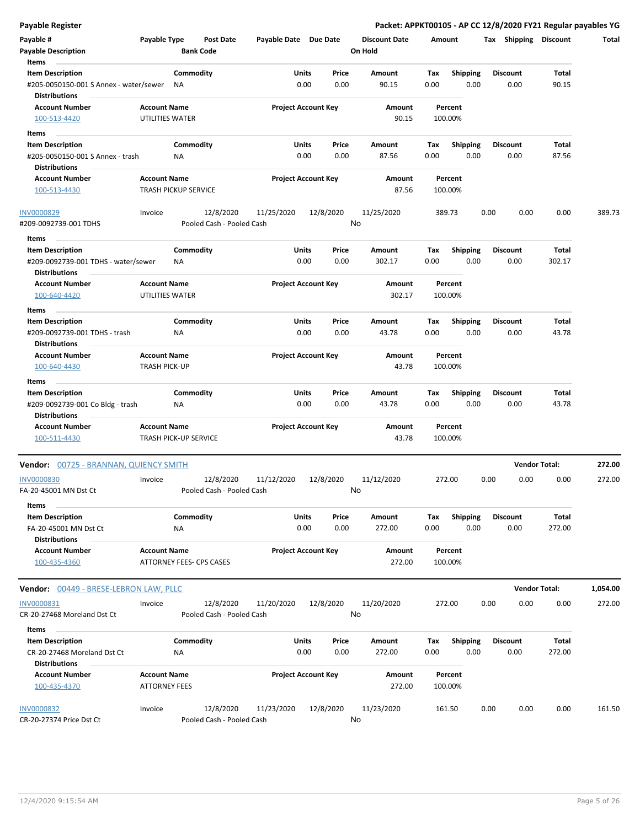| <b>Payable Register</b>                                        |                                                     |           |                                        |                            |       |                 | Packet: APPKT00105 - AP CC 12/8/2020 FY21 Regular payables YG |        |                    |      |                       |                      |          |
|----------------------------------------------------------------|-----------------------------------------------------|-----------|----------------------------------------|----------------------------|-------|-----------------|---------------------------------------------------------------|--------|--------------------|------|-----------------------|----------------------|----------|
| Payable #                                                      | Payable Type                                        |           | <b>Post Date</b>                       | Payable Date Due Date      |       |                 | <b>Discount Date</b>                                          | Amount |                    |      | Tax Shipping Discount |                      | Total    |
| <b>Payable Description</b>                                     |                                                     |           | <b>Bank Code</b>                       |                            |       |                 | On Hold                                                       |        |                    |      |                       |                      |          |
| Items                                                          |                                                     |           |                                        |                            |       |                 |                                                               |        |                    |      |                       |                      |          |
| <b>Item Description</b>                                        |                                                     | Commodity |                                        |                            | Units | Price           | Amount                                                        | Tax    | <b>Shipping</b>    |      | <b>Discount</b>       | Total                |          |
| #205-0050150-001 S Annex - water/sewer<br><b>Distributions</b> |                                                     | ΝA        |                                        |                            | 0.00  | 0.00            | 90.15                                                         | 0.00   | 0.00               |      | 0.00                  | 90.15                |          |
| <b>Account Number</b>                                          | <b>Account Name</b>                                 |           |                                        | <b>Project Account Key</b> |       |                 | Amount                                                        |        | Percent            |      |                       |                      |          |
| 100-513-4420                                                   | UTILITIES WATER                                     |           |                                        |                            |       |                 | 90.15                                                         |        | 100.00%            |      |                       |                      |          |
| Items                                                          |                                                     |           |                                        |                            |       |                 |                                                               |        |                    |      |                       |                      |          |
| <b>Item Description</b>                                        |                                                     | Commodity |                                        |                            | Units | Price           | Amount                                                        | Tax    | <b>Shipping</b>    |      | <b>Discount</b>       | Total                |          |
| #205-0050150-001 S Annex - trash<br><b>Distributions</b>       |                                                     | NA        |                                        |                            | 0.00  | 0.00            | 87.56                                                         | 0.00   | 0.00               |      | 0.00                  | 87.56                |          |
| <b>Account Number</b>                                          | <b>Account Name</b>                                 |           |                                        | <b>Project Account Key</b> |       |                 | Amount                                                        |        | Percent            |      |                       |                      |          |
| 100-513-4430                                                   | <b>TRASH PICKUP SERVICE</b>                         |           |                                        |                            |       |                 | 87.56                                                         |        | 100.00%            |      |                       |                      |          |
| INV0000829<br>#209-0092739-001 TDHS                            | Invoice                                             |           | 12/8/2020<br>Pooled Cash - Pooled Cash | 11/25/2020                 |       | 12/8/2020<br>No | 11/25/2020                                                    |        | 389.73             | 0.00 | 0.00                  | 0.00                 | 389.73   |
|                                                                |                                                     |           |                                        |                            |       |                 |                                                               |        |                    |      |                       |                      |          |
| Items<br><b>Item Description</b>                               |                                                     | Commodity |                                        |                            | Units | Price           | Amount                                                        | Tax    | Shipping           |      | Discount              | Total                |          |
| #209-0092739-001 TDHS - water/sewer                            |                                                     | ΝA        |                                        |                            | 0.00  | 0.00            | 302.17                                                        | 0.00   | 0.00               |      | 0.00                  | 302.17               |          |
| <b>Distributions</b><br><b>Account Number</b>                  | <b>Account Name</b>                                 |           |                                        | <b>Project Account Key</b> |       |                 | Amount                                                        |        | Percent            |      |                       |                      |          |
| 100-640-4420                                                   | UTILITIES WATER                                     |           |                                        |                            |       |                 | 302.17                                                        |        | 100.00%            |      |                       |                      |          |
| Items                                                          |                                                     |           |                                        |                            |       |                 |                                                               |        |                    |      |                       |                      |          |
| <b>Item Description</b>                                        |                                                     | Commodity |                                        |                            | Units | Price           | Amount                                                        | Tax    | <b>Shipping</b>    |      | <b>Discount</b>       | Total                |          |
| #209-0092739-001 TDHS - trash                                  |                                                     | NA        |                                        |                            | 0.00  | 0.00            | 43.78                                                         | 0.00   | 0.00               |      | 0.00                  | 43.78                |          |
| <b>Distributions</b>                                           |                                                     |           |                                        |                            |       |                 |                                                               |        |                    |      |                       |                      |          |
| <b>Account Number</b>                                          | <b>Account Name</b>                                 |           |                                        | <b>Project Account Key</b> |       |                 | Amount                                                        |        | Percent            |      |                       |                      |          |
| 100-640-4430                                                   | <b>TRASH PICK-UP</b>                                |           |                                        |                            |       |                 | 43.78                                                         |        | 100.00%            |      |                       |                      |          |
| Items                                                          |                                                     |           |                                        |                            |       |                 |                                                               |        |                    |      |                       |                      |          |
| <b>Item Description</b>                                        |                                                     | Commodity |                                        |                            | Units | Price           | Amount                                                        | Tax    | <b>Shipping</b>    |      | <b>Discount</b>       | Total                |          |
| #209-0092739-001 Co Bldg - trash                               |                                                     | ΝA        |                                        |                            | 0.00  | 0.00            | 43.78                                                         | 0.00   | 0.00               |      | 0.00                  | 43.78                |          |
| <b>Distributions</b><br><b>Account Number</b>                  |                                                     |           |                                        |                            |       |                 |                                                               |        | Percent            |      |                       |                      |          |
| 100-511-4430                                                   | <b>Account Name</b><br><b>TRASH PICK-UP SERVICE</b> |           |                                        | <b>Project Account Key</b> |       |                 | Amount<br>43.78                                               |        | 100.00%            |      |                       |                      |          |
| Vendor: 00725 - BRANNAN, QUIENCY SMITH                         |                                                     |           |                                        |                            |       |                 |                                                               |        |                    |      |                       | <b>Vendor Total:</b> | 272.00   |
| <b>INV0000830</b>                                              | Invoice                                             |           | 12/8/2020                              | 11/12/2020                 |       | 12/8/2020       | 11/12/2020                                                    |        | 272.00             | 0.00 | 0.00                  | 0.00                 | 272.00   |
| FA-20-45001 MN Dst Ct                                          |                                                     |           | Pooled Cash - Pooled Cash              |                            |       |                 | No.                                                           |        |                    |      |                       |                      |          |
| Items                                                          |                                                     |           |                                        |                            |       |                 |                                                               |        |                    |      |                       |                      |          |
| <b>Item Description</b>                                        |                                                     | Commodity |                                        |                            | Units | Price           | Amount                                                        | Tax    | <b>Shipping</b>    |      | <b>Discount</b>       | Total                |          |
| FA-20-45001 MN Dst Ct                                          |                                                     | ΝA        |                                        |                            | 0.00  | 0.00            | 272.00                                                        | 0.00   | 0.00               |      | 0.00                  | 272.00               |          |
| <b>Distributions</b>                                           |                                                     |           |                                        |                            |       |                 |                                                               |        |                    |      |                       |                      |          |
| <b>Account Number</b><br>100-435-4360                          | <b>Account Name</b>                                 |           | <b>ATTORNEY FEES- CPS CASES</b>        | <b>Project Account Key</b> |       |                 | Amount<br>272.00                                              |        | Percent<br>100.00% |      |                       |                      |          |
| Vendor: 00449 - BRESE-LEBRON LAW, PLLC                         |                                                     |           |                                        |                            |       |                 |                                                               |        |                    |      |                       | <b>Vendor Total:</b> | 1,054.00 |
| INV0000831                                                     | Invoice                                             |           | 12/8/2020                              | 11/20/2020                 |       | 12/8/2020       | 11/20/2020                                                    |        | 272.00             | 0.00 | 0.00                  | 0.00                 | 272.00   |
| CR-20-27468 Moreland Dst Ct                                    |                                                     |           | Pooled Cash - Pooled Cash              |                            |       |                 | No                                                            |        |                    |      |                       |                      |          |
| Items                                                          |                                                     |           |                                        |                            |       |                 |                                                               |        |                    |      |                       |                      |          |
| <b>Item Description</b>                                        |                                                     | Commodity |                                        |                            | Units | Price           | Amount                                                        | Tax    | <b>Shipping</b>    |      | Discount              | Total                |          |
| CR-20-27468 Moreland Dst Ct<br><b>Distributions</b>            |                                                     | NA        |                                        |                            | 0.00  | 0.00            | 272.00                                                        | 0.00   | 0.00               |      | 0.00                  | 272.00               |          |
| <b>Account Number</b>                                          | <b>Account Name</b>                                 |           |                                        | <b>Project Account Key</b> |       |                 | Amount                                                        |        | Percent            |      |                       |                      |          |
| 100-435-4370                                                   | <b>ATTORNEY FEES</b>                                |           |                                        |                            |       |                 | 272.00                                                        |        | 100.00%            |      |                       |                      |          |
| <b>INV0000832</b>                                              | Invoice                                             |           | 12/8/2020                              | 11/23/2020                 |       | 12/8/2020       | 11/23/2020                                                    |        | 161.50             | 0.00 | 0.00                  | 0.00                 | 161.50   |
| CR-20-27374 Price Dst Ct                                       |                                                     |           | Pooled Cash - Pooled Cash              |                            |       |                 | No                                                            |        |                    |      |                       |                      |          |

 $\overline{a}$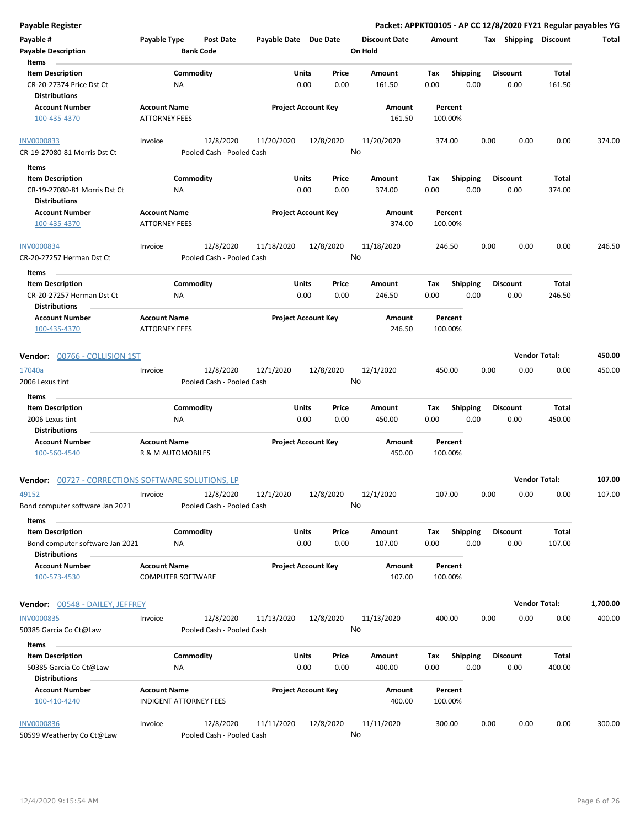| Payable Register                                          |                               |                                        |                       |                            | Packet: APPKT00105 - AP CC 12/8/2020 FY21 Regular payables YG |         |                 |      |                       |                      |          |
|-----------------------------------------------------------|-------------------------------|----------------------------------------|-----------------------|----------------------------|---------------------------------------------------------------|---------|-----------------|------|-----------------------|----------------------|----------|
| Payable #                                                 | Payable Type                  | <b>Post Date</b>                       | Payable Date Due Date |                            | <b>Discount Date</b>                                          | Amount  |                 |      | Tax Shipping Discount |                      | Total    |
| <b>Payable Description</b>                                |                               | <b>Bank Code</b>                       |                       |                            | On Hold                                                       |         |                 |      |                       |                      |          |
| Items                                                     |                               |                                        |                       |                            |                                                               |         |                 |      |                       |                      |          |
| <b>Item Description</b>                                   | Commodity                     |                                        | Units                 | Price                      | Amount                                                        | Tax     | <b>Shipping</b> |      | <b>Discount</b>       | Total                |          |
| CR-20-27374 Price Dst Ct                                  | ΝA                            |                                        |                       | 0.00<br>0.00               | 161.50                                                        | 0.00    | 0.00            |      | 0.00                  | 161.50               |          |
| <b>Distributions</b>                                      |                               |                                        |                       |                            |                                                               |         |                 |      |                       |                      |          |
| <b>Account Number</b>                                     | <b>Account Name</b>           |                                        |                       | <b>Project Account Key</b> | Amount                                                        | Percent |                 |      |                       |                      |          |
| 100-435-4370                                              | <b>ATTORNEY FEES</b>          |                                        |                       |                            | 161.50                                                        | 100.00% |                 |      |                       |                      |          |
|                                                           |                               |                                        |                       |                            |                                                               |         |                 |      |                       |                      |          |
| <b>INV0000833</b>                                         | Invoice                       | 12/8/2020                              | 11/20/2020            | 12/8/2020                  | 11/20/2020                                                    | 374.00  |                 | 0.00 | 0.00                  | 0.00                 | 374.00   |
| CR-19-27080-81 Morris Dst Ct                              |                               | Pooled Cash - Pooled Cash              |                       |                            | No                                                            |         |                 |      |                       |                      |          |
|                                                           |                               |                                        |                       |                            |                                                               |         |                 |      |                       |                      |          |
| Items                                                     |                               |                                        |                       |                            |                                                               |         |                 |      |                       |                      |          |
| <b>Item Description</b>                                   | Commodity                     |                                        | Units                 | Price                      | Amount                                                        | Tax     | <b>Shipping</b> |      | <b>Discount</b>       | Total                |          |
| CR-19-27080-81 Morris Dst Ct                              | ΝA                            |                                        |                       | 0.00<br>0.00               | 374.00                                                        | 0.00    | 0.00            |      | 0.00                  | 374.00               |          |
| <b>Distributions</b>                                      |                               |                                        |                       |                            |                                                               |         |                 |      |                       |                      |          |
| <b>Account Number</b>                                     | <b>Account Name</b>           |                                        |                       | <b>Project Account Key</b> | Amount                                                        | Percent |                 |      |                       |                      |          |
| 100-435-4370                                              | <b>ATTORNEY FEES</b>          |                                        |                       |                            | 374.00                                                        | 100.00% |                 |      |                       |                      |          |
|                                                           |                               |                                        |                       |                            |                                                               |         |                 |      |                       |                      |          |
| <b>INV0000834</b>                                         | Invoice                       | 12/8/2020                              | 11/18/2020            | 12/8/2020                  | 11/18/2020                                                    | 246.50  |                 | 0.00 | 0.00                  | 0.00                 | 246.50   |
| CR-20-27257 Herman Dst Ct                                 |                               | Pooled Cash - Pooled Cash              |                       |                            | No                                                            |         |                 |      |                       |                      |          |
| Items                                                     |                               |                                        |                       |                            |                                                               |         |                 |      |                       |                      |          |
| <b>Item Description</b>                                   | Commodity                     |                                        | Units                 | Price                      | Amount                                                        | Tax     | <b>Shipping</b> |      | <b>Discount</b>       | Total                |          |
| CR-20-27257 Herman Dst Ct                                 | ΝA                            |                                        |                       | 0.00<br>0.00               | 246.50                                                        | 0.00    | 0.00            |      | 0.00                  | 246.50               |          |
| <b>Distributions</b>                                      |                               |                                        |                       |                            |                                                               |         |                 |      |                       |                      |          |
| <b>Account Number</b>                                     | <b>Account Name</b>           |                                        |                       | <b>Project Account Key</b> | Amount                                                        | Percent |                 |      |                       |                      |          |
| 100-435-4370                                              | <b>ATTORNEY FEES</b>          |                                        |                       |                            | 246.50                                                        | 100.00% |                 |      |                       |                      |          |
|                                                           |                               |                                        |                       |                            |                                                               |         |                 |      |                       |                      |          |
| Vendor: 00766 - COLLISION 1ST                             |                               |                                        |                       |                            |                                                               |         |                 |      |                       | <b>Vendor Total:</b> | 450.00   |
|                                                           |                               |                                        |                       |                            |                                                               |         |                 |      |                       |                      |          |
| 17040a                                                    | Invoice                       | 12/8/2020                              | 12/1/2020             | 12/8/2020                  | 12/1/2020<br>No                                               | 450.00  |                 | 0.00 | 0.00                  | 0.00                 | 450.00   |
| 2006 Lexus tint                                           |                               | Pooled Cash - Pooled Cash              |                       |                            |                                                               |         |                 |      |                       |                      |          |
| Items                                                     |                               |                                        |                       |                            |                                                               |         |                 |      |                       |                      |          |
| <b>Item Description</b>                                   | Commodity                     |                                        | Units                 | Price                      | Amount                                                        | Tax     | <b>Shipping</b> |      | <b>Discount</b>       | <b>Total</b>         |          |
| 2006 Lexus tint                                           | ΝA                            |                                        |                       | 0.00<br>0.00               | 450.00                                                        | 0.00    | 0.00            |      | 0.00                  | 450.00               |          |
| <b>Distributions</b>                                      |                               |                                        |                       |                            |                                                               |         |                 |      |                       |                      |          |
| <b>Account Number</b>                                     | <b>Account Name</b>           |                                        |                       | <b>Project Account Key</b> | <b>Amount</b>                                                 | Percent |                 |      |                       |                      |          |
| 100-560-4540                                              | <b>R &amp; M AUTOMOBILES</b>  |                                        |                       |                            | 450.00                                                        | 100.00% |                 |      |                       |                      |          |
|                                                           |                               |                                        |                       |                            |                                                               |         |                 |      |                       |                      |          |
| <b>Vendor:</b> 00727 - CORRECTIONS SOFTWARE SOLUTIONS, LP |                               |                                        |                       |                            |                                                               |         |                 |      |                       | <b>Vendor Total:</b> | 107.00   |
| 49152                                                     | Invoice                       | 12/8/2020                              | 12/1/2020             | 12/8/2020                  | 12/1/2020                                                     | 107.00  |                 | 0.00 | 0.00                  | 0.00                 | 107.00   |
| Bond computer software Jan 2021                           |                               | Pooled Cash - Pooled Cash              |                       |                            | No                                                            |         |                 |      |                       |                      |          |
|                                                           |                               |                                        |                       |                            |                                                               |         |                 |      |                       |                      |          |
| Items                                                     |                               |                                        |                       |                            |                                                               |         |                 |      |                       |                      |          |
| <b>Item Description</b>                                   | Commodity                     |                                        | <b>Units</b>          | Price                      | Amount                                                        | Tax     | Shipping        |      | <b>Discount</b>       | Total                |          |
| Bond computer software Jan 2021                           | NA                            |                                        |                       | 0.00<br>0.00               | 107.00                                                        | 0.00    | 0.00            |      | 0.00                  | 107.00               |          |
| <b>Distributions</b>                                      |                               |                                        |                       |                            |                                                               |         |                 |      |                       |                      |          |
| <b>Account Number</b>                                     | <b>Account Name</b>           |                                        |                       | <b>Project Account Key</b> | Amount                                                        | Percent |                 |      |                       |                      |          |
| 100-573-4530                                              | <b>COMPUTER SOFTWARE</b>      |                                        |                       |                            | 107.00                                                        | 100.00% |                 |      |                       |                      |          |
|                                                           |                               |                                        |                       |                            |                                                               |         |                 |      |                       |                      |          |
| <b>Vendor:</b> 00548 - DAILEY, JEFFREY                    |                               |                                        |                       |                            |                                                               |         |                 |      |                       | <b>Vendor Total:</b> | 1,700.00 |
| <b>INV0000835</b>                                         | Invoice                       | 12/8/2020                              | 11/13/2020            | 12/8/2020                  | 11/13/2020                                                    | 400.00  |                 | 0.00 | 0.00                  | 0.00                 | 400.00   |
| 50385 Garcia Co Ct@Law                                    |                               | Pooled Cash - Pooled Cash              |                       |                            | No                                                            |         |                 |      |                       |                      |          |
| Items                                                     |                               |                                        |                       |                            |                                                               |         |                 |      |                       |                      |          |
| <b>Item Description</b>                                   | Commodity                     |                                        | <b>Units</b>          | Price                      | Amount                                                        | Tax     | <b>Shipping</b> |      | <b>Discount</b>       | Total                |          |
| 50385 Garcia Co Ct@Law                                    | ΝA                            |                                        |                       | 0.00<br>0.00               | 400.00                                                        | 0.00    | 0.00            |      | 0.00                  | 400.00               |          |
|                                                           |                               |                                        |                       |                            |                                                               |         |                 |      |                       |                      |          |
| <b>Distributions</b>                                      |                               |                                        |                       |                            |                                                               |         |                 |      |                       |                      |          |
| <b>Account Number</b>                                     | <b>Account Name</b>           |                                        |                       | <b>Project Account Key</b> | Amount                                                        | Percent |                 |      |                       |                      |          |
| 100-410-4240                                              | <b>INDIGENT ATTORNEY FEES</b> |                                        |                       |                            | 400.00                                                        | 100.00% |                 |      |                       |                      |          |
|                                                           |                               |                                        |                       |                            |                                                               |         |                 |      |                       |                      |          |
| <b>INV0000836</b>                                         | Invoice                       | 12/8/2020<br>Pooled Cash - Pooled Cash | 11/11/2020            | 12/8/2020                  | 11/11/2020<br>No                                              | 300.00  |                 | 0.00 | 0.00                  | 0.00                 | 300.00   |
| 50599 Weatherby Co Ct@Law                                 |                               |                                        |                       |                            |                                                               |         |                 |      |                       |                      |          |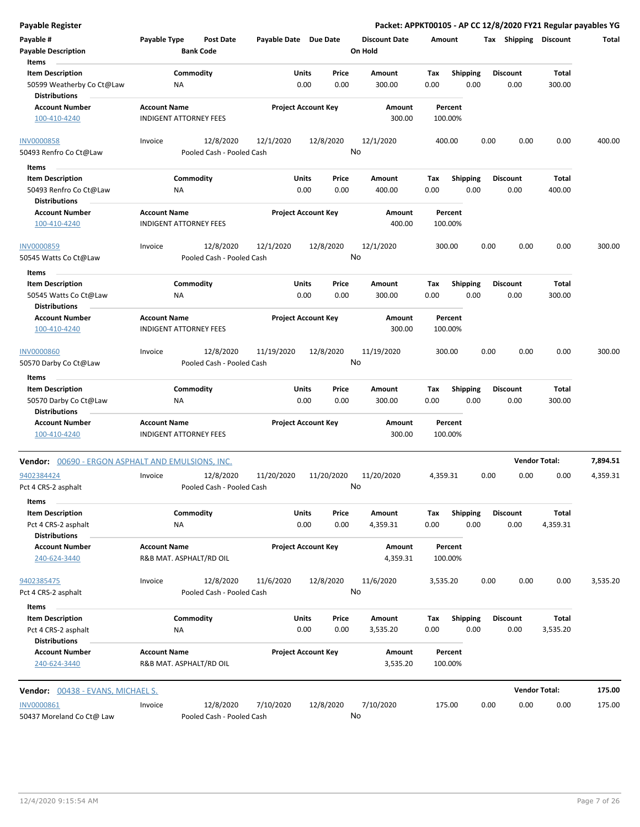| <b>Payable Register</b>                           |                                                      |                           |                            |           |                 | Packet: APPKT00105 - AP CC 12/8/2020 FY21 Regular payables YG |          |                    |      |                       |                      |          |
|---------------------------------------------------|------------------------------------------------------|---------------------------|----------------------------|-----------|-----------------|---------------------------------------------------------------|----------|--------------------|------|-----------------------|----------------------|----------|
| Payable #                                         | Payable Type                                         | <b>Post Date</b>          | Payable Date Due Date      |           |                 | <b>Discount Date</b>                                          | Amount   |                    |      | Tax Shipping Discount |                      | Total    |
| <b>Payable Description</b>                        |                                                      | <b>Bank Code</b>          |                            |           |                 | On Hold                                                       |          |                    |      |                       |                      |          |
| Items                                             |                                                      |                           |                            |           |                 |                                                               |          |                    |      |                       |                      |          |
| <b>Item Description</b>                           | Commodity                                            |                           | Units                      |           | Price           | Amount                                                        | Tax      | <b>Shipping</b>    |      | <b>Discount</b>       | Total                |          |
| 50599 Weatherby Co Ct@Law<br><b>Distributions</b> | ΝA                                                   |                           |                            | 0.00      | 0.00            | 300.00                                                        | 0.00     | 0.00               |      | 0.00                  | 300.00               |          |
| <b>Account Number</b>                             | <b>Account Name</b>                                  |                           | <b>Project Account Key</b> |           |                 | Amount                                                        |          | Percent            |      |                       |                      |          |
| 100-410-4240                                      | <b>INDIGENT ATTORNEY FEES</b>                        |                           |                            |           |                 | 300.00                                                        |          | 100.00%            |      |                       |                      |          |
| <b>INV0000858</b>                                 | Invoice                                              | 12/8/2020                 | 12/1/2020                  |           | 12/8/2020<br>No | 12/1/2020                                                     |          | 400.00             | 0.00 | 0.00                  | 0.00                 | 400.00   |
| 50493 Renfro Co Ct@Law                            |                                                      | Pooled Cash - Pooled Cash |                            |           |                 |                                                               |          |                    |      |                       |                      |          |
| Items                                             |                                                      |                           |                            |           |                 |                                                               |          |                    |      |                       |                      |          |
| <b>Item Description</b>                           | Commodity                                            |                           | <b>Units</b>               |           | Price           | Amount                                                        | Tax      | <b>Shipping</b>    |      | <b>Discount</b>       | Total                |          |
| 50493 Renfro Co Ct@Law<br><b>Distributions</b>    | ΝA                                                   |                           |                            | 0.00      | 0.00            | 400.00                                                        | 0.00     | 0.00               |      | 0.00                  | 400.00               |          |
| <b>Account Number</b><br>100-410-4240             | <b>Account Name</b><br><b>INDIGENT ATTORNEY FEES</b> |                           | <b>Project Account Key</b> |           |                 | Amount<br>400.00                                              |          | Percent<br>100.00% |      |                       |                      |          |
| <b>INV0000859</b>                                 | Invoice                                              | 12/8/2020                 | 12/1/2020                  |           | 12/8/2020       | 12/1/2020                                                     |          | 300.00             | 0.00 | 0.00                  | 0.00                 | 300.00   |
| 50545 Watts Co Ct@Law                             |                                                      | Pooled Cash - Pooled Cash |                            |           | No              |                                                               |          |                    |      |                       |                      |          |
| Items                                             |                                                      |                           |                            |           |                 |                                                               |          |                    |      |                       |                      |          |
| <b>Item Description</b>                           | Commodity                                            |                           | Units                      |           | Price           | Amount                                                        | Tax      | <b>Shipping</b>    |      | <b>Discount</b>       | Total                |          |
| 50545 Watts Co Ct@Law<br><b>Distributions</b>     | NA                                                   |                           |                            | 0.00      | 0.00            | 300.00                                                        | 0.00     | 0.00               |      | 0.00                  | 300.00               |          |
| <b>Account Number</b>                             | <b>Account Name</b>                                  |                           | <b>Project Account Key</b> |           |                 | Amount                                                        |          | Percent            |      |                       |                      |          |
| 100-410-4240                                      | <b>INDIGENT ATTORNEY FEES</b>                        |                           |                            |           |                 | 300.00                                                        |          | 100.00%            |      |                       |                      |          |
| <b>INV0000860</b>                                 | Invoice                                              | 12/8/2020                 | 11/19/2020                 |           | 12/8/2020       | 11/19/2020                                                    |          | 300.00             | 0.00 | 0.00                  | 0.00                 | 300.00   |
| 50570 Darby Co Ct@Law                             |                                                      | Pooled Cash - Pooled Cash |                            |           | No              |                                                               |          |                    |      |                       |                      |          |
| Items                                             |                                                      |                           |                            |           |                 |                                                               |          |                    |      |                       |                      |          |
| <b>Item Description</b>                           | Commodity                                            |                           | Units                      |           | Price           | Amount                                                        | Tax      | <b>Shipping</b>    |      | <b>Discount</b>       | <b>Total</b>         |          |
| 50570 Darby Co Ct@Law                             | ΝA                                                   |                           |                            | 0.00      | 0.00            | 300.00                                                        | 0.00     | 0.00               |      | 0.00                  | 300.00               |          |
| <b>Distributions</b>                              |                                                      |                           |                            |           |                 |                                                               |          |                    |      |                       |                      |          |
| <b>Account Number</b><br>100-410-4240             | <b>Account Name</b><br><b>INDIGENT ATTORNEY FEES</b> |                           | <b>Project Account Key</b> |           |                 | Amount<br>300.00                                              |          | Percent<br>100.00% |      |                       |                      |          |
| Vendor: 00690 - ERGON ASPHALT AND EMULSIONS, INC. |                                                      |                           |                            |           |                 |                                                               |          |                    |      |                       | <b>Vendor Total:</b> | 7,894.51 |
| 9402384424                                        | Invoice                                              | 12/8/2020                 | 11/20/2020                 |           | 11/20/2020      | 11/20/2020                                                    | 4,359.31 |                    | 0.00 | 0.00                  | 0.00                 | 4,359.31 |
| Pct 4 CRS-2 asphalt                               |                                                      | Pooled Cash - Pooled Cash |                            |           |                 | No                                                            |          |                    |      |                       |                      |          |
| Items                                             |                                                      |                           |                            |           |                 |                                                               |          |                    |      |                       |                      |          |
| <b>Item Description</b>                           | Commodity                                            |                           | <b>Units</b>               |           | Price           | Amount                                                        | Tax      | Shipping           |      | <b>Discount</b>       | Total                |          |
| Pct 4 CRS-2 asphalt<br><b>Distributions</b>       | ΝA                                                   |                           |                            | 0.00      | 0.00            | 4,359.31                                                      | 0.00     | 0.00               |      | 0.00                  | 4,359.31             |          |
| <b>Account Number</b>                             | <b>Account Name</b>                                  |                           | <b>Project Account Key</b> |           |                 | Amount                                                        |          | Percent            |      |                       |                      |          |
| 240-624-3440                                      | R&B MAT. ASPHALT/RD OIL                              |                           |                            |           |                 | 4,359.31                                                      |          | 100.00%            |      |                       |                      |          |
| 9402385475                                        | Invoice                                              | 12/8/2020                 | 11/6/2020                  | 12/8/2020 |                 | 11/6/2020                                                     | 3,535.20 |                    | 0.00 | 0.00                  | 0.00                 | 3,535.20 |
| Pct 4 CRS-2 asphalt<br>Items                      |                                                      | Pooled Cash - Pooled Cash |                            |           | No              |                                                               |          |                    |      |                       |                      |          |
| <b>Item Description</b>                           | Commodity                                            |                           | <b>Units</b>               |           | Price           | Amount                                                        | Tax      | <b>Shipping</b>    |      | <b>Discount</b>       | <b>Total</b>         |          |
| Pct 4 CRS-2 asphalt                               | ΝA                                                   |                           |                            | 0.00      | 0.00            | 3,535.20                                                      | 0.00     | 0.00               |      | 0.00                  | 3,535.20             |          |
| <b>Distributions</b><br><b>Account Number</b>     | <b>Account Name</b>                                  |                           |                            |           |                 |                                                               |          |                    |      |                       |                      |          |
| 240-624-3440                                      | R&B MAT. ASPHALT/RD OIL                              |                           | <b>Project Account Key</b> |           |                 | Amount<br>3,535.20                                            |          | Percent<br>100.00% |      |                       |                      |          |
| Vendor: 00438 - EVANS, MICHAEL S.                 |                                                      |                           |                            |           |                 |                                                               |          |                    |      |                       | <b>Vendor Total:</b> | 175.00   |
| <b>INV0000861</b>                                 | Invoice                                              | 12/8/2020                 | 7/10/2020                  |           | 12/8/2020       | 7/10/2020                                                     |          | 175.00             | 0.00 | 0.00                  | 0.00                 | 175.00   |
| 50437 Moreland Co Ct@ Law                         |                                                      | Pooled Cash - Pooled Cash |                            |           | No              |                                                               |          |                    |      |                       |                      |          |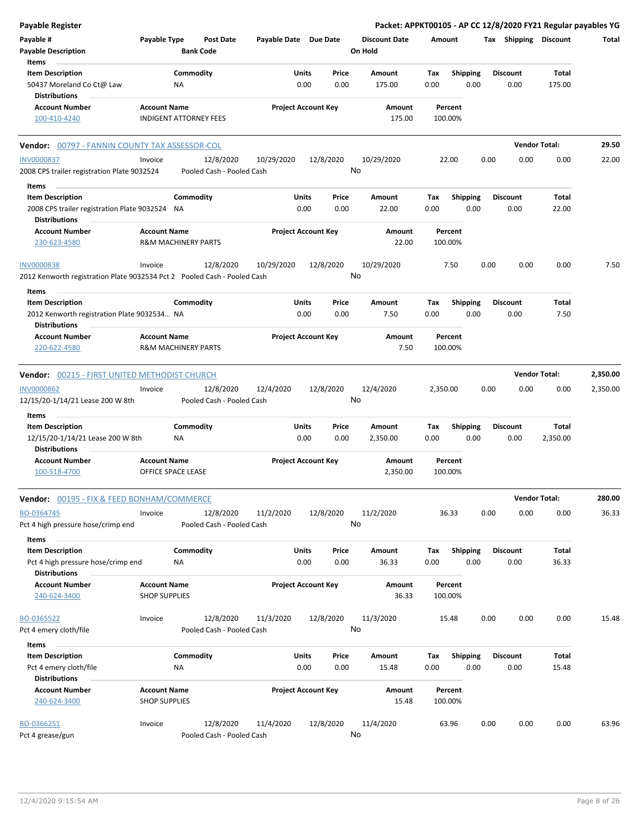| Payable #<br>Payable Type<br><b>Post Date</b><br>Payable Date Due Date<br><b>Discount Date</b><br>Tax Shipping Discount<br>Amount<br><b>Payable Description</b><br><b>Bank Code</b><br>On Hold<br>Items<br><b>Item Description</b><br>Commodity<br>Units<br>Price<br><b>Shipping</b><br><b>Discount</b><br>Total<br>Amount<br>Tax<br>0.00<br>0.00<br>0.00<br>0.00<br>50437 Moreland Co Ct@ Law<br>NA<br>175.00<br>0.00<br>175.00<br><b>Distributions</b><br><b>Account Number</b><br><b>Project Account Key</b><br><b>Account Name</b><br>Amount<br>Percent | Total    |
|-------------------------------------------------------------------------------------------------------------------------------------------------------------------------------------------------------------------------------------------------------------------------------------------------------------------------------------------------------------------------------------------------------------------------------------------------------------------------------------------------------------------------------------------------------------|----------|
|                                                                                                                                                                                                                                                                                                                                                                                                                                                                                                                                                             |          |
|                                                                                                                                                                                                                                                                                                                                                                                                                                                                                                                                                             |          |
|                                                                                                                                                                                                                                                                                                                                                                                                                                                                                                                                                             |          |
| <b>INDIGENT ATTORNEY FEES</b><br>175.00<br>100.00%<br>100-410-4240                                                                                                                                                                                                                                                                                                                                                                                                                                                                                          |          |
| <b>Vendor Total:</b><br><b>Vendor: 00797 - FANNIN COUNTY TAX ASSESSOR-COL</b>                                                                                                                                                                                                                                                                                                                                                                                                                                                                               | 29.50    |
| <b>INV0000837</b><br>12/8/2020<br>10/29/2020<br>12/8/2020<br>10/29/2020<br>22.00<br>0.00<br>0.00<br>0.00<br>Invoice<br>No<br>2008 CPS trailer registration Plate 9032524<br>Pooled Cash - Pooled Cash                                                                                                                                                                                                                                                                                                                                                       | 22.00    |
| Items                                                                                                                                                                                                                                                                                                                                                                                                                                                                                                                                                       |          |
| Commodity<br>Units<br><b>Shipping</b><br><b>Item Description</b><br>Price<br>Amount<br>Tax<br><b>Discount</b><br>Total                                                                                                                                                                                                                                                                                                                                                                                                                                      |          |
| 0.00<br>22.00<br>0.00<br>0.00<br>22.00<br>0.00<br>0.00<br>2008 CPS trailer registration Plate 9032524 NA<br><b>Distributions</b>                                                                                                                                                                                                                                                                                                                                                                                                                            |          |
| <b>Account Number</b><br><b>Project Account Key</b><br>Amount<br><b>Account Name</b><br>Percent<br><b>R&amp;M MACHINERY PARTS</b><br>22.00<br>100.00%<br>230-623-4580                                                                                                                                                                                                                                                                                                                                                                                       |          |
| 12/8/2020<br>12/8/2020<br><b>INV0000838</b><br>10/29/2020<br>10/29/2020<br>7.50<br>0.00<br>0.00<br>0.00<br>Invoice<br>No<br>2012 Kenworth registration Plate 9032534 Pct 2 Pooled Cash - Pooled Cash                                                                                                                                                                                                                                                                                                                                                        | 7.50     |
| Items                                                                                                                                                                                                                                                                                                                                                                                                                                                                                                                                                       |          |
| <b>Item Description</b><br>Commodity<br>Units<br>Price<br>Total<br>Amount<br>Tax<br>Shipping<br><b>Discount</b>                                                                                                                                                                                                                                                                                                                                                                                                                                             |          |
| 2012 Kenworth registration Plate 9032534 NA<br>0.00<br>0.00<br>7.50<br>0.00<br>0.00<br>0.00<br>7.50<br><b>Distributions</b>                                                                                                                                                                                                                                                                                                                                                                                                                                 |          |
| <b>Account Name</b><br><b>Project Account Key</b><br><b>Account Number</b><br>Amount<br>Percent<br>220-622-4580<br><b>R&amp;M MACHINERY PARTS</b><br>7.50<br>100.00%                                                                                                                                                                                                                                                                                                                                                                                        |          |
| <b>Vendor Total:</b><br><b>Vendor: 00215 - FIRST UNITED METHODIST CHURCH</b>                                                                                                                                                                                                                                                                                                                                                                                                                                                                                | 2,350.00 |
| <b>INV0000862</b><br>12/8/2020<br>12/4/2020<br>12/8/2020<br>12/4/2020<br>2,350.00<br>0.00<br>0.00<br>Invoice<br>0.00                                                                                                                                                                                                                                                                                                                                                                                                                                        | 2,350.00 |
| No<br>12/15/20-1/14/21 Lease 200 W 8th<br>Pooled Cash - Pooled Cash<br>Items                                                                                                                                                                                                                                                                                                                                                                                                                                                                                |          |
| <b>Item Description</b><br>Commodity<br>Units<br>Price<br>Total<br>Amount<br>Tax<br><b>Shipping</b><br><b>Discount</b>                                                                                                                                                                                                                                                                                                                                                                                                                                      |          |
| 0.00<br>0.00<br>0.00<br>0.00<br>0.00<br>2,350.00<br>12/15/20-1/14/21 Lease 200 W 8th<br>NA<br>2,350.00<br><b>Distributions</b>                                                                                                                                                                                                                                                                                                                                                                                                                              |          |
| <b>Account Name</b><br><b>Project Account Key</b><br><b>Account Number</b><br>Amount<br>Percent<br>100-518-4700<br>OFFICE SPACE LEASE<br>2,350.00<br>100.00%                                                                                                                                                                                                                                                                                                                                                                                                |          |
| <b>Vendor Total:</b><br><b>Vendor: 00195 - FIX &amp; FEED BONHAM/COMMERCE</b>                                                                                                                                                                                                                                                                                                                                                                                                                                                                               | 280.00   |
| 36.33<br>0.00<br>0.00<br>0.00<br>BO-0364745<br>Invoice<br>12/8/2020<br>11/2/2020<br>12/8/2020<br>11/2/2020<br>No<br>Pct 4 high pressure hose/crimp end<br>Pooled Cash - Pooled Cash                                                                                                                                                                                                                                                                                                                                                                         | 36.33    |
|                                                                                                                                                                                                                                                                                                                                                                                                                                                                                                                                                             |          |
| Items                                                                                                                                                                                                                                                                                                                                                                                                                                                                                                                                                       |          |
| <b>Item Description</b><br>Commodity<br>Units<br>Amount<br><b>Shipping</b><br><b>Discount</b><br>Total<br>Price<br>Tax<br>0.00<br>Pct 4 high pressure hose/crimp end<br>0.00<br>0.00<br>36.33<br>0.00<br>0.00<br>36.33<br>ΝA                                                                                                                                                                                                                                                                                                                                |          |
| <b>Distributions</b><br><b>Account Number</b><br><b>Account Name</b><br><b>Project Account Key</b><br>Amount<br>Percent<br><b>SHOP SUPPLIES</b><br>36.33<br>100.00%<br>240-624-3400                                                                                                                                                                                                                                                                                                                                                                         |          |
| BO-0365522<br>12/8/2020<br>11/3/2020<br>12/8/2020<br>11/3/2020<br>0.00<br>0.00<br>0.00<br>Invoice<br>15.48                                                                                                                                                                                                                                                                                                                                                                                                                                                  | 15.48    |
| No<br>Pooled Cash - Pooled Cash<br>Pct 4 emery cloth/file                                                                                                                                                                                                                                                                                                                                                                                                                                                                                                   |          |
| Items                                                                                                                                                                                                                                                                                                                                                                                                                                                                                                                                                       |          |
| <b>Item Description</b><br>Commodity<br>Units<br><b>Shipping</b><br><b>Discount</b><br>Total<br>Price<br>Amount<br>Tax<br>0.00<br>0.00<br>0.00<br>Pct 4 emery cloth/file<br>ΝA<br>15.48<br>0.00<br>0.00<br>15.48                                                                                                                                                                                                                                                                                                                                            |          |
| <b>Distributions</b><br><b>Account Name</b><br><b>Project Account Key</b><br><b>Account Number</b><br>Amount<br>Percent                                                                                                                                                                                                                                                                                                                                                                                                                                     |          |
| <b>SHOP SUPPLIES</b><br>15.48<br>100.00%<br>240-624-3400                                                                                                                                                                                                                                                                                                                                                                                                                                                                                                    |          |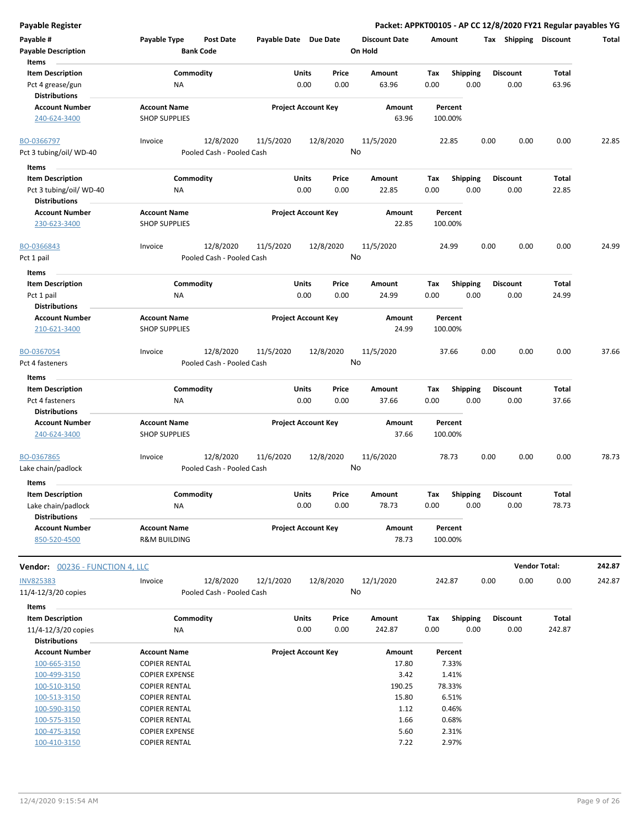| <b>Payable Register</b>                         |                                                      |                            |           |                                 |                    |                 | Packet: APPKT00105 - AP CC 12/8/2020 FY21 Regular payables YG |                      |        |
|-------------------------------------------------|------------------------------------------------------|----------------------------|-----------|---------------------------------|--------------------|-----------------|---------------------------------------------------------------|----------------------|--------|
| Payable #                                       | Payable Type<br><b>Post Date</b><br><b>Bank Code</b> | Payable Date Due Date      |           | <b>Discount Date</b><br>On Hold | Amount             |                 | Tax Shipping                                                  | <b>Discount</b>      | Total  |
| <b>Payable Description</b><br>Items             |                                                      |                            |           |                                 |                    |                 |                                                               |                      |        |
| <b>Item Description</b>                         | Commodity                                            | Units                      | Price     | Amount                          | Tax                | Shipping        | <b>Discount</b>                                               | <b>Total</b>         |        |
| Pct 4 grease/gun<br><b>Distributions</b>        | NA                                                   | 0.00                       | 0.00      | 63.96                           | 0.00               | 0.00            | 0.00                                                          | 63.96                |        |
| <b>Account Number</b>                           | <b>Account Name</b>                                  | <b>Project Account Key</b> |           | Amount                          | Percent            |                 |                                                               |                      |        |
| 240-624-3400                                    | <b>SHOP SUPPLIES</b>                                 |                            |           | 63.96                           | 100.00%            |                 |                                                               |                      |        |
| BO-0366797                                      | 12/8/2020<br>Invoice                                 | 11/5/2020                  | 12/8/2020 | 11/5/2020                       | 22.85              | 0.00            | 0.00                                                          | 0.00                 | 22.85  |
| Pct 3 tubing/oil/ WD-40                         | Pooled Cash - Pooled Cash                            |                            |           | No                              |                    |                 |                                                               |                      |        |
| Items                                           |                                                      |                            |           |                                 |                    |                 |                                                               |                      |        |
| <b>Item Description</b>                         | Commodity                                            | Units                      | Price     | Amount                          | Tax                | <b>Shipping</b> | <b>Discount</b>                                               | Total                |        |
| Pct 3 tubing/oil/ WD-40<br><b>Distributions</b> | ΝA                                                   | 0.00                       | 0.00      | 22.85                           | 0.00               | 0.00            | 0.00                                                          | 22.85                |        |
| <b>Account Number</b>                           | <b>Account Name</b>                                  | <b>Project Account Key</b> |           | Amount                          | Percent            |                 |                                                               |                      |        |
| 230-623-3400                                    | <b>SHOP SUPPLIES</b>                                 |                            |           | 22.85                           | 100.00%            |                 |                                                               |                      |        |
| BO-0366843                                      | 12/8/2020<br>Invoice                                 | 11/5/2020                  | 12/8/2020 | 11/5/2020                       | 24.99              | 0.00            | 0.00                                                          | 0.00                 | 24.99  |
| Pct 1 pail                                      | Pooled Cash - Pooled Cash                            |                            |           | No                              |                    |                 |                                                               |                      |        |
| Items                                           |                                                      |                            |           |                                 |                    |                 |                                                               |                      |        |
| <b>Item Description</b>                         | Commodity                                            | Units                      | Price     | <b>Amount</b>                   | Tax                | <b>Shipping</b> | <b>Discount</b>                                               | <b>Total</b>         |        |
| Pct 1 pail                                      | NA                                                   | 0.00                       | 0.00      | 24.99                           | 0.00               | 0.00            | 0.00                                                          | 24.99                |        |
| <b>Distributions</b>                            |                                                      |                            |           |                                 |                    |                 |                                                               |                      |        |
| <b>Account Number</b><br>210-621-3400           | <b>Account Name</b><br><b>SHOP SUPPLIES</b>          | <b>Project Account Key</b> |           | <b>Amount</b><br>24.99          | Percent<br>100.00% |                 |                                                               |                      |        |
| BO-0367054                                      | 12/8/2020<br>Invoice                                 | 11/5/2020                  | 12/8/2020 | 11/5/2020                       | 37.66              | 0.00            | 0.00                                                          | 0.00                 | 37.66  |
| Pct 4 fasteners                                 | Pooled Cash - Pooled Cash                            |                            |           | No                              |                    |                 |                                                               |                      |        |
| Items                                           |                                                      |                            |           |                                 |                    |                 |                                                               |                      |        |
| <b>Item Description</b>                         | Commodity                                            | Units                      | Price     | Amount                          | Tax                | Shipping        | <b>Discount</b>                                               | <b>Total</b>         |        |
| Pct 4 fasteners                                 | <b>NA</b>                                            | 0.00                       | 0.00      | 37.66                           | 0.00               | 0.00            | 0.00                                                          | 37.66                |        |
| <b>Distributions</b>                            |                                                      |                            |           |                                 |                    |                 |                                                               |                      |        |
| <b>Account Number</b>                           | <b>Account Name</b>                                  | <b>Project Account Key</b> |           | Amount                          | Percent            |                 |                                                               |                      |        |
| 240-624-3400                                    | <b>SHOP SUPPLIES</b>                                 |                            |           | 37.66                           | 100.00%            |                 |                                                               |                      |        |
| BO-0367865                                      | 12/8/2020<br>Invoice                                 | 11/6/2020                  | 12/8/2020 | 11/6/2020                       | 78.73              | 0.00            | 0.00                                                          | 0.00                 | 78.73  |
| Lake chain/padlock                              | Pooled Cash - Pooled Cash                            |                            |           | No                              |                    |                 |                                                               |                      |        |
| Items                                           |                                                      |                            |           |                                 |                    |                 |                                                               |                      |        |
| <b>Item Description</b>                         | Commodity                                            | Units                      | Price     | Amount                          | Tax                | Shipping        | <b>Discount</b>                                               | Total                |        |
| Lake chain/padlock                              | <b>NA</b>                                            | 0.00                       | 0.00      | 78.73                           | 0.00               | 0.00            | 0.00                                                          | 78.73                |        |
| <b>Distributions</b>                            |                                                      |                            |           |                                 |                    |                 |                                                               |                      |        |
| <b>Account Number</b>                           | <b>Account Name</b>                                  | <b>Project Account Key</b> |           | Amount                          | Percent            |                 |                                                               |                      |        |
| 850-520-4500                                    | <b>R&amp;M BUILDING</b>                              |                            |           | 78.73                           | 100.00%            |                 |                                                               |                      |        |
| <b>Vendor: 00236 - FUNCTION 4, LLC</b>          |                                                      |                            |           |                                 |                    |                 |                                                               | <b>Vendor Total:</b> | 242.87 |
| <b>INV825383</b>                                | 12/8/2020<br>Invoice                                 | 12/1/2020                  | 12/8/2020 | 12/1/2020                       | 242.87             | 0.00            | 0.00                                                          | 0.00                 | 242.87 |
| 11/4-12/3/20 copies                             | Pooled Cash - Pooled Cash                            |                            |           | No                              |                    |                 |                                                               |                      |        |
| Items                                           |                                                      |                            |           |                                 |                    |                 |                                                               |                      |        |
| <b>Item Description</b>                         | Commodity                                            | Units                      | Price     | Amount                          | Tax                | <b>Shipping</b> | <b>Discount</b>                                               | Total                |        |
| 11/4-12/3/20 copies                             | NA                                                   | 0.00                       | 0.00      | 242.87                          | 0.00               | 0.00            | 0.00                                                          | 242.87               |        |
| <b>Distributions</b>                            |                                                      |                            |           |                                 |                    |                 |                                                               |                      |        |
| <b>Account Number</b>                           | <b>Account Name</b>                                  | <b>Project Account Key</b> |           | Amount                          | Percent            |                 |                                                               |                      |        |
| 100-665-3150                                    | <b>COPIER RENTAL</b>                                 |                            |           | 17.80                           | 7.33%              |                 |                                                               |                      |        |
| 100-499-3150                                    | <b>COPIER EXPENSE</b>                                |                            |           | 3.42                            | 1.41%              |                 |                                                               |                      |        |
| 100-510-3150                                    | <b>COPIER RENTAL</b>                                 |                            |           | 190.25                          | 78.33%             |                 |                                                               |                      |        |
| 100-513-3150                                    | <b>COPIER RENTAL</b>                                 |                            |           | 15.80                           | 6.51%              |                 |                                                               |                      |        |
| 100-590-3150                                    | <b>COPIER RENTAL</b>                                 |                            |           | 1.12                            | 0.46%              |                 |                                                               |                      |        |
| 100-575-3150                                    | <b>COPIER RENTAL</b>                                 |                            |           | 1.66                            | 0.68%              |                 |                                                               |                      |        |
| 100-475-3150                                    | <b>COPIER EXPENSE</b>                                |                            |           | 5.60                            | 2.31%              |                 |                                                               |                      |        |
| 100-410-3150                                    | <b>COPIER RENTAL</b>                                 |                            |           | 7.22                            | 2.97%              |                 |                                                               |                      |        |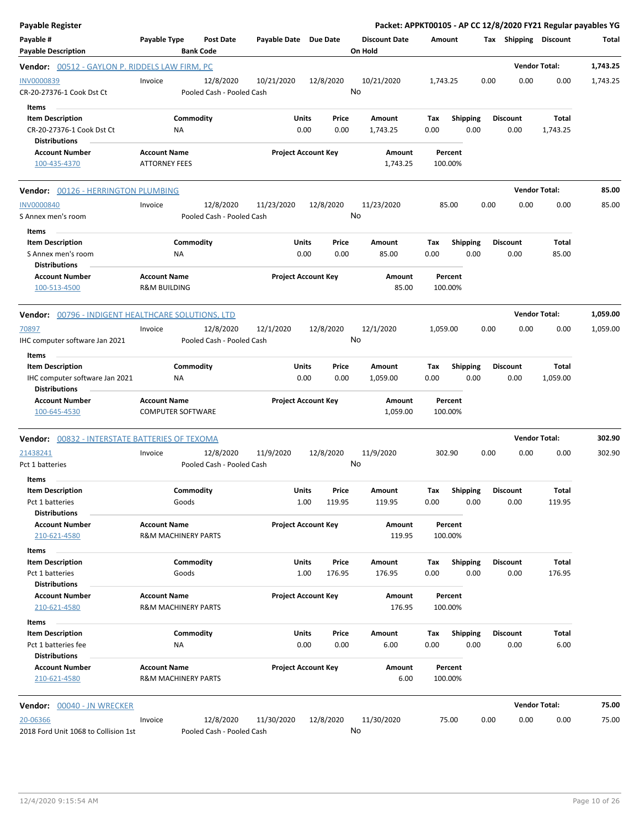| Payable Register                                                                                  |                                                       |                                        |                       |                            |               | Packet: APPKT00105 - AP CC 12/8/2020 FY21 Regular payables YG |             |                         |      |                         |                      |          |
|---------------------------------------------------------------------------------------------------|-------------------------------------------------------|----------------------------------------|-----------------------|----------------------------|---------------|---------------------------------------------------------------|-------------|-------------------------|------|-------------------------|----------------------|----------|
| Payable #<br><b>Payable Description</b>                                                           | Payable Type                                          | <b>Post Date</b><br><b>Bank Code</b>   | Payable Date Due Date |                            |               | <b>Discount Date</b><br>On Hold                               | Amount      |                         |      | Tax Shipping Discount   |                      | Total    |
| <b>Vendor:</b> 00512 - GAYLON P. RIDDELS LAW FIRM, PC                                             |                                                       |                                        |                       |                            |               |                                                               |             |                         |      |                         | <b>Vendor Total:</b> | 1,743.25 |
| INV0000839<br>CR-20-27376-1 Cook Dst Ct                                                           | Invoice                                               | 12/8/2020<br>Pooled Cash - Pooled Cash | 10/21/2020            | 12/8/2020                  |               | 10/21/2020<br>No                                              | 1,743.25    |                         | 0.00 | 0.00                    | 0.00                 | 1,743.25 |
| Items<br><b>Item Description</b><br>CR-20-27376-1 Cook Dst Ct                                     | Commodity<br>ΝA                                       |                                        |                       | Units<br>0.00              | Price<br>0.00 | Amount<br>1,743.25                                            | Tax<br>0.00 | <b>Shipping</b><br>0.00 |      | <b>Discount</b><br>0.00 | Total<br>1,743.25    |          |
| <b>Distributions</b><br><b>Account Number</b><br>100-435-4370                                     | <b>Account Name</b><br><b>ATTORNEY FEES</b>           |                                        |                       | <b>Project Account Key</b> |               | Amount<br>1,743.25                                            |             | Percent<br>100.00%      |      |                         |                      |          |
| <b>Vendor:</b> 00126 - HERRINGTON PLUMBING                                                        |                                                       |                                        |                       |                            |               |                                                               |             |                         |      |                         | <b>Vendor Total:</b> | 85.00    |
| <b>INV0000840</b><br>S Annex men's room<br>Items                                                  | Invoice                                               | 12/8/2020<br>Pooled Cash - Pooled Cash | 11/23/2020            | 12/8/2020                  |               | 11/23/2020<br>No                                              |             | 85.00                   | 0.00 | 0.00                    | 0.00                 | 85.00    |
| <b>Item Description</b><br>S Annex men's room<br><b>Distributions</b>                             | Commodity<br>ΝA                                       |                                        |                       | Units<br>0.00              | Price<br>0.00 | Amount<br>85.00                                               | Tax<br>0.00 | Shipping<br>0.00        |      | <b>Discount</b><br>0.00 | Total<br>85.00       |          |
| <b>Account Number</b><br>100-513-4500                                                             | <b>Account Name</b><br><b>R&amp;M BUILDING</b>        |                                        |                       | <b>Project Account Key</b> |               | Amount<br>85.00                                               |             | Percent<br>100.00%      |      |                         |                      |          |
| <b>Vendor:</b> 00796 - INDIGENT HEALTHCARE SOLUTIONS, LTD                                         |                                                       |                                        |                       |                            |               |                                                               |             |                         |      |                         | <b>Vendor Total:</b> | 1,059.00 |
| 70897<br>IHC computer software Jan 2021                                                           | Invoice                                               | 12/8/2020<br>Pooled Cash - Pooled Cash | 12/1/2020             | 12/8/2020                  |               | 12/1/2020<br>No                                               | 1,059.00    |                         | 0.00 | 0.00                    | 0.00                 | 1,059.00 |
| <b>Items</b><br><b>Item Description</b><br>IHC computer software Jan 2021<br><b>Distributions</b> | Commodity<br>ΝA                                       |                                        |                       | Units<br>0.00              | Price<br>0.00 | Amount<br>1,059.00                                            | Tax<br>0.00 | <b>Shipping</b><br>0.00 |      | <b>Discount</b><br>0.00 | Total<br>1,059.00    |          |
| <b>Account Number</b><br>100-645-4530                                                             | <b>Account Name</b><br><b>COMPUTER SOFTWARE</b>       |                                        |                       | <b>Project Account Key</b> |               | Amount<br>1,059.00                                            |             | Percent<br>100.00%      |      |                         |                      |          |
| <b>Vendor:    00</b> 832 - INTERSTATE BATTERIES OF TEXOMA                                         |                                                       |                                        |                       |                            |               |                                                               |             |                         |      |                         | <b>Vendor Total:</b> | 302.90   |
| 21438241<br>Pct 1 batteries                                                                       | Invoice                                               | 12/8/2020<br>Pooled Cash - Pooled Cash | 11/9/2020             | 12/8/2020                  |               | 11/9/2020<br>No                                               |             | 302.90                  | 0.00 | 0.00                    | 0.00                 | 302.90   |
| Items<br><b>Item Description</b><br>Pct 1 batteries                                               | Commodity<br>Goods                                    |                                        |                       | Units<br>1.00<br>119.95    | Price         | Amount<br>119.95                                              | Tax<br>0.00 | <b>Shipping</b><br>0.00 |      | Discount<br>0.00        | Total<br>119.95      |          |
| <b>Distributions</b><br><b>Account Number</b><br>210-621-4580                                     | <b>Account Name</b><br><b>R&amp;M MACHINERY PARTS</b> |                                        |                       | <b>Project Account Key</b> |               | Amount<br>119.95                                              |             | Percent<br>100.00%      |      |                         |                      |          |
| Items<br><b>Item Description</b><br>Pct 1 batteries<br><b>Distributions</b>                       | Commodity<br>Goods                                    |                                        |                       | Units<br>1.00<br>176.95    | Price         | Amount<br>176.95                                              | Тах<br>0.00 | <b>Shipping</b><br>0.00 |      | <b>Discount</b><br>0.00 | Total<br>176.95      |          |
| <b>Account Number</b><br>210-621-4580                                                             | <b>Account Name</b><br>R&M MACHINERY PARTS            |                                        |                       | <b>Project Account Key</b> |               | Amount<br>176.95                                              |             | Percent<br>100.00%      |      |                         |                      |          |
| Items<br><b>Item Description</b><br>Pct 1 batteries fee                                           | Commodity<br>ΝA                                       |                                        |                       | Units<br>0.00              | Price<br>0.00 | Amount<br>6.00                                                | Tax<br>0.00 | <b>Shipping</b><br>0.00 |      | <b>Discount</b><br>0.00 | Total<br>6.00        |          |
| <b>Distributions</b><br><b>Account Number</b><br>210-621-4580                                     | <b>Account Name</b><br><b>R&amp;M MACHINERY PARTS</b> |                                        |                       | <b>Project Account Key</b> |               | Amount<br>6.00                                                |             | Percent<br>100.00%      |      |                         |                      |          |
| <b>Vendor:</b> 00040 - JN WRECKER                                                                 |                                                       |                                        |                       |                            |               |                                                               |             |                         |      |                         | <b>Vendor Total:</b> | 75.00    |
| 20-06366<br>2018 Ford Unit 1068 to Collision 1st                                                  | Invoice                                               | 12/8/2020<br>Pooled Cash - Pooled Cash | 11/30/2020            | 12/8/2020                  |               | 11/30/2020<br>No                                              |             | 75.00                   | 0.00 | 0.00                    | 0.00                 | 75.00    |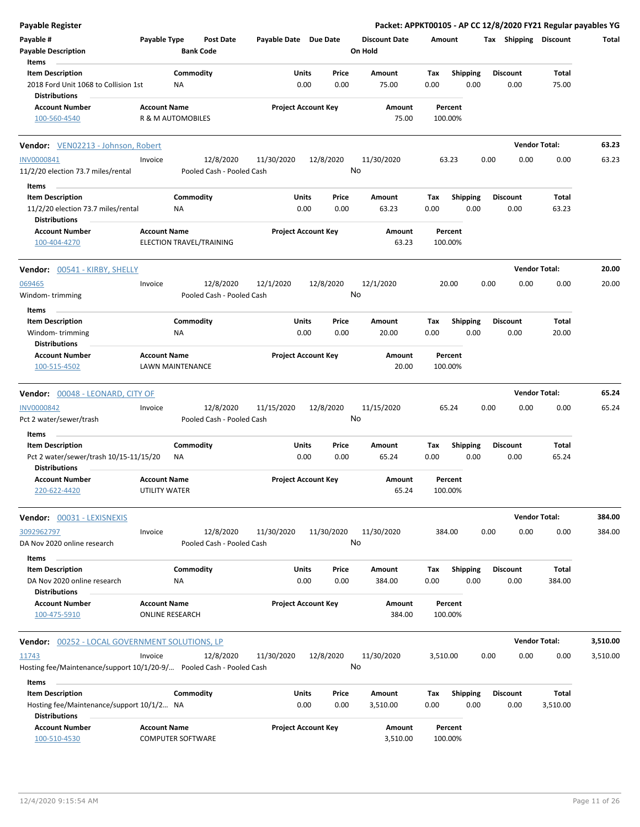| Payable Register                                                                        |                                      |                                      |                       |                            |                                 | Packet: APPKT00105 - AP CC 12/8/2020 FY21 Regular payables YG |      |                         |                      |          |
|-----------------------------------------------------------------------------------------|--------------------------------------|--------------------------------------|-----------------------|----------------------------|---------------------------------|---------------------------------------------------------------|------|-------------------------|----------------------|----------|
| Payable #<br><b>Payable Description</b>                                                 | Payable Type                         | <b>Post Date</b><br><b>Bank Code</b> | Payable Date Due Date |                            | <b>Discount Date</b><br>On Hold | Amount                                                        |      | Tax Shipping Discount   |                      | Total    |
| Items                                                                                   |                                      |                                      |                       |                            |                                 |                                                               |      |                         |                      |          |
| <b>Item Description</b><br>2018 Ford Unit 1068 to Collision 1st<br><b>Distributions</b> |                                      | Commodity<br>ΝA                      | Units                 | Price<br>0.00<br>0.00      | Amount<br>75.00                 | <b>Shipping</b><br>Tax<br>0.00                                | 0.00 | <b>Discount</b><br>0.00 | Total<br>75.00       |          |
| <b>Account Number</b>                                                                   | <b>Account Name</b>                  |                                      |                       | <b>Project Account Key</b> | Amount                          | Percent                                                       |      |                         |                      |          |
| 100-560-4540                                                                            |                                      | R & M AUTOMOBILES                    |                       |                            | 75.00                           | 100.00%                                                       |      |                         |                      |          |
| Vendor: VEN02213 - Johnson, Robert                                                      |                                      |                                      |                       |                            |                                 |                                                               |      |                         | <b>Vendor Total:</b> | 63.23    |
| <b>INV0000841</b>                                                                       | Invoice                              | 12/8/2020                            | 11/30/2020            | 12/8/2020                  | 11/30/2020                      | 63.23                                                         | 0.00 | 0.00                    | 0.00                 | 63.23    |
| 11/2/20 election 73.7 miles/rental                                                      |                                      | Pooled Cash - Pooled Cash            |                       |                            | No                              |                                                               |      |                         |                      |          |
| Items                                                                                   |                                      |                                      |                       |                            |                                 |                                                               |      |                         |                      |          |
| <b>Item Description</b>                                                                 |                                      | Commodity                            | Units                 | Price                      | Amount                          | <b>Shipping</b><br>Tax                                        |      | <b>Discount</b>         | Total                |          |
| 11/2/20 election 73.7 miles/rental<br><b>Distributions</b>                              |                                      | NA                                   |                       | 0.00<br>0.00               | 63.23                           | 0.00                                                          | 0.00 | 0.00                    | 63.23                |          |
| <b>Account Number</b><br>100-404-4270                                                   | <b>Account Name</b>                  | ELECTION TRAVEL/TRAINING             |                       | <b>Project Account Key</b> | Amount<br>63.23                 | Percent<br>100.00%                                            |      |                         |                      |          |
| <b>Vendor: 00541 - KIRBY, SHELLY</b>                                                    |                                      |                                      |                       |                            |                                 |                                                               |      |                         | <b>Vendor Total:</b> | 20.00    |
| 069465                                                                                  | Invoice                              | 12/8/2020                            | 12/1/2020             | 12/8/2020                  | 12/1/2020                       | 20.00                                                         | 0.00 | 0.00                    | 0.00                 | 20.00    |
| Windom-trimming                                                                         |                                      | Pooled Cash - Pooled Cash            |                       |                            | No                              |                                                               |      |                         |                      |          |
| Items                                                                                   |                                      |                                      |                       |                            |                                 |                                                               |      |                         |                      |          |
| <b>Item Description</b>                                                                 |                                      | Commodity                            | Units                 | Price                      | Amount                          | Tax<br><b>Shipping</b>                                        |      | <b>Discount</b>         | Total                |          |
| Windom-trimming                                                                         |                                      | ΝA                                   |                       | 0.00<br>0.00               | 20.00                           | 0.00                                                          | 0.00 | 0.00                    | 20.00                |          |
| <b>Distributions</b>                                                                    |                                      |                                      |                       |                            |                                 |                                                               |      |                         |                      |          |
| <b>Account Number</b><br>100-515-4502                                                   | <b>Account Name</b>                  | <b>LAWN MAINTENANCE</b>              |                       | <b>Project Account Key</b> | Amount<br>20.00                 | Percent<br>100.00%                                            |      |                         |                      |          |
| Vendor: 00048 - LEONARD, CITY OF                                                        |                                      |                                      |                       |                            |                                 |                                                               |      |                         | <b>Vendor Total:</b> | 65.24    |
| <b>INV0000842</b>                                                                       | Invoice                              | 12/8/2020                            | 11/15/2020            | 12/8/2020                  | 11/15/2020                      | 65.24                                                         | 0.00 | 0.00                    | 0.00                 | 65.24    |
| Pct 2 water/sewer/trash                                                                 |                                      | Pooled Cash - Pooled Cash            |                       |                            | No                              |                                                               |      |                         |                      |          |
| Items                                                                                   |                                      |                                      |                       |                            |                                 |                                                               |      |                         |                      |          |
| <b>Item Description</b>                                                                 |                                      | Commodity                            | Units                 | Price                      | Amount                          | Tax<br><b>Shipping</b>                                        |      | <b>Discount</b>         | Total                |          |
| Pct 2 water/sewer/trash 10/15-11/15/20<br><b>Distributions</b>                          |                                      | ΝA                                   |                       | 0.00<br>0.00               | 65.24                           | 0.00                                                          | 0.00 | 0.00                    | 65.24                |          |
| <b>Account Number</b><br>220-622-4420                                                   | <b>Account Name</b><br>UTILITY WATER |                                      |                       | <b>Project Account Key</b> | Amount<br>65.24                 | Percent<br>100.00%                                            |      |                         |                      |          |
| Vendor: 00031 - LEXISNEXIS                                                              |                                      |                                      |                       |                            |                                 |                                                               |      |                         | <b>Vendor Total:</b> | 384.00   |
| 3092962797                                                                              | Invoice                              | 12/8/2020                            | 11/30/2020            | 11/30/2020                 | 11/30/2020                      | 384.00                                                        | 0.00 | 0.00                    | 0.00                 | 384.00   |
| DA Nov 2020 online research                                                             |                                      | Pooled Cash - Pooled Cash            |                       |                            | No                              |                                                               |      |                         |                      |          |
| Items                                                                                   |                                      |                                      |                       |                            |                                 |                                                               |      |                         |                      |          |
| <b>Item Description</b>                                                                 |                                      | Commodity                            | Units                 | Price                      | Amount                          | <b>Shipping</b><br>Tax                                        |      | <b>Discount</b>         | Total                |          |
| DA Nov 2020 online research<br><b>Distributions</b>                                     |                                      | ΝA                                   |                       | 0.00<br>0.00               | 384.00                          | 0.00                                                          | 0.00 | 0.00                    | 384.00               |          |
| <b>Account Number</b>                                                                   | <b>Account Name</b>                  |                                      |                       | <b>Project Account Key</b> | Amount                          | Percent                                                       |      |                         |                      |          |
| 100-475-5910                                                                            | <b>ONLINE RESEARCH</b>               |                                      |                       |                            | 384.00                          | 100.00%                                                       |      |                         |                      |          |
| <b>Vendor: 00252 - LOCAL GOVERNMENT SOLUTIONS, LP</b>                                   |                                      |                                      |                       |                            |                                 |                                                               |      |                         | <b>Vendor Total:</b> | 3,510.00 |
| 11743                                                                                   | Invoice                              | 12/8/2020                            | 11/30/2020            | 12/8/2020                  | 11/30/2020                      | 3,510.00                                                      | 0.00 | 0.00                    | 0.00                 | 3,510.00 |
| Hosting fee/Maintenance/support 10/1/20-9/ Pooled Cash - Pooled Cash                    |                                      |                                      |                       |                            | No                              |                                                               |      |                         |                      |          |
| Items                                                                                   |                                      |                                      |                       |                            |                                 |                                                               |      |                         |                      |          |
| <b>Item Description</b>                                                                 |                                      | Commodity                            | Units                 | Price                      | Amount                          | <b>Shipping</b><br>Tax                                        |      | <b>Discount</b>         | Total                |          |
| Hosting fee/Maintenance/support 10/1/2 NA                                               |                                      |                                      |                       | 0.00<br>0.00               | 3,510.00                        | 0.00                                                          | 0.00 | 0.00                    | 3,510.00             |          |
| <b>Distributions</b>                                                                    |                                      |                                      |                       |                            |                                 |                                                               |      |                         |                      |          |
| <b>Account Number</b>                                                                   | <b>Account Name</b>                  |                                      |                       | <b>Project Account Key</b> | Amount                          | Percent                                                       |      |                         |                      |          |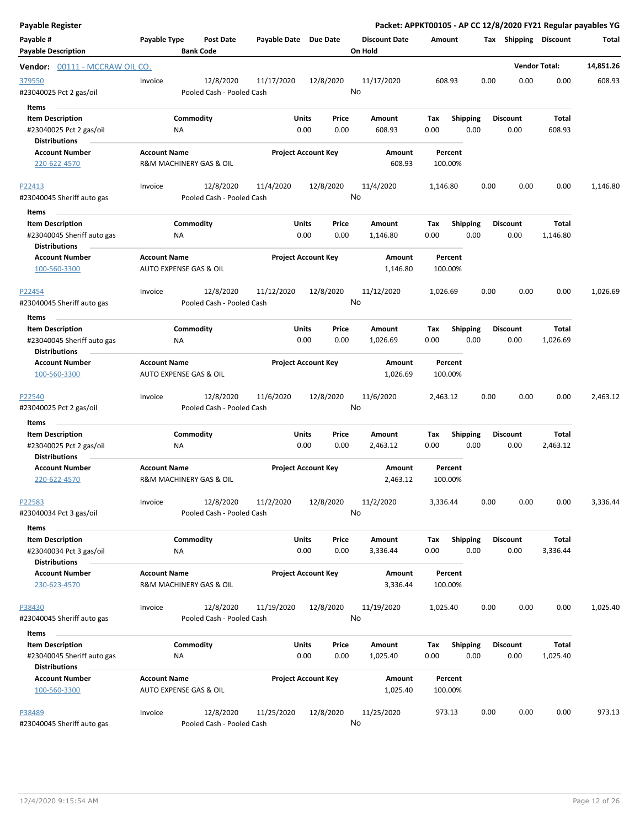| Payable Register                                                              |                     |                                        |                       |                                       | Packet: APPKT00105 - AP CC 12/8/2020 FY21 Regular payables YG |                    |                         |                         |                      |           |
|-------------------------------------------------------------------------------|---------------------|----------------------------------------|-----------------------|---------------------------------------|---------------------------------------------------------------|--------------------|-------------------------|-------------------------|----------------------|-----------|
| Payable #<br><b>Payable Description</b>                                       | Payable Type        | <b>Post Date</b><br><b>Bank Code</b>   | Payable Date Due Date |                                       | <b>Discount Date</b><br>On Hold                               | Amount             |                         | Tax Shipping Discount   |                      | Total     |
| Vendor: 00111 - MCCRAW OIL CO.                                                |                     |                                        |                       |                                       |                                                               |                    |                         |                         | <b>Vendor Total:</b> | 14,851.26 |
| 379550<br>#23040025 Pct 2 gas/oil<br><b>Items</b>                             | Invoice             | 12/8/2020<br>Pooled Cash - Pooled Cash | 11/17/2020            | 12/8/2020                             | 11/17/2020<br>No                                              | 608.93             | 0.00                    | 0.00                    | 0.00                 | 608.93    |
| <b>Item Description</b><br>#23040025 Pct 2 gas/oil<br><b>Distributions</b>    |                     | Commodity<br>ΝA                        |                       | <b>Units</b><br>Price<br>0.00<br>0.00 | Amount<br>608.93                                              | Tax<br>0.00        | <b>Shipping</b><br>0.00 | <b>Discount</b><br>0.00 | Total<br>608.93      |           |
| <b>Account Number</b><br>220-622-4570                                         | <b>Account Name</b> | R&M MACHINERY GAS & OIL                |                       | <b>Project Account Key</b>            | Amount<br>608.93                                              | Percent<br>100.00% |                         |                         |                      |           |
| P22413<br>#23040045 Sheriff auto gas                                          | Invoice             | 12/8/2020<br>Pooled Cash - Pooled Cash | 11/4/2020             | 12/8/2020                             | 11/4/2020<br>No                                               | 1,146.80           | 0.00                    | 0.00                    | 0.00                 | 1,146.80  |
| Items                                                                         |                     |                                        |                       |                                       |                                                               |                    |                         |                         |                      |           |
| <b>Item Description</b><br>#23040045 Sheriff auto gas<br><b>Distributions</b> |                     | Commodity<br><b>NA</b>                 |                       | Units<br>Price<br>0.00<br>0.00        | Amount<br>1,146.80                                            | Tax<br>0.00        | <b>Shipping</b><br>0.00 | <b>Discount</b><br>0.00 | Total<br>1,146.80    |           |
| <b>Account Number</b><br>100-560-3300                                         | <b>Account Name</b> | AUTO EXPENSE GAS & OIL                 |                       | <b>Project Account Key</b>            | Amount<br>1,146.80                                            | Percent<br>100.00% |                         |                         |                      |           |
| P22454<br>#23040045 Sheriff auto gas                                          | Invoice             | 12/8/2020<br>Pooled Cash - Pooled Cash | 11/12/2020            | 12/8/2020                             | 11/12/2020<br>No                                              | 1,026.69           | 0.00                    | 0.00                    | 0.00                 | 1,026.69  |
| Items                                                                         |                     |                                        |                       |                                       |                                                               |                    |                         |                         |                      |           |
| <b>Item Description</b><br>#23040045 Sheriff auto gas<br><b>Distributions</b> |                     | Commodity<br>ΝA                        |                       | <b>Units</b><br>Price<br>0.00<br>0.00 | Amount<br>1,026.69                                            | Tax<br>0.00        | <b>Shipping</b><br>0.00 | <b>Discount</b><br>0.00 | Total<br>1,026.69    |           |
| <b>Account Number</b><br>100-560-3300                                         | <b>Account Name</b> | AUTO EXPENSE GAS & OIL                 |                       | <b>Project Account Key</b>            | Amount<br>1,026.69                                            | Percent<br>100.00% |                         |                         |                      |           |
| P22540<br>#23040025 Pct 2 gas/oil                                             | Invoice             | 12/8/2020<br>Pooled Cash - Pooled Cash | 11/6/2020             | 12/8/2020                             | 11/6/2020<br>No                                               | 2,463.12           | 0.00                    | 0.00                    | 0.00                 | 2,463.12  |
| Items                                                                         |                     |                                        |                       |                                       |                                                               |                    |                         |                         |                      |           |
| <b>Item Description</b>                                                       |                     | Commodity                              |                       | Units<br>Price                        | Amount                                                        | Tax                | <b>Shipping</b>         | <b>Discount</b>         | Total                |           |
| #23040025 Pct 2 gas/oil<br><b>Distributions</b>                               |                     | ΝA                                     |                       | 0.00<br>0.00                          | 2,463.12                                                      | 0.00               | 0.00                    | 0.00                    | 2,463.12             |           |
| <b>Account Number</b><br>220-622-4570                                         | <b>Account Name</b> | R&M MACHINERY GAS & OIL                |                       | <b>Project Account Key</b>            | Amount<br>2,463.12                                            | Percent<br>100.00% |                         |                         |                      |           |
| P22583<br>#23040034 Pct 3 gas/oil                                             | Invoice             | 12/8/2020<br>Pooled Cash - Pooled Cash | 11/2/2020             | 12/8/2020                             | 11/2/2020<br>No                                               | 3,336.44           | 0.00                    | 0.00                    | 0.00                 | 3,336.44  |
| Items                                                                         |                     |                                        |                       |                                       |                                                               |                    |                         |                         |                      |           |
| <b>Item Description</b><br>#23040034 Pct 3 gas/oil                            |                     | Commodity<br>ΝA                        |                       | Units<br>Price<br>0.00<br>0.00        | Amount<br>3,336.44                                            | Tax<br>0.00        | <b>Shipping</b><br>0.00 | <b>Discount</b><br>0.00 | Total<br>3,336.44    |           |
| <b>Distributions</b><br><b>Account Number</b><br>230-623-4570                 | <b>Account Name</b> | R&M MACHINERY GAS & OIL                |                       | <b>Project Account Key</b>            | Amount<br>3,336.44                                            | Percent<br>100.00% |                         |                         |                      |           |
| P38430<br>#23040045 Sheriff auto gas                                          | Invoice             | 12/8/2020<br>Pooled Cash - Pooled Cash | 11/19/2020            | 12/8/2020                             | 11/19/2020<br>No                                              | 1,025.40           | 0.00                    | 0.00                    | 0.00                 | 1,025.40  |
| Items                                                                         |                     |                                        |                       |                                       |                                                               |                    |                         |                         |                      |           |
| <b>Item Description</b><br>#23040045 Sheriff auto gas                         |                     | Commodity<br>ΝA                        |                       | Units<br>Price<br>0.00<br>0.00        | Amount<br>1,025.40                                            | Tax<br>0.00        | <b>Shipping</b><br>0.00 | <b>Discount</b><br>0.00 | Total<br>1,025.40    |           |
| <b>Distributions</b><br><b>Account Number</b><br>100-560-3300                 | <b>Account Name</b> | AUTO EXPENSE GAS & OIL                 |                       | <b>Project Account Key</b>            | Amount<br>1,025.40                                            | Percent<br>100.00% |                         |                         |                      |           |
| P38489<br>#23040045 Sheriff auto gas                                          | Invoice             | 12/8/2020<br>Pooled Cash - Pooled Cash | 11/25/2020            | 12/8/2020                             | 11/25/2020<br>No                                              | 973.13             | 0.00                    | 0.00                    | 0.00                 | 973.13    |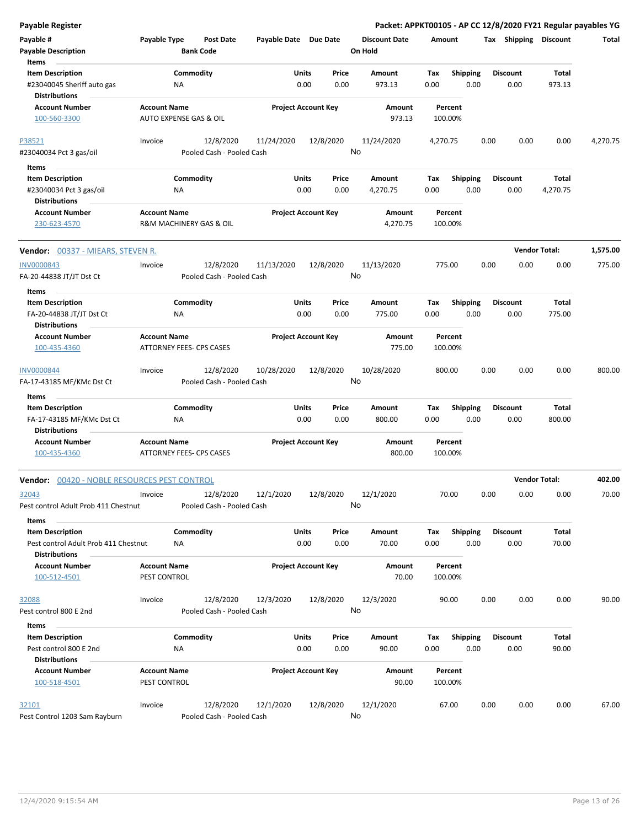| <b>Payable Register</b>                                                                          |                                               |                                        |                            |                      |               | Packet: APPKT00105 - AP CC 12/8/2020 FY21 Regular payables YG |             |                         |      |                         |                      |          |
|--------------------------------------------------------------------------------------------------|-----------------------------------------------|----------------------------------------|----------------------------|----------------------|---------------|---------------------------------------------------------------|-------------|-------------------------|------|-------------------------|----------------------|----------|
| Payable #<br><b>Payable Description</b>                                                          | Payable Type                                  | <b>Post Date</b><br><b>Bank Code</b>   | Payable Date Due Date      |                      |               | <b>Discount Date</b><br>On Hold                               | Amount      |                         |      | Tax Shipping Discount   |                      | Total    |
| Items<br><b>Item Description</b>                                                                 |                                               | Commodity                              |                            | Units                | Price         | Amount                                                        | Tax         | <b>Shipping</b>         |      | <b>Discount</b>         | Total                |          |
| #23040045 Sheriff auto gas                                                                       | ΝA                                            |                                        |                            | 0.00                 | 0.00          | 973.13                                                        | 0.00        | 0.00                    |      | 0.00                    | 973.13               |          |
| <b>Distributions</b>                                                                             |                                               |                                        |                            |                      |               |                                                               |             |                         |      |                         |                      |          |
| <b>Account Number</b><br>100-560-3300                                                            | <b>Account Name</b><br>AUTO EXPENSE GAS & OIL |                                        | <b>Project Account Key</b> |                      |               | Amount<br>973.13                                              |             | Percent<br>100.00%      |      |                         |                      |          |
| P38521                                                                                           | Invoice                                       | 12/8/2020                              | 11/24/2020                 | 12/8/2020            |               | 11/24/2020                                                    | 4,270.75    |                         | 0.00 | 0.00                    | 0.00                 | 4,270.75 |
| #23040034 Pct 3 gas/oil                                                                          |                                               | Pooled Cash - Pooled Cash              |                            |                      |               | No                                                            |             |                         |      |                         |                      |          |
| Items                                                                                            |                                               |                                        |                            |                      |               |                                                               |             |                         |      |                         |                      |          |
| <b>Item Description</b><br>#23040034 Pct 3 gas/oil                                               | ΝA                                            | Commodity                              |                            | Units<br>0.00        | Price<br>0.00 | Amount<br>4,270.75                                            | Tax<br>0.00 | <b>Shipping</b><br>0.00 |      | <b>Discount</b><br>0.00 | Total<br>4,270.75    |          |
| <b>Distributions</b>                                                                             |                                               |                                        |                            |                      |               |                                                               |             |                         |      |                         |                      |          |
| <b>Account Number</b><br>230-623-4570                                                            | <b>Account Name</b>                           | R&M MACHINERY GAS & OIL                | <b>Project Account Key</b> |                      |               | Amount<br>4,270.75                                            |             | Percent<br>100.00%      |      |                         |                      |          |
| Vendor: 00337 - MIEARS, STEVEN R.                                                                |                                               |                                        |                            |                      |               |                                                               |             |                         |      |                         | <b>Vendor Total:</b> | 1,575.00 |
| <b>INV0000843</b><br>FA-20-44838 JT/JT Dst Ct                                                    | Invoice                                       | 12/8/2020<br>Pooled Cash - Pooled Cash | 11/13/2020                 | 12/8/2020            | No            | 11/13/2020                                                    |             | 775.00                  | 0.00 | 0.00                    | 0.00                 | 775.00   |
| Items                                                                                            |                                               |                                        |                            |                      |               |                                                               |             |                         |      |                         |                      |          |
| <b>Item Description</b><br>FA-20-44838 JT/JT Dst Ct                                              | ΝA                                            | Commodity                              |                            | Units<br>0.00        | Price<br>0.00 | Amount<br>775.00                                              | Tax<br>0.00 | <b>Shipping</b><br>0.00 |      | <b>Discount</b><br>0.00 | Total<br>775.00      |          |
| <b>Distributions</b>                                                                             |                                               |                                        |                            |                      |               |                                                               |             |                         |      |                         |                      |          |
| <b>Account Number</b><br>100-435-4360                                                            | <b>Account Name</b>                           | <b>ATTORNEY FEES- CPS CASES</b>        | <b>Project Account Key</b> |                      |               | Amount<br>775.00                                              |             | Percent<br>100.00%      |      |                         |                      |          |
| <b>INV0000844</b><br>FA-17-43185 MF/KMc Dst Ct                                                   | Invoice                                       | 12/8/2020<br>Pooled Cash - Pooled Cash | 10/28/2020                 | 12/8/2020            | No            | 10/28/2020                                                    |             | 800.00                  | 0.00 | 0.00                    | 0.00                 | 800.00   |
| Items                                                                                            |                                               |                                        |                            |                      |               |                                                               |             |                         |      |                         |                      |          |
| <b>Item Description</b>                                                                          |                                               | Commodity                              |                            | Units                | Price         | Amount                                                        | Tax         | <b>Shipping</b>         |      | <b>Discount</b>         | Total                |          |
| FA-17-43185 MF/KMc Dst Ct<br><b>Distributions</b>                                                | ΝA                                            |                                        |                            | 0.00                 | 0.00          | 800.00                                                        | 0.00        | 0.00                    |      | 0.00                    | 800.00               |          |
| <b>Account Number</b><br>100-435-4360                                                            | <b>Account Name</b>                           | ATTORNEY FEES- CPS CASES               | <b>Project Account Key</b> |                      |               | Amount<br>800.00                                              |             | Percent<br>100.00%      |      |                         |                      |          |
| <b>Vendor:</b> 00420 - NOBLE RESOURCES PEST CONTROL                                              |                                               |                                        |                            |                      |               |                                                               |             |                         |      |                         | <b>Vendor Total:</b> | 402.00   |
| 32043<br>Pest control Adult Prob 411 Chestnut                                                    | Invoice                                       | 12/8/2020<br>Pooled Cash - Pooled Cash | 12/1/2020                  | 12/8/2020            |               | 12/1/2020<br>No                                               |             | 70.00                   | 0.00 | 0.00                    | 0.00                 | 70.00    |
|                                                                                                  |                                               |                                        |                            |                      |               |                                                               |             |                         |      |                         |                      |          |
| Items<br><b>Item Description</b><br>Pest control Adult Prob 411 Chestnut<br><b>Distributions</b> | NA                                            | Commodity                              |                            | <b>Units</b><br>0.00 | Price<br>0.00 | Amount<br>70.00                                               | Tax<br>0.00 | <b>Shipping</b><br>0.00 |      | <b>Discount</b><br>0.00 | Total<br>70.00       |          |
| <b>Account Number</b><br>100-512-4501                                                            | <b>Account Name</b><br>PEST CONTROL           |                                        | <b>Project Account Key</b> |                      |               | <b>Amount</b><br>70.00                                        |             | Percent<br>100.00%      |      |                         |                      |          |
| 32088<br>Pest control 800 E 2nd                                                                  | Invoice                                       | 12/8/2020<br>Pooled Cash - Pooled Cash | 12/3/2020                  | 12/8/2020            | No            | 12/3/2020                                                     |             | 90.00                   | 0.00 | 0.00                    | 0.00                 | 90.00    |
|                                                                                                  |                                               |                                        |                            |                      |               |                                                               |             |                         |      |                         |                      |          |
| Items<br><b>Item Description</b>                                                                 |                                               | Commodity                              |                            | Units                | Price         | Amount                                                        | Tax         | <b>Shipping</b>         |      | <b>Discount</b>         | Total                |          |
| Pest control 800 E 2nd<br><b>Distributions</b>                                                   | ΝA                                            |                                        |                            | 0.00                 | 0.00          | 90.00                                                         | 0.00        | 0.00                    |      | 0.00                    | 90.00                |          |
| <b>Account Number</b><br>100-518-4501                                                            | <b>Account Name</b><br>PEST CONTROL           |                                        | <b>Project Account Key</b> |                      |               | Amount<br>90.00                                               |             | Percent<br>100.00%      |      |                         |                      |          |
| 32101<br>Pest Control 1203 Sam Rayburn                                                           | Invoice                                       | 12/8/2020<br>Pooled Cash - Pooled Cash | 12/1/2020                  | 12/8/2020            |               | 12/1/2020<br>No                                               |             | 67.00                   | 0.00 | 0.00                    | 0.00                 | 67.00    |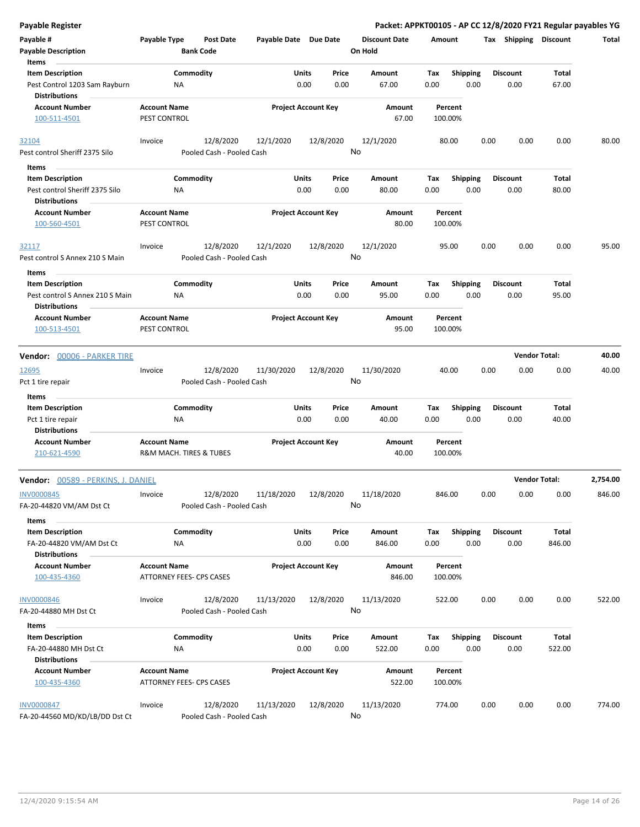| <b>Payable Register</b>                                                   |                                                 |                                        |                       |                            |                                 |                    |                         | Packet: APPKT00105 - AP CC 12/8/2020 FY21 Regular payables YG |                      |          |
|---------------------------------------------------------------------------|-------------------------------------------------|----------------------------------------|-----------------------|----------------------------|---------------------------------|--------------------|-------------------------|---------------------------------------------------------------|----------------------|----------|
| Payable #<br><b>Payable Description</b>                                   | Payable Type                                    | Post Date<br><b>Bank Code</b>          | Payable Date Due Date |                            | <b>Discount Date</b><br>On Hold | Amount             |                         | Tax Shipping Discount                                         |                      | Total    |
| Items                                                                     |                                                 |                                        |                       |                            |                                 |                    |                         |                                                               |                      |          |
| <b>Item Description</b><br>Pest Control 1203 Sam Rayburn<br>Distributions | ΝA                                              | Commodity                              | Units                 | Price<br>0.00<br>0.00      | Amount<br>67.00                 | Tax<br>0.00        | <b>Shipping</b><br>0.00 | <b>Discount</b><br>0.00                                       | Total<br>67.00       |          |
| <b>Account Number</b><br>100-511-4501                                     | <b>Account Name</b><br>PEST CONTROL             |                                        |                       | <b>Project Account Key</b> | Amount<br>67.00                 | Percent<br>100.00% |                         |                                                               |                      |          |
|                                                                           |                                                 |                                        |                       |                            |                                 |                    |                         |                                                               |                      |          |
| 32104                                                                     | Invoice                                         | 12/8/2020                              | 12/1/2020             | 12/8/2020                  | 12/1/2020                       | 80.00              |                         | 0.00<br>0.00                                                  | 0.00                 | 80.00    |
| Pest control Sheriff 2375 Silo                                            |                                                 | Pooled Cash - Pooled Cash              |                       |                            | No                              |                    |                         |                                                               |                      |          |
| Items                                                                     |                                                 |                                        |                       |                            |                                 |                    |                         |                                                               |                      |          |
| <b>Item Description</b><br>Pest control Sheriff 2375 Silo                 | NA                                              | Commodity                              | Units                 | Price<br>0.00<br>0.00      | Amount<br>80.00                 | Tax<br>0.00        | <b>Shipping</b><br>0.00 | <b>Discount</b><br>0.00                                       | Total<br>80.00       |          |
| <b>Distributions</b><br><b>Account Number</b>                             | <b>Account Name</b>                             |                                        |                       |                            | Amount                          | Percent            |                         |                                                               |                      |          |
| 100-560-4501                                                              | PEST CONTROL                                    |                                        |                       | <b>Project Account Key</b> | 80.00                           | 100.00%            |                         |                                                               |                      |          |
| 32117<br>Pest control S Annex 210 S Main                                  | Invoice                                         | 12/8/2020<br>Pooled Cash - Pooled Cash | 12/1/2020             | 12/8/2020                  | 12/1/2020<br>No                 | 95.00              |                         | 0.00<br>0.00                                                  | 0.00                 | 95.00    |
| Items                                                                     |                                                 |                                        |                       |                            |                                 |                    |                         |                                                               |                      |          |
| <b>Item Description</b><br>Pest control S Annex 210 S Main                | ΝA                                              | Commodity                              | Units                 | Price<br>0.00<br>0.00      | Amount<br>95.00                 | Tax<br>0.00        | <b>Shipping</b><br>0.00 | <b>Discount</b><br>0.00                                       | Total<br>95.00       |          |
| <b>Distributions</b>                                                      |                                                 |                                        |                       |                            |                                 |                    |                         |                                                               |                      |          |
| <b>Account Number</b><br>100-513-4501                                     | <b>Account Name</b><br>PEST CONTROL             |                                        |                       | <b>Project Account Key</b> | Amount<br>95.00                 | Percent<br>100.00% |                         |                                                               |                      |          |
|                                                                           |                                                 |                                        |                       |                            |                                 |                    |                         |                                                               |                      |          |
| Vendor: 00006 - PARKER TIRE                                               |                                                 |                                        |                       |                            |                                 |                    |                         |                                                               | <b>Vendor Total:</b> | 40.00    |
| 12695<br>Pct 1 tire repair                                                | Invoice                                         | 12/8/2020<br>Pooled Cash - Pooled Cash | 11/30/2020            | 12/8/2020                  | 11/30/2020<br>No                | 40.00              |                         | 0.00<br>0.00                                                  | 0.00                 | 40.00    |
| Items                                                                     |                                                 |                                        |                       |                            |                                 |                    |                         |                                                               |                      |          |
| <b>Item Description</b>                                                   |                                                 | Commodity                              | Units                 | Price                      | Amount                          | Tax                | <b>Shipping</b>         | <b>Discount</b>                                               | Total                |          |
| Pct 1 tire repair                                                         | <b>NA</b>                                       |                                        |                       | 0.00<br>0.00               | 40.00                           | 0.00               | 0.00                    | 0.00                                                          | 40.00                |          |
| Distributions                                                             |                                                 |                                        |                       |                            |                                 |                    |                         |                                                               |                      |          |
| <b>Account Number</b><br>210-621-4590                                     | <b>Account Name</b><br>R&M MACH. TIRES & TUBES  |                                        |                       | <b>Project Account Key</b> | Amount<br>40.00                 | Percent<br>100.00% |                         |                                                               |                      |          |
| <b>Vendor:</b> 00589 - PERKINS, J. DANIEL                                 |                                                 |                                        |                       |                            |                                 |                    |                         |                                                               | <b>Vendor Total:</b> | 2,754.00 |
| <b>INV0000845</b><br>FA-20-44820 VM/AM Dst Ct                             | Invoice                                         | 12/8/2020<br>Pooled Cash - Pooled Cash | 11/18/2020            | 12/8/2020                  | 11/18/2020<br>No                | 846.00             |                         | 0.00<br>0.00                                                  | 0.00                 | 846.00   |
| Items                                                                     |                                                 |                                        |                       |                            |                                 |                    |                         |                                                               |                      |          |
| <b>Item Description</b><br>FA-20-44820 VM/AM Dst Ct                       | NA                                              | Commodity                              | Units                 | Price<br>0.00<br>0.00      | Amount<br>846.00                | Tax<br>0.00        | <b>Shipping</b><br>0.00 | <b>Discount</b><br>0.00                                       | Total<br>846.00      |          |
| <b>Distributions</b>                                                      |                                                 |                                        |                       |                            |                                 |                    |                         |                                                               |                      |          |
| <b>Account Number</b><br>100-435-4360                                     | <b>Account Name</b><br>ATTORNEY FEES- CPS CASES |                                        |                       | <b>Project Account Key</b> | Amount<br>846.00                | Percent<br>100.00% |                         |                                                               |                      |          |
| <b>INV0000846</b>                                                         | Invoice                                         | 12/8/2020                              | 11/13/2020            | 12/8/2020                  | 11/13/2020                      | 522.00             |                         | 0.00<br>0.00                                                  | 0.00                 | 522.00   |
| FA-20-44880 MH Dst Ct                                                     |                                                 | Pooled Cash - Pooled Cash              |                       |                            | No                              |                    |                         |                                                               |                      |          |
| Items                                                                     |                                                 |                                        |                       |                            |                                 |                    |                         |                                                               |                      |          |
| <b>Item Description</b><br>FA-20-44880 MH Dst Ct<br>Distributions         | ΝA                                              | Commodity                              | Units                 | Price<br>0.00<br>0.00      | Amount<br>522.00                | Tax<br>0.00        | <b>Shipping</b><br>0.00 | <b>Discount</b><br>0.00                                       | Total<br>522.00      |          |
| <b>Account Number</b><br>100-435-4360                                     | <b>Account Name</b><br>ATTORNEY FEES- CPS CASES |                                        |                       | <b>Project Account Key</b> | Amount<br>522.00                | Percent<br>100.00% |                         |                                                               |                      |          |
| <b>INV0000847</b><br>FA-20-44560 MD/KD/LB/DD Dst Ct                       | Invoice                                         | 12/8/2020<br>Pooled Cash - Pooled Cash | 11/13/2020            | 12/8/2020                  | 11/13/2020<br>No                | 774.00             |                         | 0.00<br>0.00                                                  | 0.00                 | 774.00   |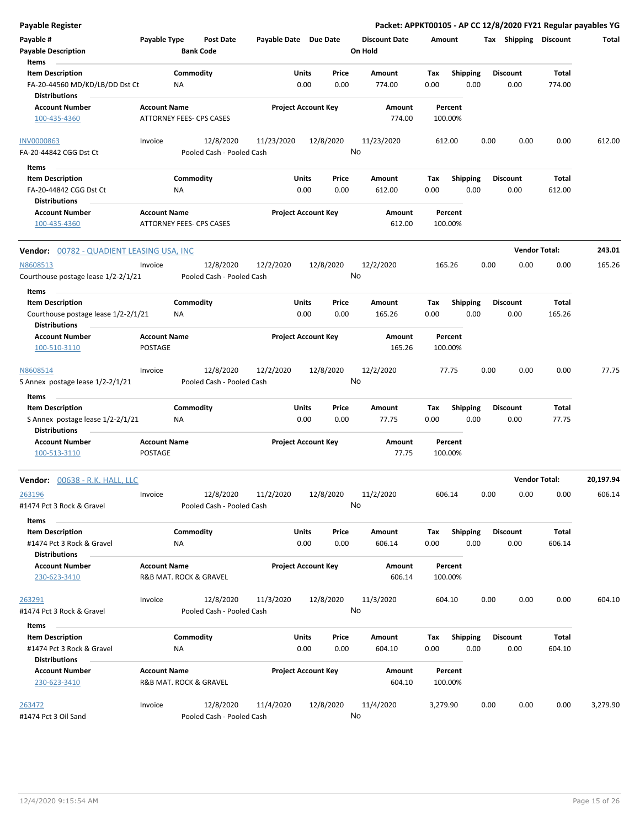| Payable Register                                               |                     |                                      |                       |                                |      | Packet: APPKT00105 - AP CC 12/8/2020 FY21 Regular payables YG |             |                         |      |                         |                      |           |
|----------------------------------------------------------------|---------------------|--------------------------------------|-----------------------|--------------------------------|------|---------------------------------------------------------------|-------------|-------------------------|------|-------------------------|----------------------|-----------|
| Payable #<br><b>Payable Description</b>                        | Payable Type        | <b>Post Date</b><br><b>Bank Code</b> | Payable Date Due Date |                                |      | <b>Discount Date</b><br>On Hold                               | Amount      |                         |      | Tax Shipping Discount   |                      | Total     |
| Items                                                          |                     |                                      |                       |                                |      |                                                               |             |                         |      |                         |                      |           |
| <b>Item Description</b><br>FA-20-44560 MD/KD/LB/DD Dst Ct      |                     | Commodity<br>ΝA                      |                       | Units<br>Price<br>0.00<br>0.00 |      | Amount<br>774.00                                              | Tax<br>0.00 | <b>Shipping</b><br>0.00 |      | <b>Discount</b><br>0.00 | Total<br>774.00      |           |
| <b>Distributions</b>                                           |                     |                                      |                       |                                |      |                                                               |             |                         |      |                         |                      |           |
| <b>Account Number</b><br>100-435-4360                          | <b>Account Name</b> | ATTORNEY FEES- CPS CASES             |                       | <b>Project Account Key</b>     |      | Amount<br>774.00                                              |             | Percent<br>100.00%      |      |                         |                      |           |
| <b>INV0000863</b>                                              | Invoice             | 12/8/2020                            | 11/23/2020            | 12/8/2020                      |      | 11/23/2020                                                    |             | 612.00                  | 0.00 | 0.00                    | 0.00                 | 612.00    |
| FA-20-44842 CGG Dst Ct                                         |                     | Pooled Cash - Pooled Cash            |                       |                                | No   |                                                               |             |                         |      |                         |                      |           |
| Items                                                          |                     |                                      |                       |                                |      |                                                               |             |                         |      |                         |                      |           |
| <b>Item Description</b>                                        |                     | Commodity                            |                       | Units<br>Price                 |      | Amount                                                        | Tax         | <b>Shipping</b>         |      | <b>Discount</b>         | Total                |           |
| FA-20-44842 CGG Dst Ct                                         |                     | ΝA                                   |                       | 0.00<br>0.00                   |      | 612.00                                                        | 0.00        | 0.00                    |      | 0.00                    | 612.00               |           |
| <b>Distributions</b><br><b>Account Number</b><br>100-435-4360  | <b>Account Name</b> | <b>ATTORNEY FEES- CPS CASES</b>      |                       | <b>Project Account Key</b>     |      | Amount<br>612.00                                              |             | Percent<br>100.00%      |      |                         |                      |           |
| <b>Vendor:</b> 00782 - QUADIENT LEASING USA, INC               |                     |                                      |                       |                                |      |                                                               |             |                         |      |                         | <b>Vendor Total:</b> | 243.01    |
| N8608513                                                       | Invoice             | 12/8/2020                            | 12/2/2020             | 12/8/2020                      |      | 12/2/2020                                                     |             | 165.26                  | 0.00 | 0.00                    | 0.00                 | 165.26    |
| Courthouse postage lease 1/2-2/1/21                            |                     | Pooled Cash - Pooled Cash            |                       |                                | No   |                                                               |             |                         |      |                         |                      |           |
| Items                                                          |                     |                                      |                       |                                |      |                                                               |             |                         |      |                         |                      |           |
| <b>Item Description</b><br>Courthouse postage lease 1/2-2/1/21 |                     | Commodity<br>ΝA                      |                       | Units<br>Price<br>0.00<br>0.00 |      | Amount<br>165.26                                              | Tax<br>0.00 | <b>Shipping</b><br>0.00 |      | <b>Discount</b><br>0.00 | Total<br>165.26      |           |
| <b>Distributions</b>                                           |                     |                                      |                       |                                |      |                                                               |             |                         |      |                         |                      |           |
| <b>Account Number</b>                                          | <b>Account Name</b> |                                      |                       | <b>Project Account Key</b>     |      | Amount                                                        |             | Percent                 |      |                         |                      |           |
| 100-510-3110                                                   | POSTAGE             |                                      |                       |                                |      | 165.26                                                        |             | 100.00%                 |      |                         |                      |           |
| N8608514                                                       | Invoice             | 12/8/2020                            | 12/2/2020             | 12/8/2020                      |      | 12/2/2020                                                     |             | 77.75                   | 0.00 | 0.00                    | 0.00                 | 77.75     |
| S Annex postage lease 1/2-2/1/21                               |                     | Pooled Cash - Pooled Cash            |                       |                                | No   |                                                               |             |                         |      |                         |                      |           |
| Items                                                          |                     |                                      |                       |                                |      |                                                               |             |                         |      |                         |                      |           |
| <b>Item Description</b>                                        |                     | Commodity                            |                       | Units<br>Price                 |      | Amount                                                        | Tax         | <b>Shipping</b>         |      | <b>Discount</b>         | Total                |           |
| S Annex postage lease 1/2-2/1/21<br><b>Distributions</b>       |                     | ΝA                                   |                       | 0.00                           | 0.00 | 77.75                                                         | 0.00        | 0.00                    |      | 0.00                    | 77.75                |           |
| <b>Account Number</b>                                          | <b>Account Name</b> |                                      |                       | <b>Project Account Key</b>     |      | Amount                                                        |             | Percent                 |      |                         |                      |           |
| 100-513-3110                                                   | POSTAGE             |                                      |                       |                                |      | 77.75                                                         |             | 100.00%                 |      |                         |                      |           |
| Vendor: 00638 - R.K. HALL, LLC                                 |                     |                                      |                       |                                |      |                                                               |             |                         |      |                         | <b>Vendor Total:</b> | 20,197.94 |
| 263196                                                         | Invoice             | 12/8/2020                            | 11/2/2020             | 12/8/2020                      |      | 11/2/2020                                                     |             | 606.14                  | 0.00 | 0.00                    | 0.00                 | 606.14    |
| #1474 Pct 3 Rock & Gravel                                      |                     | Pooled Cash - Pooled Cash            |                       |                                | No   |                                                               |             |                         |      |                         |                      |           |
| Items                                                          |                     |                                      |                       |                                |      |                                                               |             |                         |      |                         |                      |           |
| <b>Item Description</b><br>#1474 Pct 3 Rock & Gravel           |                     | Commodity<br>ΝA                      |                       | Units<br>Price<br>0.00         | 0.00 | Amount<br>606.14                                              | Tax<br>0.00 | Shipping<br>0.00        |      | <b>Discount</b><br>0.00 | Total<br>606.14      |           |
| <b>Distributions</b>                                           |                     |                                      |                       |                                |      |                                                               |             |                         |      |                         |                      |           |
| <b>Account Number</b><br>230-623-3410                          | <b>Account Name</b> | R&B MAT. ROCK & GRAVEL               |                       | <b>Project Account Key</b>     |      | Amount<br>606.14                                              |             | Percent<br>100.00%      |      |                         |                      |           |
| 263291                                                         | Invoice             | 12/8/2020                            | 11/3/2020             | 12/8/2020                      |      | 11/3/2020                                                     |             | 604.10                  | 0.00 | 0.00                    | 0.00                 | 604.10    |
| #1474 Pct 3 Rock & Gravel                                      |                     | Pooled Cash - Pooled Cash            |                       |                                | No   |                                                               |             |                         |      |                         |                      |           |
| Items                                                          |                     |                                      |                       |                                |      |                                                               |             |                         |      |                         |                      |           |
| <b>Item Description</b>                                        |                     | Commodity                            |                       | Units<br>Price                 |      | Amount                                                        | Tax         | <b>Shipping</b>         |      | <b>Discount</b>         | Total                |           |
| #1474 Pct 3 Rock & Gravel<br><b>Distributions</b>              |                     | ΝA                                   |                       | 0.00<br>0.00                   |      | 604.10                                                        | 0.00        | 0.00                    |      | 0.00                    | 604.10               |           |
| <b>Account Number</b>                                          | <b>Account Name</b> |                                      |                       | <b>Project Account Key</b>     |      | Amount                                                        |             | Percent                 |      |                         |                      |           |
| 230-623-3410                                                   |                     | R&B MAT. ROCK & GRAVEL               |                       |                                |      | 604.10                                                        |             | 100.00%                 |      |                         |                      |           |
| 263472                                                         | Invoice             | 12/8/2020                            | 11/4/2020             | 12/8/2020                      |      | 11/4/2020                                                     | 3,279.90    |                         | 0.00 | 0.00                    | 0.00                 | 3,279.90  |
| #1474 Pct 3 Oil Sand                                           |                     | Pooled Cash - Pooled Cash            |                       |                                | No   |                                                               |             |                         |      |                         |                      |           |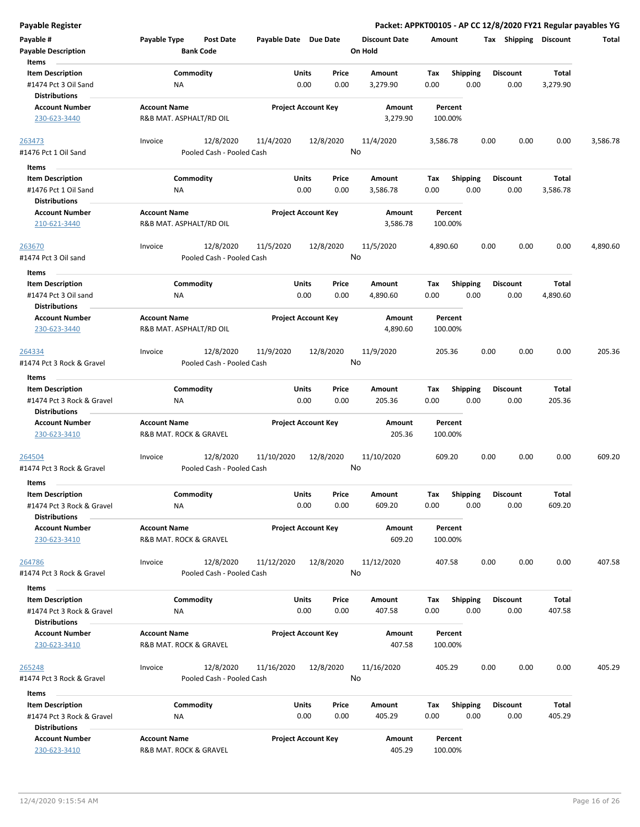| <b>Payable Register</b>                                                               |                                                |                                        |                       |                                |                                 |             |                         | Packet: APPKT00105 - AP CC 12/8/2020 FY21 Regular payables YG |                          |          |
|---------------------------------------------------------------------------------------|------------------------------------------------|----------------------------------------|-----------------------|--------------------------------|---------------------------------|-------------|-------------------------|---------------------------------------------------------------|--------------------------|----------|
| Payable #<br><b>Payable Description</b>                                               | Payable Type                                   | <b>Post Date</b><br><b>Bank Code</b>   | Payable Date Due Date |                                | <b>Discount Date</b><br>On Hold | Amount      |                         | Tax Shipping Discount                                         |                          | Total    |
| Items<br><b>Item Description</b><br>#1474 Pct 3 Oil Sand                              | ΝA                                             | Commodity                              |                       | Units<br>Price<br>0.00<br>0.00 | Amount<br>3,279.90              | Tax<br>0.00 | <b>Shipping</b><br>0.00 | <b>Discount</b><br>0.00                                       | <b>Total</b><br>3,279.90 |          |
| <b>Distributions</b><br><b>Account Number</b><br>230-623-3440                         | <b>Account Name</b><br>R&B MAT. ASPHALT/RD OIL |                                        |                       | <b>Project Account Key</b>     | Amount<br>3,279.90              | 100.00%     | Percent                 |                                                               |                          |          |
| 263473<br>#1476 Pct 1 Oil Sand                                                        | Invoice                                        | 12/8/2020<br>Pooled Cash - Pooled Cash | 11/4/2020             | 12/8/2020                      | 11/4/2020<br>No                 | 3,586.78    |                         | 0.00<br>0.00                                                  | 0.00                     | 3,586.78 |
| Items<br><b>Item Description</b><br>#1476 Pct 1 Oil Sand<br><b>Distributions</b>      | ΝA                                             | Commodity                              |                       | Units<br>Price<br>0.00<br>0.00 | Amount<br>3,586.78              | Tax<br>0.00 | <b>Shipping</b><br>0.00 | <b>Discount</b><br>0.00                                       | Total<br>3,586.78        |          |
| <b>Account Number</b><br>210-621-3440                                                 | <b>Account Name</b><br>R&B MAT. ASPHALT/RD OIL |                                        |                       | <b>Project Account Key</b>     | Amount<br>3,586.78              | 100.00%     | Percent                 |                                                               |                          |          |
| 263670<br>#1474 Pct 3 Oil sand                                                        | Invoice                                        | 12/8/2020<br>Pooled Cash - Pooled Cash | 11/5/2020             | 12/8/2020                      | 11/5/2020<br>No                 | 4,890.60    |                         | 0.00<br>0.00                                                  | 0.00                     | 4,890.60 |
| Items<br><b>Item Description</b><br>#1474 Pct 3 Oil sand                              | NA                                             | Commodity                              |                       | Units<br>Price<br>0.00<br>0.00 | Amount<br>4,890.60              | Tax<br>0.00 | <b>Shipping</b><br>0.00 | <b>Discount</b><br>0.00                                       | Total<br>4,890.60        |          |
| <b>Distributions</b><br><b>Account Number</b><br>230-623-3440                         | <b>Account Name</b><br>R&B MAT. ASPHALT/RD OIL |                                        |                       | <b>Project Account Key</b>     | <b>Amount</b><br>4,890.60       | 100.00%     | Percent                 |                                                               |                          |          |
| 264334<br>#1474 Pct 3 Rock & Gravel                                                   | Invoice                                        | 12/8/2020<br>Pooled Cash - Pooled Cash | 11/9/2020             | 12/8/2020                      | 11/9/2020<br>No                 | 205.36      |                         | 0.00<br>0.00                                                  | 0.00                     | 205.36   |
| Items                                                                                 |                                                |                                        |                       |                                |                                 |             |                         |                                                               |                          |          |
| <b>Item Description</b><br>#1474 Pct 3 Rock & Gravel<br><b>Distributions</b>          | ΝA                                             | Commodity                              |                       | Units<br>Price<br>0.00<br>0.00 | Amount<br>205.36                | Tax<br>0.00 | <b>Shipping</b><br>0.00 | <b>Discount</b><br>0.00                                       | Total<br>205.36          |          |
| <b>Account Number</b><br>230-623-3410                                                 | <b>Account Name</b><br>R&B MAT. ROCK & GRAVEL  |                                        |                       | <b>Project Account Key</b>     | Amount<br>205.36                | 100.00%     | Percent                 |                                                               |                          |          |
| 264504<br>#1474 Pct 3 Rock & Gravel                                                   | Invoice                                        | 12/8/2020<br>Pooled Cash - Pooled Cash | 11/10/2020            | 12/8/2020                      | 11/10/2020<br>No                | 609.20      |                         | 0.00<br>0.00                                                  | 0.00                     | 609.20   |
| Items<br><b>Item Description</b><br>#1474 Pct 3 Rock & Gravel<br><b>Distributions</b> | NA                                             | Commodity                              |                       | Units<br>Price<br>0.00<br>0.00 | Amount<br>609.20                | Tax<br>0.00 | Shipping<br>0.00        | <b>Discount</b><br>0.00                                       | Total<br>609.20          |          |
| <b>Account Number</b><br>230-623-3410                                                 | <b>Account Name</b><br>R&B MAT. ROCK & GRAVEL  |                                        |                       | <b>Project Account Key</b>     | Amount<br>609.20                | 100.00%     | Percent                 |                                                               |                          |          |
| 264786<br>#1474 Pct 3 Rock & Gravel                                                   | Invoice                                        | 12/8/2020<br>Pooled Cash - Pooled Cash | 11/12/2020            | 12/8/2020                      | 11/12/2020<br>No                | 407.58      |                         | 0.00<br>0.00                                                  | 0.00                     | 407.58   |
| Items                                                                                 |                                                |                                        |                       |                                |                                 |             |                         |                                                               |                          |          |
| <b>Item Description</b><br>#1474 Pct 3 Rock & Gravel<br><b>Distributions</b>          | NA                                             | Commodity                              |                       | Units<br>Price<br>0.00<br>0.00 | Amount<br>407.58                | Tax<br>0.00 | Shipping<br>0.00        | <b>Discount</b><br>0.00                                       | Total<br>407.58          |          |
| <b>Account Number</b><br>230-623-3410                                                 | <b>Account Name</b><br>R&B MAT. ROCK & GRAVEL  |                                        |                       | <b>Project Account Key</b>     | Amount<br>407.58                | 100.00%     | Percent                 |                                                               |                          |          |
| 265248<br>#1474 Pct 3 Rock & Gravel                                                   | Invoice                                        | 12/8/2020<br>Pooled Cash - Pooled Cash | 11/16/2020            | 12/8/2020                      | 11/16/2020<br>No                | 405.29      |                         | 0.00<br>0.00                                                  | 0.00                     | 405.29   |
| Items                                                                                 |                                                |                                        |                       |                                |                                 |             |                         |                                                               |                          |          |
| <b>Item Description</b><br>#1474 Pct 3 Rock & Gravel<br><b>Distributions</b>          | ΝA                                             | Commodity                              |                       | Units<br>Price<br>0.00<br>0.00 | Amount<br>405.29                | Tax<br>0.00 | <b>Shipping</b><br>0.00 | <b>Discount</b><br>0.00                                       | Total<br>405.29          |          |
| <b>Account Number</b><br>230-623-3410                                                 | <b>Account Name</b><br>R&B MAT. ROCK & GRAVEL  |                                        |                       | <b>Project Account Key</b>     | Amount<br>405.29                | 100.00%     | Percent                 |                                                               |                          |          |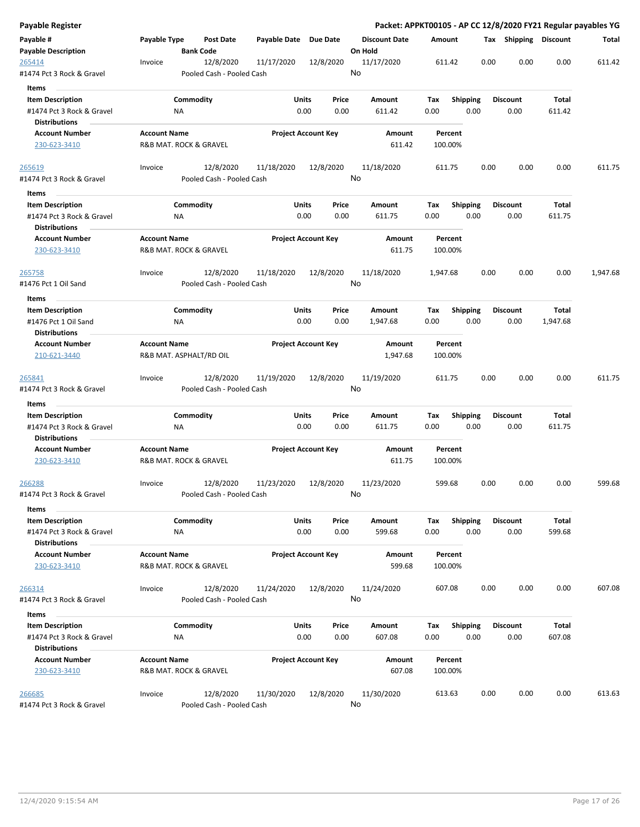| Payable Register                                  |                     |           |                                        |                       |                            |       |                                 |          |                    |      |                 |                       | Packet: APPKT00105 - AP CC 12/8/2020 FY21 Regular payables YG |
|---------------------------------------------------|---------------------|-----------|----------------------------------------|-----------------------|----------------------------|-------|---------------------------------|----------|--------------------|------|-----------------|-----------------------|---------------------------------------------------------------|
| Payable #<br><b>Payable Description</b>           | Payable Type        |           | Post Date<br><b>Bank Code</b>          | Payable Date Due Date |                            |       | <b>Discount Date</b><br>On Hold | Amount   |                    |      |                 | Tax Shipping Discount | Total                                                         |
| <u> 265414</u><br>#1474 Pct 3 Rock & Gravel       | Invoice             |           | 12/8/2020<br>Pooled Cash - Pooled Cash | 11/17/2020            | 12/8/2020                  |       | 11/17/2020<br>No                |          | 611.42             |      | 0.00            | 0.00<br>0.00          | 611.42                                                        |
| Items                                             |                     |           |                                        |                       |                            |       |                                 |          |                    |      |                 |                       |                                                               |
| <b>Item Description</b>                           |                     | Commodity |                                        |                       | Units                      | Price | Amount                          | Tax      | <b>Shipping</b>    |      | <b>Discount</b> | Total                 |                                                               |
| #1474 Pct 3 Rock & Gravel                         |                     | ΝA        |                                        |                       | 0.00                       | 0.00  | 611.42                          | 0.00     |                    | 0.00 | 0.00            | 611.42                |                                                               |
| <b>Distributions</b>                              |                     |           |                                        |                       |                            |       |                                 |          |                    |      |                 |                       |                                                               |
| <b>Account Number</b>                             | <b>Account Name</b> |           |                                        |                       | <b>Project Account Key</b> |       | Amount                          |          | Percent            |      |                 |                       |                                                               |
| 230-623-3410                                      |                     |           | R&B MAT. ROCK & GRAVEL                 |                       |                            |       | 611.42                          |          | 100.00%            |      |                 |                       |                                                               |
| <u> 265619 </u>                                   | Invoice             |           | 12/8/2020                              | 11/18/2020            | 12/8/2020                  |       | 11/18/2020                      |          | 611.75             |      | 0.00            | 0.00<br>0.00          | 611.75                                                        |
| #1474 Pct 3 Rock & Gravel                         |                     |           | Pooled Cash - Pooled Cash              |                       |                            |       | No                              |          |                    |      |                 |                       |                                                               |
| Items                                             |                     |           |                                        |                       |                            |       |                                 |          |                    |      |                 |                       |                                                               |
| <b>Item Description</b>                           |                     | Commodity |                                        |                       | Units                      | Price | Amount                          | Tax      | Shipping           |      | <b>Discount</b> | Total                 |                                                               |
| #1474 Pct 3 Rock & Gravel<br><b>Distributions</b> |                     | ΝA        |                                        |                       | 0.00                       | 0.00  | 611.75                          | 0.00     |                    | 0.00 | 0.00            | 611.75                |                                                               |
| <b>Account Number</b><br>230-623-3410             | <b>Account Name</b> |           | R&B MAT. ROCK & GRAVEL                 |                       | <b>Project Account Key</b> |       | Amount<br>611.75                |          | Percent<br>100.00% |      |                 |                       |                                                               |
| 265758                                            | Invoice             |           | 12/8/2020                              | 11/18/2020            | 12/8/2020                  |       | 11/18/2020                      | 1,947.68 |                    |      | 0.00            | 0.00<br>0.00          | 1,947.68                                                      |
| #1476 Pct 1 Oil Sand                              |                     |           | Pooled Cash - Pooled Cash              |                       |                            |       | No                              |          |                    |      |                 |                       |                                                               |
| Items                                             |                     |           |                                        |                       |                            |       |                                 |          |                    |      |                 |                       |                                                               |
| <b>Item Description</b>                           |                     | Commodity |                                        |                       | <b>Units</b>               | Price | Amount                          | Tax      | <b>Shipping</b>    |      | <b>Discount</b> | Total                 |                                                               |
| #1476 Pct 1 Oil Sand                              |                     | ΝA        |                                        |                       | 0.00                       | 0.00  | 1,947.68                        | 0.00     |                    | 0.00 | 0.00            | 1,947.68              |                                                               |
| <b>Distributions</b>                              |                     |           |                                        |                       |                            |       |                                 |          |                    |      |                 |                       |                                                               |
| <b>Account Number</b>                             | <b>Account Name</b> |           |                                        |                       | <b>Project Account Key</b> |       | Amount                          |          | Percent            |      |                 |                       |                                                               |
| 210-621-3440                                      |                     |           | R&B MAT. ASPHALT/RD OIL                |                       |                            |       | 1,947.68                        |          | 100.00%            |      |                 |                       |                                                               |
| 265841                                            | Invoice             |           | 12/8/2020                              | 11/19/2020            | 12/8/2020                  |       | 11/19/2020                      |          | 611.75             |      | 0.00            | 0.00<br>0.00          | 611.75                                                        |
| #1474 Pct 3 Rock & Gravel                         |                     |           | Pooled Cash - Pooled Cash              |                       |                            |       | No                              |          |                    |      |                 |                       |                                                               |
| Items<br><b>Item Description</b>                  |                     | Commodity |                                        |                       | Units                      | Price | Amount                          | Tax      | <b>Shipping</b>    |      | <b>Discount</b> | Total                 |                                                               |
| #1474 Pct 3 Rock & Gravel                         |                     | NA        |                                        |                       | 0.00                       | 0.00  | 611.75                          | 0.00     |                    | 0.00 | 0.00            | 611.75                |                                                               |
| <b>Distributions</b>                              |                     |           |                                        |                       |                            |       |                                 |          |                    |      |                 |                       |                                                               |
| <b>Account Number</b>                             | <b>Account Name</b> |           |                                        |                       | <b>Project Account Key</b> |       | <b>Amount</b>                   |          | Percent            |      |                 |                       |                                                               |
| 230-623-3410                                      |                     |           | R&B MAT. ROCK & GRAVEL                 |                       |                            |       | 611.75                          |          | 100.00%            |      |                 |                       |                                                               |
| 266288<br>#1474 Pct 3 Rock & Gravel               | Invoice             |           | 12/8/2020<br>Pooled Cash - Pooled Cash | 11/23/2020            | 12/8/2020                  |       | 11/23/2020<br>No                |          | 599.68             |      | 0.00            | 0.00<br>0.00          | 599.68                                                        |
| Items                                             |                     |           |                                        |                       |                            |       |                                 |          |                    |      |                 |                       |                                                               |
| <b>Item Description</b>                           |                     | Commodity |                                        |                       | <b>Units</b>               | Price | Amount                          | Tax      | <b>Shipping</b>    |      | <b>Discount</b> | Total                 |                                                               |
| #1474 Pct 3 Rock & Gravel<br><b>Distributions</b> |                     | ΝA        |                                        |                       | 0.00                       | 0.00  | 599.68                          | 0.00     |                    | 0.00 | 0.00            | 599.68                |                                                               |
| <b>Account Number</b>                             | <b>Account Name</b> |           |                                        |                       | <b>Project Account Key</b> |       | Amount                          |          | Percent            |      |                 |                       |                                                               |
| 230-623-3410                                      |                     |           | R&B MAT. ROCK & GRAVEL                 |                       |                            |       | 599.68                          |          | 100.00%            |      |                 |                       |                                                               |
| <u> 266314</u>                                    | Invoice             |           | 12/8/2020                              | 11/24/2020            | 12/8/2020                  |       | 11/24/2020                      |          | 607.08             |      | 0.00            | 0.00<br>0.00          | 607.08                                                        |
| #1474 Pct 3 Rock & Gravel                         |                     |           | Pooled Cash - Pooled Cash              |                       |                            |       | No                              |          |                    |      |                 |                       |                                                               |
| Items                                             |                     |           |                                        |                       |                            |       |                                 |          |                    |      |                 |                       |                                                               |
| <b>Item Description</b>                           |                     | Commodity |                                        |                       | <b>Units</b>               | Price | Amount                          | Тах      | <b>Shipping</b>    |      | <b>Discount</b> | Total                 |                                                               |
| #1474 Pct 3 Rock & Gravel                         |                     | ΝA        |                                        |                       | 0.00                       | 0.00  | 607.08                          | 0.00     |                    | 0.00 | 0.00            | 607.08                |                                                               |
| <b>Distributions</b>                              |                     |           |                                        |                       |                            |       |                                 |          |                    |      |                 |                       |                                                               |
| <b>Account Number</b>                             | <b>Account Name</b> |           |                                        |                       | <b>Project Account Key</b> |       | Amount                          |          | Percent            |      |                 |                       |                                                               |
| 230-623-3410                                      |                     |           | R&B MAT. ROCK & GRAVEL                 |                       |                            |       | 607.08                          |          | 100.00%            |      |                 |                       |                                                               |
| 266685                                            | Invoice             |           | 12/8/2020                              | 11/30/2020            | 12/8/2020                  |       | 11/30/2020                      | 613.63   |                    |      | 0.00            | 0.00<br>0.00          | 613.63                                                        |
| #1474 Pct 3 Rock & Gravel                         |                     |           | Pooled Cash - Pooled Cash              |                       |                            |       | No                              |          |                    |      |                 |                       |                                                               |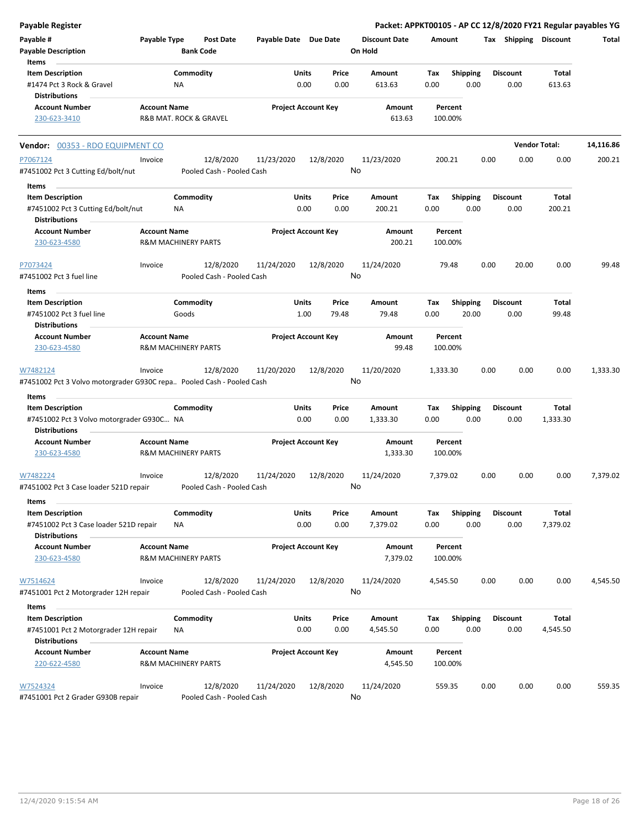| Payable Register                                                                  |                     |                                        |                       |                            |                                 |                    |                          | Packet: APPKT00105 - AP CC 12/8/2020 FY21 Regular payables YG |                      |           |
|-----------------------------------------------------------------------------------|---------------------|----------------------------------------|-----------------------|----------------------------|---------------------------------|--------------------|--------------------------|---------------------------------------------------------------|----------------------|-----------|
| Payable #<br><b>Payable Description</b>                                           | Payable Type        | Post Date<br><b>Bank Code</b>          | Payable Date Due Date |                            | <b>Discount Date</b><br>On Hold | Amount             |                          | Tax Shipping Discount                                         |                      | Total     |
| Items<br><b>Item Description</b><br>#1474 Pct 3 Rock & Gravel                     |                     | Commodity<br>NA                        | Units                 | Price<br>0.00<br>0.00      | Amount<br>613.63                | Tax<br>0.00        | <b>Shipping</b><br>0.00  | <b>Discount</b><br>0.00                                       | Total<br>613.63      |           |
| Distributions                                                                     |                     |                                        |                       |                            |                                 |                    |                          |                                                               |                      |           |
| <b>Account Number</b><br>230-623-3410                                             | <b>Account Name</b> | R&B MAT. ROCK & GRAVEL                 |                       | <b>Project Account Key</b> | Amount<br>613.63                | Percent<br>100.00% |                          |                                                               |                      |           |
| Vendor: 00353 - RDO EQUIPMENT CO                                                  |                     |                                        |                       |                            |                                 |                    |                          |                                                               | <b>Vendor Total:</b> | 14,116.86 |
| P7067124                                                                          | Invoice             | 12/8/2020                              | 11/23/2020            | 12/8/2020                  | 11/23/2020                      | 200.21             |                          | 0.00<br>0.00                                                  | 0.00                 | 200.21    |
| #7451002 Pct 3 Cutting Ed/bolt/nut                                                |                     | Pooled Cash - Pooled Cash              |                       |                            | No                              |                    |                          |                                                               |                      |           |
| Items<br><b>Item Description</b>                                                  |                     | Commodity                              | Units                 | Price                      | Amount                          | Tax                | <b>Shipping</b>          | <b>Discount</b>                                               | <b>Total</b>         |           |
| #7451002 Pct 3 Cutting Ed/bolt/nut<br><b>Distributions</b>                        |                     | ΝA                                     |                       | 0.00<br>0.00               | 200.21                          | 0.00               | 0.00                     | 0.00                                                          | 200.21               |           |
| Account Number<br>230-623-4580                                                    | <b>Account Name</b> | <b>R&amp;M MACHINERY PARTS</b>         |                       | <b>Project Account Key</b> | Amount<br>200.21                | Percent<br>100.00% |                          |                                                               |                      |           |
| P7073424                                                                          | Invoice             | 12/8/2020                              | 11/24/2020            | 12/8/2020                  | 11/24/2020                      | 79.48              |                          | 0.00<br>20.00                                                 | 0.00                 | 99.48     |
| #7451002 Pct 3 fuel line                                                          |                     | Pooled Cash - Pooled Cash              |                       |                            | No                              |                    |                          |                                                               |                      |           |
| Items                                                                             |                     |                                        |                       |                            |                                 |                    |                          |                                                               |                      |           |
| <b>Item Description</b><br>#7451002 Pct 3 fuel line                               |                     | Commodity<br>Goods                     | Units                 | Price<br>1.00<br>79.48     | Amount<br>79.48                 | Tax<br>0.00        | <b>Shipping</b><br>20.00 | <b>Discount</b><br>0.00                                       | Total<br>99.48       |           |
| Distributions<br><b>Account Number</b>                                            | <b>Account Name</b> |                                        |                       | <b>Project Account Key</b> | Amount                          | Percent            |                          |                                                               |                      |           |
| 230-623-4580                                                                      |                     | <b>R&amp;M MACHINERY PARTS</b>         |                       |                            | 99.48                           | 100.00%            |                          |                                                               |                      |           |
| W7482124<br>#7451002 Pct 3 Volvo motorgrader G930C repa Pooled Cash - Pooled Cash | Invoice             | 12/8/2020                              | 11/20/2020            | 12/8/2020                  | 11/20/2020<br>No                | 1,333.30           |                          | 0.00<br>0.00                                                  | 0.00                 | 1,333.30  |
| Items                                                                             |                     |                                        |                       |                            |                                 |                    |                          |                                                               |                      |           |
| <b>Item Description</b>                                                           |                     | Commodity                              | Units                 | Price                      | Amount                          | Tax                | <b>Shipping</b>          | <b>Discount</b>                                               | <b>Total</b>         |           |
| #7451002 Pct 3 Volvo motorgrader G930C NA<br>Distributions                        |                     |                                        |                       | 0.00<br>0.00               | 1,333.30                        | 0.00               | 0.00                     | 0.00                                                          | 1,333.30             |           |
| <b>Account Number</b><br>230-623-4580                                             | <b>Account Name</b> | <b>R&amp;M MACHINERY PARTS</b>         |                       | <b>Project Account Key</b> | Amount<br>1,333.30              | Percent<br>100.00% |                          |                                                               |                      |           |
| W7482224<br>#7451002 Pct 3 Case loader 521D repair                                | Invoice             | 12/8/2020<br>Pooled Cash - Pooled Cash | 11/24/2020            | 12/8/2020                  | 11/24/2020<br>No                | 7,379.02           |                          | 0.00<br>0.00                                                  | 0.00                 | 7,379.02  |
| Items                                                                             |                     |                                        |                       |                            |                                 |                    |                          |                                                               |                      |           |
| <b>Item Description</b><br>#7451002 Pct 3 Case loader 521D repair                 |                     | Commodity<br>ΝA                        | Units                 | Price<br>0.00<br>0.00      | Amount<br>7,379.02              | Tax<br>0.00        | <b>Shipping</b><br>0.00  | <b>Discount</b><br>0.00                                       | Total<br>7,379.02    |           |
| Distributions<br><b>Account Number</b>                                            | <b>Account Name</b> |                                        |                       | <b>Project Account Key</b> | Amount                          | Percent            |                          |                                                               |                      |           |
| 230-623-4580                                                                      |                     | <b>R&amp;M MACHINERY PARTS</b>         |                       |                            | 7,379.02                        | 100.00%            |                          |                                                               |                      |           |
| W7514624<br>#7451001 Pct 2 Motorgrader 12H repair                                 | Invoice             | 12/8/2020<br>Pooled Cash - Pooled Cash | 11/24/2020            | 12/8/2020                  | 11/24/2020<br>No                | 4,545.50           |                          | 0.00<br>0.00                                                  | 0.00                 | 4,545.50  |
| Items                                                                             |                     |                                        |                       |                            |                                 |                    |                          |                                                               |                      |           |
| <b>Item Description</b><br>#7451001 Pct 2 Motorgrader 12H repair                  |                     | Commodity<br>ΝA                        | Units                 | Price<br>0.00<br>0.00      | Amount<br>4,545.50              | Tax<br>0.00        | Shipping<br>0.00         | <b>Discount</b><br>0.00                                       | Total<br>4,545.50    |           |
| <b>Distributions</b><br><b>Account Number</b>                                     | <b>Account Name</b> |                                        |                       | <b>Project Account Key</b> | Amount                          | Percent            |                          |                                                               |                      |           |
| 220-622-4580                                                                      |                     | <b>R&amp;M MACHINERY PARTS</b>         |                       |                            | 4,545.50                        | 100.00%            |                          |                                                               |                      |           |
| W7524324<br>#7451001 Pct 2 Grader G930B repair                                    | Invoice             | 12/8/2020<br>Pooled Cash - Pooled Cash | 11/24/2020            | 12/8/2020                  | 11/24/2020<br>No                | 559.35             |                          | 0.00<br>0.00                                                  | 0.00                 | 559.35    |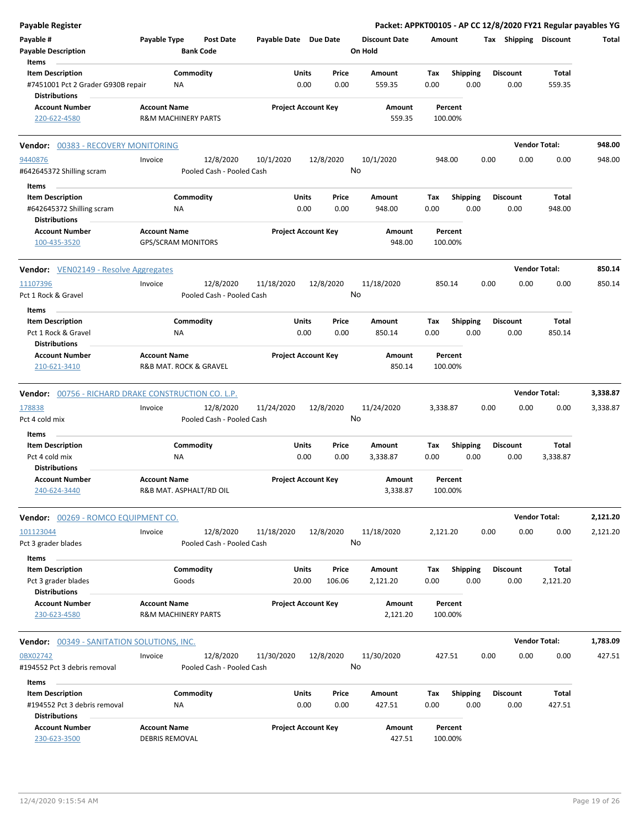| <b>Payable Register</b>                                 |                                               |                                                     |                            |                 | Packet: APPKT00105 - AP CC 12/8/2020 FY21 Regular payables YG |          |                         |      |                       |                      |          |
|---------------------------------------------------------|-----------------------------------------------|-----------------------------------------------------|----------------------------|-----------------|---------------------------------------------------------------|----------|-------------------------|------|-----------------------|----------------------|----------|
| Payable #<br><b>Payable Description</b>                 | Payable Type<br><b>Bank Code</b>              | <b>Post Date</b><br>Payable Date Due Date           |                            |                 | <b>Discount Date</b><br>On Hold                               | Amount   |                         |      | Tax Shipping Discount |                      | Total    |
| Items                                                   |                                               |                                                     |                            |                 |                                                               |          |                         |      |                       |                      |          |
| <b>Item Description</b>                                 | Commodity                                     |                                                     | Units                      | Price           | Amount                                                        | Tax      | <b>Shipping</b>         |      | <b>Discount</b>       | Total                |          |
| #7451001 Pct 2 Grader G930B repair                      | NA                                            |                                                     | 0.00                       | 0.00            | 559.35                                                        | 0.00     | 0.00                    |      | 0.00                  | 559.35               |          |
| Distributions                                           |                                               |                                                     |                            |                 |                                                               |          |                         |      |                       |                      |          |
| <b>Account Number</b>                                   | <b>Account Name</b>                           |                                                     | <b>Project Account Key</b> |                 | Amount                                                        |          | Percent                 |      |                       |                      |          |
| 220-622-4580                                            | <b>R&amp;M MACHINERY PARTS</b>                |                                                     |                            |                 | 559.35                                                        |          | 100.00%                 |      |                       |                      |          |
| Vendor: 00383 - RECOVERY MONITORING                     |                                               |                                                     |                            |                 |                                                               |          |                         |      |                       | <b>Vendor Total:</b> | 948.00   |
| 9440876<br>#642645372 Shilling scram                    | Invoice                                       | 12/8/2020<br>10/1/2020<br>Pooled Cash - Pooled Cash |                            | 12/8/2020<br>No | 10/1/2020                                                     |          | 948.00                  | 0.00 | 0.00                  | 0.00                 | 948.00   |
| Items                                                   |                                               |                                                     |                            |                 |                                                               |          |                         |      |                       |                      |          |
| <b>Item Description</b>                                 | Commodity                                     |                                                     | Units                      | Price           | Amount                                                        | Tax      | <b>Shipping</b>         |      | <b>Discount</b>       | Total                |          |
| #642645372 Shilling scram                               | ΝA                                            |                                                     | 0.00                       | 0.00            | 948.00                                                        | 0.00     | 0.00                    |      | 0.00                  | 948.00               |          |
| <b>Distributions</b>                                    |                                               |                                                     |                            |                 |                                                               |          |                         |      |                       |                      |          |
| <b>Account Number</b>                                   | <b>Account Name</b>                           |                                                     | <b>Project Account Key</b> |                 | Amount                                                        |          | Percent                 |      |                       |                      |          |
| 100-435-3520                                            | <b>GPS/SCRAM MONITORS</b>                     |                                                     |                            |                 | 948.00                                                        |          | 100.00%                 |      |                       |                      |          |
| <b>Vendor:</b> VEN02149 - Resolve Aggregates            |                                               |                                                     |                            |                 |                                                               |          |                         |      |                       | <b>Vendor Total:</b> | 850.14   |
| 11107396                                                | Invoice                                       | 12/8/2020<br>11/18/2020                             |                            | 12/8/2020       | 11/18/2020                                                    |          | 850.14                  | 0.00 | 0.00                  | 0.00                 | 850.14   |
| Pct 1 Rock & Gravel                                     |                                               | Pooled Cash - Pooled Cash                           |                            | No              |                                                               |          |                         |      |                       |                      |          |
| Items                                                   |                                               |                                                     |                            |                 |                                                               |          |                         |      |                       |                      |          |
| <b>Item Description</b>                                 | Commodity                                     |                                                     | Units                      | Price           | Amount                                                        | Tax      | <b>Shipping</b>         |      | <b>Discount</b>       | Total                |          |
| Pct 1 Rock & Gravel                                     | ΝA                                            |                                                     | 0.00                       | 0.00            | 850.14                                                        | 0.00     | 0.00                    |      | 0.00                  | 850.14               |          |
| <b>Distributions</b>                                    |                                               |                                                     |                            |                 |                                                               |          |                         |      |                       |                      |          |
| <b>Account Number</b><br>210-621-3410                   | <b>Account Name</b><br>R&B MAT. ROCK & GRAVEL |                                                     | <b>Project Account Key</b> |                 | Amount<br>850.14                                              |          | Percent<br>100.00%      |      |                       |                      |          |
| Vendor: 00756 - RICHARD DRAKE CONSTRUCTION CO. L.P.     |                                               |                                                     |                            |                 |                                                               |          |                         |      |                       | <b>Vendor Total:</b> | 3,338.87 |
| 178838                                                  | Invoice                                       | 12/8/2020<br>11/24/2020                             |                            | 12/8/2020       | 11/24/2020                                                    | 3,338.87 |                         | 0.00 | 0.00                  | 0.00                 | 3,338.87 |
| Pct 4 cold mix                                          |                                               | Pooled Cash - Pooled Cash                           |                            | No              |                                                               |          |                         |      |                       |                      |          |
| Items                                                   |                                               |                                                     |                            |                 |                                                               |          |                         |      |                       |                      |          |
| <b>Item Description</b>                                 | Commodity                                     |                                                     | Units                      | Price           | Amount                                                        | Tax      | Shipping                |      | <b>Discount</b>       | Total                |          |
| Pct 4 cold mix                                          | NA                                            |                                                     | 0.00                       | 0.00            | 3,338.87                                                      | 0.00     | 0.00                    |      | 0.00                  | 3,338.87             |          |
| Distributions                                           |                                               |                                                     |                            |                 |                                                               |          |                         |      |                       |                      |          |
| Account Number                                          | <b>Account Name</b>                           |                                                     | <b>Project Account Key</b> |                 | Amount                                                        |          | Percent                 |      |                       |                      |          |
| 240-624-3440                                            | R&B MAT. ASPHALT/RD OIL                       |                                                     |                            |                 | 3,338.87                                                      |          | 100.00%                 |      |                       |                      |          |
| Vendor: 00269 - ROMCO EQUIPMENT CO.                     |                                               |                                                     |                            |                 |                                                               |          |                         |      |                       | <b>Vendor Total:</b> | 2,121.20 |
| 101123044                                               | Invoice                                       | 12/8/2020<br>11/18/2020                             |                            | 12/8/2020       | 11/18/2020                                                    | 2,121.20 |                         | 0.00 | 0.00                  | 0.00                 | 2,121.20 |
| Pct 3 grader blades                                     |                                               | Pooled Cash - Pooled Cash                           |                            | No              |                                                               |          |                         |      |                       |                      |          |
| Items                                                   |                                               |                                                     |                            |                 |                                                               |          |                         |      |                       |                      |          |
| <b>Item Description</b>                                 | Commodity                                     |                                                     | <b>Units</b>               | Price           | Amount                                                        | Tax      | <b>Shipping</b>         |      | Discount              | Total                |          |
| Pct 3 grader blades                                     | Goods                                         |                                                     | 20.00                      | 106.06          | 2,121.20                                                      | 0.00     | 0.00                    |      | 0.00                  | 2,121.20             |          |
| <b>Distributions</b>                                    |                                               |                                                     |                            |                 |                                                               |          |                         |      |                       |                      |          |
| <b>Account Number</b>                                   | <b>Account Name</b>                           |                                                     | <b>Project Account Key</b> |                 | Amount                                                        |          | Percent                 |      |                       |                      |          |
| 230-623-4580                                            | <b>R&amp;M MACHINERY PARTS</b>                |                                                     |                            |                 | 2,121.20                                                      |          | 100.00%                 |      |                       |                      |          |
| <b>Vendor: 00349 - SANITATION SOLUTIONS, INC.</b>       |                                               |                                                     |                            |                 |                                                               |          |                         |      |                       | <b>Vendor Total:</b> | 1,783.09 |
| 0BX02742                                                | Invoice                                       | 12/8/2020<br>11/30/2020                             |                            | 12/8/2020       | 11/30/2020                                                    |          | 427.51                  | 0.00 | 0.00                  | 0.00                 | 427.51   |
| #194552 Pct 3 debris removal                            |                                               | Pooled Cash - Pooled Cash                           |                            | No              |                                                               |          |                         |      |                       |                      |          |
|                                                         |                                               |                                                     |                            |                 |                                                               |          |                         |      |                       |                      |          |
| Items                                                   | Commodity                                     |                                                     | <b>Units</b>               | Price           |                                                               | Tax      |                         |      | <b>Discount</b>       | Total                |          |
| <b>Item Description</b><br>#194552 Pct 3 debris removal | NA                                            |                                                     | 0.00                       | 0.00            | Amount<br>427.51                                              | 0.00     | <b>Shipping</b><br>0.00 |      | 0.00                  | 427.51               |          |
| Distributions                                           |                                               |                                                     |                            |                 |                                                               |          |                         |      |                       |                      |          |
| <b>Account Number</b>                                   | <b>Account Name</b>                           |                                                     | <b>Project Account Key</b> |                 | Amount                                                        |          | Percent                 |      |                       |                      |          |
| 230-623-3500                                            | <b>DEBRIS REMOVAL</b>                         |                                                     |                            |                 | 427.51                                                        |          | 100.00%                 |      |                       |                      |          |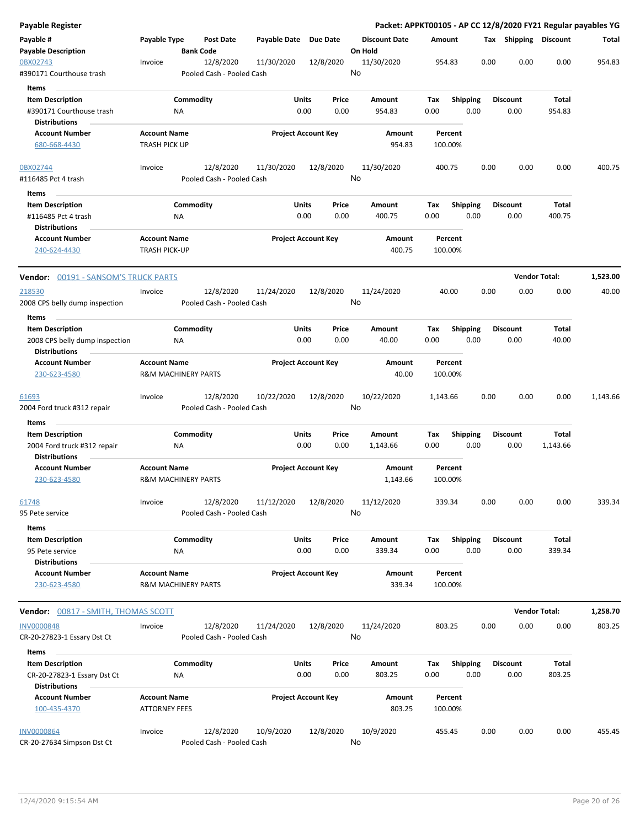| <b>Payable Register</b>                                                        |                                                       |                 |                                        |                            |               |               | Packet: APPKT00105 - AP CC 12/8/2020 FY21 Regular payables YG |             |                    |                         |      |                         |                        |          |
|--------------------------------------------------------------------------------|-------------------------------------------------------|-----------------|----------------------------------------|----------------------------|---------------|---------------|---------------------------------------------------------------|-------------|--------------------|-------------------------|------|-------------------------|------------------------|----------|
| Payable #<br><b>Payable Description</b>                                        | Payable Type                                          |                 | <b>Post Date</b><br><b>Bank Code</b>   | Payable Date Due Date      |               |               | <b>Discount Date</b><br>On Hold                               | Amount      |                    |                         |      | Tax Shipping            | <b>Discount</b>        | Total    |
| 0BX02743<br>#390171 Courthouse trash                                           | Invoice                                               |                 | 12/8/2020<br>Pooled Cash - Pooled Cash | 11/30/2020                 |               | 12/8/2020     | 11/30/2020<br>No                                              |             | 954.83             |                         | 0.00 | 0.00                    | 0.00                   | 954.83   |
| <b>Items</b>                                                                   |                                                       |                 |                                        |                            |               |               |                                                               |             |                    |                         |      |                         |                        |          |
| <b>Item Description</b><br>#390171 Courthouse trash                            |                                                       | Commodity<br>ΝA |                                        |                            | Units<br>0.00 | Price<br>0.00 | Amount<br>954.83                                              | Tax<br>0.00 |                    | <b>Shipping</b><br>0.00 |      | <b>Discount</b><br>0.00 | Total<br>954.83        |          |
| <b>Distributions</b><br><b>Account Number</b>                                  | <b>Account Name</b>                                   |                 |                                        | <b>Project Account Key</b> |               |               | Amount                                                        |             | Percent            |                         |      |                         |                        |          |
| 680-668-4430                                                                   | <b>TRASH PICK UP</b>                                  |                 |                                        |                            |               |               | 954.83                                                        |             | 100.00%            |                         |      |                         |                        |          |
| 0BX02744<br>#116485 Pct 4 trash                                                | Invoice                                               |                 | 12/8/2020<br>Pooled Cash - Pooled Cash | 11/30/2020                 |               | 12/8/2020     | 11/30/2020<br>No                                              |             | 400.75             |                         | 0.00 | 0.00                    | 0.00                   | 400.75   |
| Items                                                                          |                                                       |                 |                                        |                            |               |               |                                                               |             |                    |                         |      |                         |                        |          |
| <b>Item Description</b><br>#116485 Pct 4 trash<br><b>Distributions</b>         |                                                       | Commodity<br>NA |                                        |                            | Units<br>0.00 | Price<br>0.00 | Amount<br>400.75                                              | Tax<br>0.00 |                    | <b>Shipping</b><br>0.00 |      | <b>Discount</b><br>0.00 | Total<br>400.75        |          |
| <b>Account Number</b><br>240-624-4430                                          | <b>Account Name</b><br><b>TRASH PICK-UP</b>           |                 |                                        | <b>Project Account Key</b> |               |               | Amount<br>400.75                                              |             | Percent<br>100.00% |                         |      |                         |                        |          |
| <b>Vendor: 00191 - SANSOM'S TRUCK PARTS</b>                                    |                                                       |                 |                                        |                            |               |               |                                                               |             |                    |                         |      |                         | <b>Vendor Total:</b>   | 1,523.00 |
| 218530<br>2008 CPS belly dump inspection                                       | Invoice                                               |                 | 12/8/2020<br>Pooled Cash - Pooled Cash | 11/24/2020                 |               | 12/8/2020     | 11/24/2020<br>No                                              |             | 40.00              |                         | 0.00 | 0.00                    | 0.00                   | 40.00    |
| Items                                                                          |                                                       |                 |                                        |                            |               |               |                                                               |             |                    |                         |      |                         |                        |          |
| <b>Item Description</b>                                                        |                                                       | Commodity       |                                        |                            | Units         | Price         | Amount                                                        | Tax         |                    | <b>Shipping</b>         |      | <b>Discount</b>         | Total                  |          |
| 2008 CPS belly dump inspection<br><b>Distributions</b>                         |                                                       | ΝA              |                                        |                            | 0.00          | 0.00          | 40.00                                                         | 0.00        |                    | 0.00                    |      | 0.00                    | 40.00                  |          |
| <b>Account Number</b>                                                          | <b>Account Name</b>                                   |                 |                                        | <b>Project Account Key</b> |               |               | Amount                                                        |             | Percent            |                         |      |                         |                        |          |
| 230-623-4580                                                                   | <b>R&amp;M MACHINERY PARTS</b>                        |                 |                                        |                            |               |               | 40.00                                                         |             | 100.00%            |                         |      |                         |                        |          |
| 61693<br>2004 Ford truck #312 repair                                           | Invoice                                               |                 | 12/8/2020<br>Pooled Cash - Pooled Cash | 10/22/2020                 |               | 12/8/2020     | 10/22/2020<br>No                                              | 1,143.66    |                    |                         | 0.00 | 0.00                    | 0.00                   | 1,143.66 |
| Items                                                                          |                                                       |                 |                                        |                            |               |               |                                                               |             |                    |                         |      |                         |                        |          |
| <b>Item Description</b><br>2004 Ford truck #312 repair<br><b>Distributions</b> |                                                       | Commodity<br>ΝA |                                        |                            | Units<br>0.00 | Price<br>0.00 | Amount<br>1,143.66                                            | Tax<br>0.00 |                    | Shipping<br>0.00        |      | <b>Discount</b><br>0.00 | Total<br>1,143.66      |          |
| <b>Account Number</b><br>230-623-4580                                          | <b>Account Name</b><br><b>R&amp;M MACHINERY PARTS</b> |                 |                                        | <b>Project Account Key</b> |               |               | Amount<br>1,143.66                                            |             | Percent<br>100.00% |                         |      |                         |                        |          |
| 61748<br>95 Pete service                                                       | Invoice                                               |                 | 12/8/2020<br>Pooled Cash - Pooled Cash | 11/12/2020                 |               | 12/8/2020     | 11/12/2020<br>No                                              |             | 339.34             |                         | 0.00 | 0.00                    | 0.00                   | 339.34   |
| Items                                                                          |                                                       |                 |                                        |                            |               |               |                                                               |             |                    |                         |      |                         |                        |          |
| <b>Item Description</b><br>95 Pete service<br><b>Distributions</b>             |                                                       | Commodity<br>NA |                                        |                            | Units<br>0.00 | Price<br>0.00 | Amount<br>339.34                                              | Tax<br>0.00 |                    | Shipping<br>0.00        |      | <b>Discount</b><br>0.00 | <b>Total</b><br>339.34 |          |
| <b>Account Number</b><br>230-623-4580                                          | <b>Account Name</b><br><b>R&amp;M MACHINERY PARTS</b> |                 |                                        | <b>Project Account Key</b> |               |               | Amount<br>339.34                                              |             | Percent<br>100.00% |                         |      |                         |                        |          |
| Vendor: 00817 - SMITH, THOMAS SCOTT                                            |                                                       |                 |                                        |                            |               |               |                                                               |             |                    |                         |      | <b>Vendor Total:</b>    |                        | 1,258.70 |
| <b>INV0000848</b>                                                              | Invoice                                               |                 | 12/8/2020                              | 11/24/2020                 |               | 12/8/2020     | 11/24/2020                                                    |             | 803.25             |                         | 0.00 | 0.00                    | 0.00                   | 803.25   |
| CR-20-27823-1 Essary Dst Ct                                                    |                                                       |                 | Pooled Cash - Pooled Cash              |                            |               |               | No                                                            |             |                    |                         |      |                         |                        |          |
| Items<br><b>Item Description</b><br>CR-20-27823-1 Essary Dst Ct                |                                                       | Commodity<br>ΝA |                                        |                            | Units<br>0.00 | Price<br>0.00 | Amount<br>803.25                                              | Tax<br>0.00 |                    | <b>Shipping</b><br>0.00 |      | <b>Discount</b><br>0.00 | Total<br>803.25        |          |
| <b>Distributions</b><br><b>Account Number</b>                                  | <b>Account Name</b>                                   |                 |                                        | <b>Project Account Key</b> |               |               | Amount                                                        |             | Percent            |                         |      |                         |                        |          |
| 100-435-4370                                                                   | <b>ATTORNEY FEES</b>                                  |                 |                                        |                            |               |               | 803.25                                                        |             | 100.00%            |                         |      |                         |                        |          |
| <b>INV0000864</b><br>CR-20-27634 Simpson Dst Ct                                | Invoice                                               |                 | 12/8/2020<br>Pooled Cash - Pooled Cash | 10/9/2020                  |               | 12/8/2020     | 10/9/2020<br>No                                               |             | 455.45             |                         | 0.00 | 0.00                    | 0.00                   | 455.45   |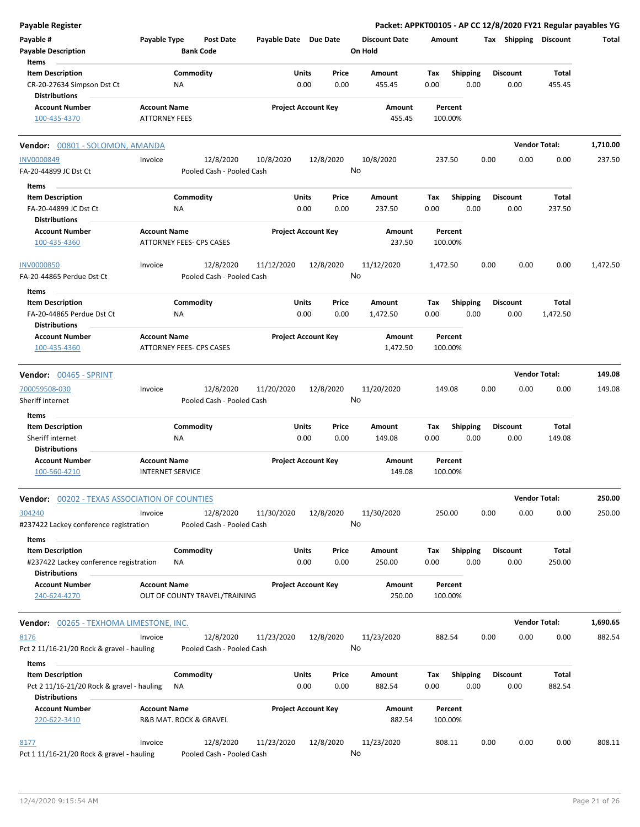| <b>Payable Register</b>                              |                                               |                                        |                       |                            | Packet: APPKT00105 - AP CC 12/8/2020 FY21 Regular payables YG |          |                    |      |                       |                      |          |
|------------------------------------------------------|-----------------------------------------------|----------------------------------------|-----------------------|----------------------------|---------------------------------------------------------------|----------|--------------------|------|-----------------------|----------------------|----------|
| Payable #<br><b>Payable Description</b>              | Payable Type                                  | <b>Post Date</b><br><b>Bank Code</b>   | Payable Date Due Date |                            | <b>Discount Date</b><br>On Hold                               |          | Amount             |      | Tax Shipping Discount |                      | Total    |
| Items                                                |                                               |                                        |                       |                            |                                                               |          |                    |      |                       |                      |          |
| <b>Item Description</b>                              | Commodity                                     |                                        | Units                 | Price                      | Amount                                                        | Tax      | <b>Shipping</b>    |      | <b>Discount</b>       | Total                |          |
| CR-20-27634 Simpson Dst Ct<br><b>Distributions</b>   | <b>NA</b>                                     |                                        | 0.00                  | 0.00                       | 455.45                                                        | 0.00     | 0.00               |      | 0.00                  | 455.45               |          |
| <b>Account Number</b>                                | <b>Account Name</b>                           |                                        |                       | <b>Project Account Key</b> | Amount                                                        |          | Percent            |      |                       |                      |          |
| 100-435-4370                                         | <b>ATTORNEY FEES</b>                          |                                        |                       |                            | 455.45                                                        |          | 100.00%            |      |                       |                      |          |
| Vendor: 00801 - SOLOMON, AMANDA                      |                                               |                                        |                       |                            |                                                               |          |                    |      |                       | <b>Vendor Total:</b> | 1,710.00 |
| <b>INV0000849</b>                                    | Invoice                                       | 12/8/2020                              | 10/8/2020             | 12/8/2020                  | 10/8/2020                                                     |          | 237.50             | 0.00 | 0.00                  | 0.00                 | 237.50   |
| FA-20-44899 JC Dst Ct                                |                                               | Pooled Cash - Pooled Cash              |                       |                            | No                                                            |          |                    |      |                       |                      |          |
| Items                                                |                                               |                                        |                       |                            |                                                               |          |                    |      |                       |                      |          |
| <b>Item Description</b>                              | Commodity                                     |                                        | Units                 | Price                      | Amount                                                        | Tax      | <b>Shipping</b>    |      | <b>Discount</b>       | Total                |          |
| FA-20-44899 JC Dst Ct                                | ΝA                                            |                                        | 0.00                  | 0.00                       | 237.50                                                        | 0.00     | 0.00               |      | 0.00                  | 237.50               |          |
| <b>Distributions</b>                                 |                                               |                                        |                       |                            |                                                               |          |                    |      |                       |                      |          |
| <b>Account Number</b>                                | <b>Account Name</b>                           |                                        |                       | <b>Project Account Key</b> | Amount                                                        |          | Percent            |      |                       |                      |          |
| 100-435-4360                                         | ATTORNEY FEES- CPS CASES                      |                                        |                       |                            | 237.50                                                        |          | 100.00%            |      |                       |                      |          |
| <b>INV0000850</b>                                    | Invoice                                       | 12/8/2020                              | 11/12/2020            | 12/8/2020                  | 11/12/2020                                                    | 1,472.50 |                    | 0.00 | 0.00                  | 0.00                 | 1,472.50 |
| FA-20-44865 Perdue Dst Ct                            |                                               | Pooled Cash - Pooled Cash              |                       |                            | No                                                            |          |                    |      |                       |                      |          |
| Items                                                |                                               |                                        |                       |                            |                                                               |          |                    |      |                       |                      |          |
| <b>Item Description</b>                              | Commodity                                     |                                        | Units                 | Price                      | Amount                                                        | Tax      | <b>Shipping</b>    |      | <b>Discount</b>       | Total                |          |
| FA-20-44865 Perdue Dst Ct<br><b>Distributions</b>    | ΝA                                            |                                        | 0.00                  | 0.00                       | 1,472.50                                                      | 0.00     | 0.00               |      | 0.00                  | 1,472.50             |          |
| <b>Account Number</b>                                | <b>Account Name</b>                           |                                        |                       | <b>Project Account Key</b> | Amount                                                        |          | Percent            |      |                       |                      |          |
| 100-435-4360                                         | ATTORNEY FEES- CPS CASES                      |                                        |                       |                            | 1,472.50                                                      |          | 100.00%            |      |                       |                      |          |
| Vendor: 00465 - SPRINT                               |                                               |                                        |                       |                            |                                                               |          |                    |      |                       | <b>Vendor Total:</b> | 149.08   |
| 700059508-030                                        | Invoice                                       | 12/8/2020                              | 11/20/2020            | 12/8/2020                  | 11/20/2020                                                    |          | 149.08             | 0.00 | 0.00                  | 0.00                 | 149.08   |
| Sheriff internet                                     |                                               | Pooled Cash - Pooled Cash              |                       |                            | No                                                            |          |                    |      |                       |                      |          |
| Items                                                |                                               |                                        |                       |                            |                                                               |          |                    |      |                       |                      |          |
| <b>Item Description</b>                              | Commodity                                     |                                        | Units                 | Price                      | <b>Amount</b>                                                 | Tax      | Shipping           |      | <b>Discount</b>       | Total                |          |
| Sheriff internet                                     | NA                                            |                                        | 0.00                  | 0.00                       | 149.08                                                        | 0.00     | 0.00               |      | 0.00                  | 149.08               |          |
| <b>Distributions</b>                                 |                                               |                                        |                       |                            |                                                               |          |                    |      |                       |                      |          |
| <b>Account Number</b>                                | <b>Account Name</b>                           |                                        |                       | <b>Project Account Key</b> | Amount                                                        |          | Percent            |      |                       |                      |          |
| 100-560-4210                                         | <b>INTERNET SERVICE</b>                       |                                        |                       |                            | 149.08                                                        |          | 100.00%            |      |                       |                      |          |
| <b>Vendor: 00202 - TEXAS ASSOCIATION OF COUNTIES</b> |                                               |                                        |                       |                            |                                                               |          |                    |      |                       | <b>Vendor Total:</b> | 250.00   |
| 304240                                               | Invoice                                       | 12/8/2020                              | 11/30/2020            | 12/8/2020                  | 11/30/2020                                                    |          | 250.00             | 0.00 | 0.00                  | 0.00                 | 250.00   |
| #237422 Lackey conference registration               |                                               | Pooled Cash - Pooled Cash              |                       |                            | No                                                            |          |                    |      |                       |                      |          |
| Items                                                |                                               |                                        |                       |                            |                                                               |          |                    |      |                       |                      |          |
| <b>Item Description</b>                              | Commodity                                     |                                        | Units                 | Price                      | Amount                                                        | Tax      | <b>Shipping</b>    |      | <b>Discount</b>       | Total                |          |
| #237422 Lackey conference registration               | ΝA                                            |                                        | 0.00                  | 0.00                       | 250.00                                                        | 0.00     | 0.00               |      | 0.00                  | 250.00               |          |
| <b>Distributions</b>                                 |                                               |                                        |                       |                            |                                                               |          |                    |      |                       |                      |          |
| <b>Account Number</b>                                | <b>Account Name</b>                           |                                        |                       | <b>Project Account Key</b> | Amount                                                        |          | Percent            |      |                       |                      |          |
| 240-624-4270                                         | OUT OF COUNTY TRAVEL/TRAINING                 |                                        |                       |                            | 250.00                                                        |          | 100.00%            |      |                       |                      |          |
| <b>Vendor:</b> 00265 - TEXHOMA LIMESTONE, INC.       |                                               |                                        |                       |                            |                                                               |          |                    |      |                       | <b>Vendor Total:</b> | 1,690.65 |
| 8176                                                 | Invoice                                       | 12/8/2020                              | 11/23/2020            | 12/8/2020                  | 11/23/2020                                                    |          | 882.54             | 0.00 | 0.00                  | 0.00                 | 882.54   |
| Pct 2 11/16-21/20 Rock & gravel - hauling            |                                               | Pooled Cash - Pooled Cash              |                       |                            | No                                                            |          |                    |      |                       |                      |          |
| Items                                                |                                               |                                        |                       |                            |                                                               |          |                    |      |                       |                      |          |
| <b>Item Description</b>                              | Commodity                                     |                                        | Units                 | Price                      | Amount                                                        | Tax      | <b>Shipping</b>    |      | <b>Discount</b>       | Total                |          |
| Pct 2 11/16-21/20 Rock & gravel - hauling            | ΝA                                            |                                        | 0.00                  | 0.00                       | 882.54                                                        | 0.00     | 0.00               |      | 0.00                  | 882.54               |          |
| <b>Distributions</b>                                 |                                               |                                        |                       |                            |                                                               |          |                    |      |                       |                      |          |
| <b>Account Number</b><br>220-622-3410                | <b>Account Name</b><br>R&B MAT. ROCK & GRAVEL |                                        |                       | <b>Project Account Key</b> | Amount<br>882.54                                              |          | Percent<br>100.00% |      |                       |                      |          |
|                                                      |                                               |                                        |                       |                            |                                                               |          |                    |      |                       |                      |          |
| 8177<br>Pct 1 11/16-21/20 Rock & gravel - hauling    | Invoice                                       | 12/8/2020<br>Pooled Cash - Pooled Cash | 11/23/2020            | 12/8/2020                  | 11/23/2020<br>No                                              |          | 808.11             | 0.00 | 0.00                  | 0.00                 | 808.11   |
|                                                      |                                               |                                        |                       |                            |                                                               |          |                    |      |                       |                      |          |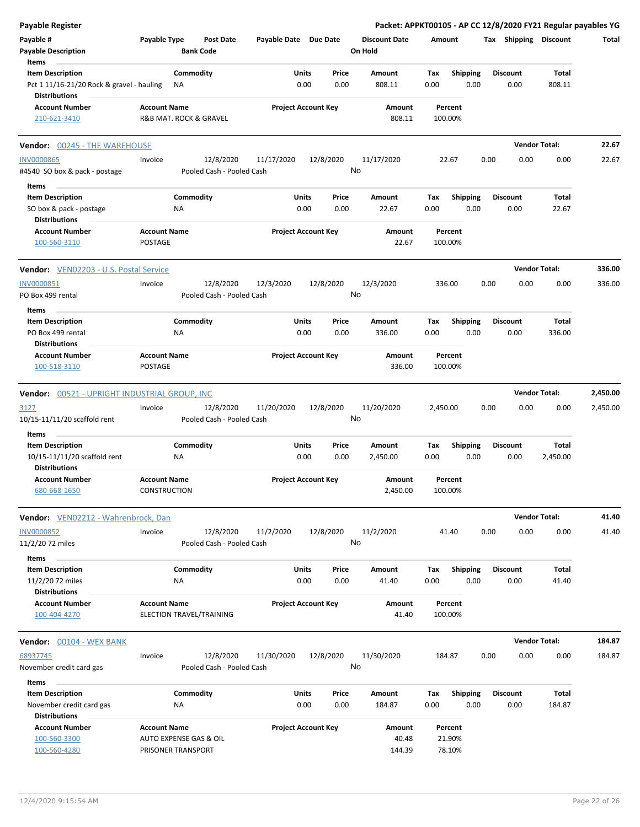| <b>Payable Register</b>                                                                      |                                                                     |                        |                                        |                            |               |               | Packet: APPKT00105 - AP CC 12/8/2020 FY21 Regular payables YG |             |                             |      |                         |                      |          |
|----------------------------------------------------------------------------------------------|---------------------------------------------------------------------|------------------------|----------------------------------------|----------------------------|---------------|---------------|---------------------------------------------------------------|-------------|-----------------------------|------|-------------------------|----------------------|----------|
| Payable #<br><b>Payable Description</b><br>Items                                             | Payable Type                                                        | <b>Bank Code</b>       | <b>Post Date</b>                       | Payable Date Due Date      |               |               | <b>Discount Date</b><br>On Hold                               | Amount      |                             |      | Tax Shipping Discount   |                      | Total    |
| <b>Item Description</b><br>Pct 1 11/16-21/20 Rock & gravel - hauling<br><b>Distributions</b> |                                                                     | Commodity<br>ΝA        |                                        |                            | Units<br>0.00 | Price<br>0.00 | Amount<br>808.11                                              | Tax<br>0.00 | <b>Shipping</b><br>0.00     |      | <b>Discount</b><br>0.00 | Total<br>808.11      |          |
| <b>Account Number</b><br>210-621-3410                                                        | <b>Account Name</b><br>R&B MAT. ROCK & GRAVEL                       |                        |                                        | <b>Project Account Key</b> |               |               | Amount<br>808.11                                              |             | Percent<br>100.00%          |      |                         |                      |          |
| <b>Vendor: 00245 - THE WAREHOUSE</b>                                                         |                                                                     |                        |                                        |                            |               |               |                                                               |             |                             |      |                         | <b>Vendor Total:</b> | 22.67    |
| <b>INV0000865</b><br>#4540 SO box & pack - postage                                           | Invoice                                                             |                        | 12/8/2020<br>Pooled Cash - Pooled Cash | 11/17/2020                 | 12/8/2020     |               | 11/17/2020<br>No                                              |             | 22.67                       | 0.00 | 0.00                    | 0.00                 | 22.67    |
| Items<br><b>Item Description</b><br>SO box & pack - postage                                  |                                                                     | Commodity<br>NA        |                                        |                            | Units<br>0.00 | Price<br>0.00 | Amount<br>22.67                                               | Tax<br>0.00 | <b>Shipping</b><br>0.00     |      | <b>Discount</b><br>0.00 | Total<br>22.67       |          |
| <b>Distributions</b><br><b>Account Number</b><br>100-560-3110                                | <b>Account Name</b><br>POSTAGE                                      |                        |                                        | <b>Project Account Key</b> |               |               | Amount<br>22.67                                               |             | Percent<br>100.00%          |      |                         |                      |          |
| Vendor: VEN02203 - U.S. Postal Service                                                       |                                                                     |                        |                                        |                            |               |               |                                                               |             |                             |      | <b>Vendor Total:</b>    |                      | 336.00   |
| INV0000851<br>PO Box 499 rental                                                              | Invoice                                                             |                        | 12/8/2020<br>Pooled Cash - Pooled Cash | 12/3/2020                  | 12/8/2020     |               | 12/3/2020<br>No                                               |             | 336.00                      | 0.00 | 0.00                    | 0.00                 | 336.00   |
| Items<br><b>Item Description</b><br>PO Box 499 rental<br><b>Distributions</b>                |                                                                     | Commodity<br>ΝA        |                                        |                            | Units<br>0.00 | Price<br>0.00 | Amount<br>336.00                                              | Tax<br>0.00 | <b>Shipping</b><br>0.00     |      | <b>Discount</b><br>0.00 | Total<br>336.00      |          |
| <b>Account Number</b><br>100-518-3110                                                        | <b>Account Name</b><br>POSTAGE                                      |                        |                                        | <b>Project Account Key</b> |               |               | Amount<br>336.00                                              |             | Percent<br>100.00%          |      |                         |                      |          |
| Vendor: 00521 - UPRIGHT INDUSTRIAL GROUP, INC                                                |                                                                     |                        |                                        |                            |               |               |                                                               |             |                             |      |                         | <b>Vendor Total:</b> | 2,450.00 |
| 3127<br>10/15-11/11/20 scaffold rent                                                         | Invoice                                                             |                        | 12/8/2020<br>Pooled Cash - Pooled Cash | 11/20/2020                 | 12/8/2020     |               | 11/20/2020<br>No                                              | 2,450.00    |                             | 0.00 | 0.00                    | 0.00                 | 2,450.00 |
| Items<br><b>Item Description</b><br>10/15-11/11/20 scaffold rent                             |                                                                     | Commodity<br>NA        |                                        |                            | Units<br>0.00 | Price<br>0.00 | Amount<br>2,450.00                                            | Tax<br>0.00 | Shipping<br>0.00            |      | <b>Discount</b><br>0.00 | Total<br>2,450.00    |          |
| <b>Distributions</b><br><b>Account Number</b><br>680-668-1650                                | <b>Account Name</b><br>CONSTRUCTION                                 |                        |                                        | <b>Project Account Key</b> |               |               | Amount<br>2,450.00                                            |             | Percent<br>100.00%          |      |                         |                      |          |
| Vendor: VEN02212 - Wahrenbrock, Dan                                                          |                                                                     |                        |                                        |                            |               |               |                                                               |             |                             |      |                         | <b>Vendor Total:</b> | 41.40    |
| <b>INV0000852</b><br>11/2/20 72 miles<br>Items                                               | Invoice                                                             |                        | 12/8/2020<br>Pooled Cash - Pooled Cash | 11/2/2020                  | 12/8/2020     |               | 11/2/2020<br>No                                               |             | 41.40                       | 0.00 | 0.00                    | 0.00                 | 41.40    |
| <b>Item Description</b><br>11/2/20 72 miles<br><b>Distributions</b>                          |                                                                     | Commodity<br><b>NA</b> |                                        |                            | Units<br>0.00 | Price<br>0.00 | Amount<br>41.40                                               | Tax<br>0.00 | <b>Shipping</b><br>0.00     |      | <b>Discount</b><br>0.00 | Total<br>41.40       |          |
| <b>Account Number</b><br>100-404-4270                                                        | <b>Account Name</b><br>ELECTION TRAVEL/TRAINING                     |                        |                                        | <b>Project Account Key</b> |               |               | Amount<br>41.40                                               |             | Percent<br>100.00%          |      |                         |                      |          |
| Vendor: 00104 - WEX BANK                                                                     |                                                                     |                        |                                        |                            |               |               |                                                               |             |                             |      |                         | <b>Vendor Total:</b> | 184.87   |
| 68937745<br>November credit card gas                                                         | Invoice                                                             |                        | 12/8/2020<br>Pooled Cash - Pooled Cash | 11/30/2020                 | 12/8/2020     |               | 11/30/2020<br>No                                              |             | 184.87                      | 0.00 | 0.00                    | 0.00                 | 184.87   |
| Items<br><b>Item Description</b><br>November credit card gas<br><b>Distributions</b>         |                                                                     | Commodity<br>NA        |                                        |                            | Units<br>0.00 | Price<br>0.00 | Amount<br>184.87                                              | Tax<br>0.00 | <b>Shipping</b><br>0.00     |      | <b>Discount</b><br>0.00 | Total<br>184.87      |          |
| <b>Account Number</b><br>100-560-3300<br>100-560-4280                                        | <b>Account Name</b><br>AUTO EXPENSE GAS & OIL<br>PRISONER TRANSPORT |                        |                                        | <b>Project Account Key</b> |               |               | Amount<br>40.48<br>144.39                                     |             | Percent<br>21.90%<br>78.10% |      |                         |                      |          |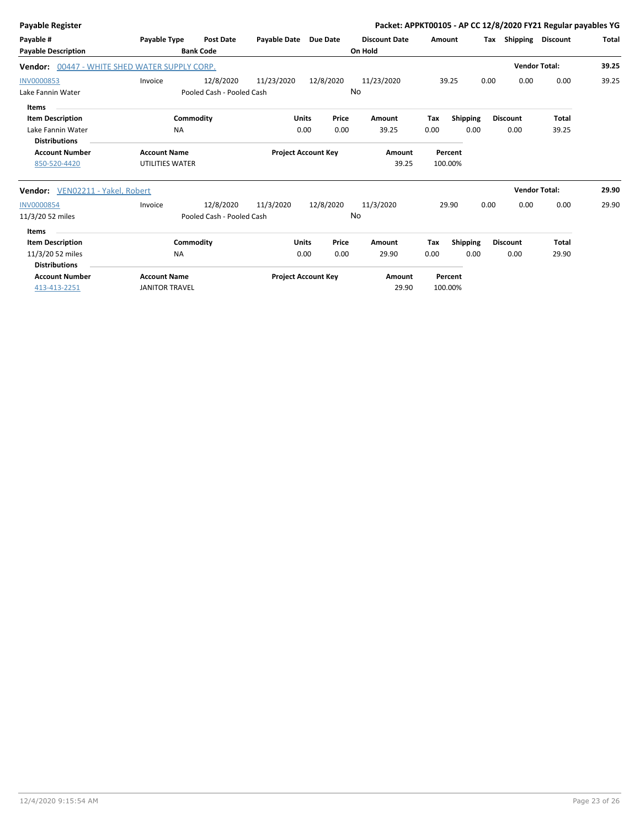| <b>Payable Register</b>          |                                       |                           |                            |              |                            |                      |      |                 |      |                 | Packet: APPKT00105 - AP CC 12/8/2020 FY21 Regular payables YG |       |
|----------------------------------|---------------------------------------|---------------------------|----------------------------|--------------|----------------------------|----------------------|------|-----------------|------|-----------------|---------------------------------------------------------------|-------|
| Payable #                        | Payable Type                          | <b>Post Date</b>          | Payable Date Due Date      |              |                            | <b>Discount Date</b> |      | Amount          | Tax  | Shipping        | <b>Discount</b>                                               | Total |
| <b>Payable Description</b>       |                                       | <b>Bank Code</b>          |                            |              |                            | On Hold              |      |                 |      |                 |                                                               |       |
| Vendor:                          | 00447 - WHITE SHED WATER SUPPLY CORP. |                           |                            |              |                            |                      |      |                 |      |                 | <b>Vendor Total:</b>                                          | 39.25 |
| <b>INV0000853</b>                | Invoice                               | 12/8/2020                 | 11/23/2020                 |              | 12/8/2020                  | 11/23/2020           |      | 39.25           | 0.00 | 0.00            | 0.00                                                          | 39.25 |
| Lake Fannin Water                |                                       | Pooled Cash - Pooled Cash |                            |              |                            | No                   |      |                 |      |                 |                                                               |       |
| Items                            |                                       |                           |                            |              |                            |                      |      |                 |      |                 |                                                               |       |
| <b>Item Description</b>          |                                       | Commodity                 |                            | <b>Units</b> | Price                      | Amount               | Tax  | <b>Shipping</b> |      | <b>Discount</b> | <b>Total</b>                                                  |       |
| Lake Fannin Water                | <b>NA</b>                             |                           |                            | 0.00         | 0.00                       | 39.25                | 0.00 | 0.00            |      | 0.00            | 39.25                                                         |       |
| <b>Distributions</b>             |                                       |                           |                            |              |                            |                      |      |                 |      |                 |                                                               |       |
| <b>Account Number</b>            | <b>Account Name</b>                   |                           | <b>Project Account Key</b> |              |                            | Amount               |      | Percent         |      |                 |                                                               |       |
| 850-520-4420                     | UTILITIES WATER                       |                           |                            |              |                            | 39.25                |      | 100.00%         |      |                 |                                                               |       |
| Vendor: VEN02211 - Yakel, Robert |                                       |                           |                            |              |                            |                      |      |                 |      |                 | <b>Vendor Total:</b>                                          | 29.90 |
| <b>INV0000854</b>                | Invoice                               | 12/8/2020                 | 11/3/2020                  |              | 12/8/2020                  | 11/3/2020            |      | 29.90           | 0.00 | 0.00            | 0.00                                                          | 29.90 |
| 11/3/20 52 miles                 |                                       | Pooled Cash - Pooled Cash |                            |              |                            | No                   |      |                 |      |                 |                                                               |       |
| <b>Items</b>                     |                                       |                           |                            |              |                            |                      |      |                 |      |                 |                                                               |       |
| <b>Item Description</b>          |                                       | Commodity                 |                            | <b>Units</b> | Price                      | Amount               | Tax  | <b>Shipping</b> |      | <b>Discount</b> | <b>Total</b>                                                  |       |
| 11/3/20 52 miles                 | <b>NA</b>                             |                           |                            | 0.00         | 0.00                       | 29.90                | 0.00 | 0.00            |      | 0.00            | 29.90                                                         |       |
| <b>Distributions</b>             |                                       |                           |                            |              |                            |                      |      |                 |      |                 |                                                               |       |
| <b>Account Number</b>            | <b>Account Name</b>                   |                           |                            |              | <b>Project Account Key</b> | Amount               |      | Percent         |      |                 |                                                               |       |
| 413-413-2251                     | <b>JANITOR TRAVEL</b>                 |                           |                            |              |                            | 29.90                |      | 100.00%         |      |                 |                                                               |       |
|                                  |                                       |                           |                            |              |                            |                      |      |                 |      |                 |                                                               |       |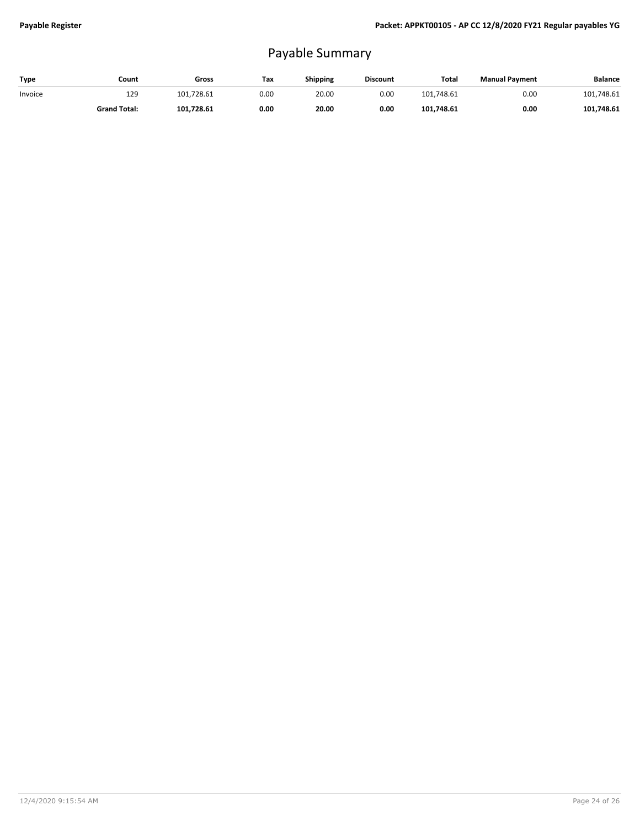## Payable Summary

| Type    | Count               | Gross      | Tax  | Shipping | <b>Discount</b> | Total      | <b>Manual Payment</b> | <b>Balance</b> |
|---------|---------------------|------------|------|----------|-----------------|------------|-----------------------|----------------|
| Invoice | 129                 | 101.728.61 | 0.00 | 20.00    | 0.00            | 101.748.61 | 0.00                  | 101,748.61     |
|         | <b>Grand Total:</b> | 101.728.61 | 0.00 | 20.00    | 0.00            | 101.748.61 | 0.00                  | 101.748.61     |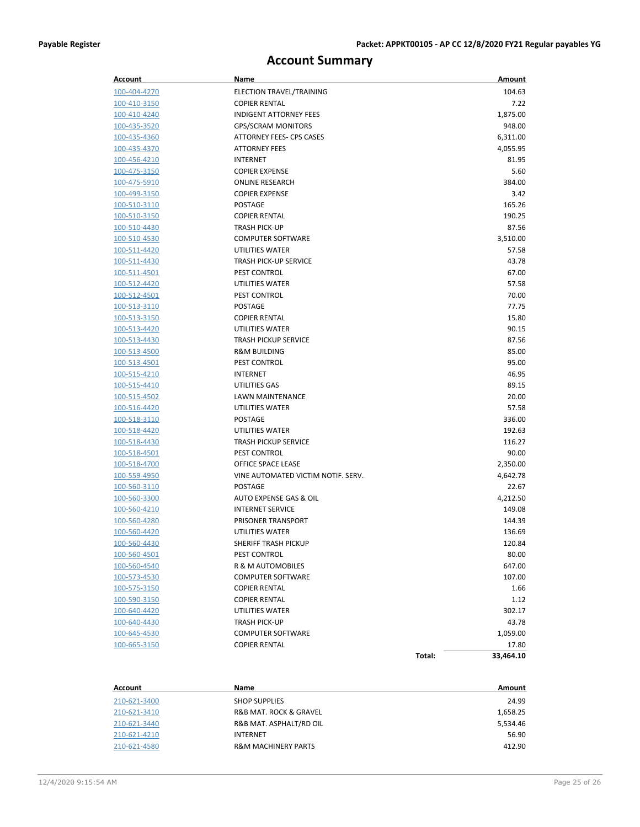## **Account Summary**

| Account             | Name                               | Amount              |  |
|---------------------|------------------------------------|---------------------|--|
| 100-404-4270        | ELECTION TRAVEL/TRAINING           | 104.63              |  |
| 100-410-3150        | <b>COPIER RENTAL</b>               | 7.22                |  |
| 100-410-4240        | <b>INDIGENT ATTORNEY FEES</b>      | 1,875.00            |  |
| 100-435-3520        | <b>GPS/SCRAM MONITORS</b>          | 948.00              |  |
| 100-435-4360        | ATTORNEY FEES- CPS CASES           | 6,311.00            |  |
| 100-435-4370        | <b>ATTORNEY FEES</b>               | 4,055.95            |  |
| 100-456-4210        | <b>INTERNET</b>                    | 81.95               |  |
| 100-475-3150        | <b>COPIER EXPENSE</b>              | 5.60                |  |
| 100-475-5910        | <b>ONLINE RESEARCH</b>             | 384.00              |  |
| 100-499-3150        | <b>COPIER EXPENSE</b>              | 3.42                |  |
| 100-510-3110        | POSTAGE                            | 165.26              |  |
| 100-510-3150        | <b>COPIER RENTAL</b>               | 190.25              |  |
| 100-510-4430        | <b>TRASH PICK-UP</b>               | 87.56               |  |
| 100-510-4530        | <b>COMPUTER SOFTWARE</b>           | 3,510.00            |  |
| 100-511-4420        | UTILITIES WATER                    | 57.58               |  |
| 100-511-4430        | <b>TRASH PICK-UP SERVICE</b>       | 43.78               |  |
| 100-511-4501        | PEST CONTROL                       | 67.00               |  |
| 100-512-4420        | UTILITIES WATER                    | 57.58               |  |
| 100-512-4501        | PEST CONTROL                       | 70.00               |  |
| 100-513-3110        | POSTAGE                            | 77.75               |  |
| 100-513-3150        | <b>COPIER RENTAL</b>               | 15.80               |  |
| 100-513-4420        | UTILITIES WATER                    | 90.15               |  |
| 100-513-4430        | <b>TRASH PICKUP SERVICE</b>        | 87.56               |  |
| 100-513-4500        | <b>R&amp;M BUILDING</b>            | 85.00               |  |
| 100-513-4501        | <b>PEST CONTROL</b>                | 95.00               |  |
| 100-515-4210        | <b>INTERNET</b>                    | 46.95               |  |
| 100-515-4410        | UTILITIES GAS                      | 89.15               |  |
| 100-515-4502        | LAWN MAINTENANCE                   | 20.00               |  |
| 100-516-4420        | UTILITIES WATER                    | 57.58               |  |
| 100-518-3110        | POSTAGE                            | 336.00              |  |
| 100-518-4420        | UTILITIES WATER                    | 192.63              |  |
| 100-518-4430        | <b>TRASH PICKUP SERVICE</b>        | 116.27              |  |
| 100-518-4501        | PEST CONTROL                       | 90.00               |  |
| 100-518-4700        | OFFICE SPACE LEASE                 | 2,350.00            |  |
| 100-559-4950        | VINE AUTOMATED VICTIM NOTIF. SERV. | 4,642.78            |  |
| <u>100-560-3110</u> | POSTAGE                            | 22.67               |  |
| <u>100-560-3300</u> | AUTO EXPENSE GAS & OIL             | 4,212.50            |  |
| 100-560-4210        | <b>INTERNET SERVICE</b>            | 149.08              |  |
| 100-560-4280        | PRISONER TRANSPORT                 | 144.39              |  |
| 100-560-4420        | UTILITIES WATER                    | 136.69              |  |
| 100-560-4430        | SHERIFF TRASH PICKUP               | 120.84              |  |
| <u>100-560-4501</u> | PEST CONTROL                       | 80.00               |  |
| 100-560-4540        | R & M AUTOMOBILES                  | 647.00              |  |
| 100-573-4530        | <b>COMPUTER SOFTWARE</b>           | 107.00              |  |
| 100-575-3150        | <b>COPIER RENTAL</b>               | 1.66                |  |
| 100-590-3150        | <b>COPIER RENTAL</b>               | 1.12                |  |
| 100-640-4420        | UTILITIES WATER                    | 302.17              |  |
| 100-640-4430        | TRASH PICK-UP                      | 43.78               |  |
| 100-645-4530        | <b>COMPUTER SOFTWARE</b>           | 1,059.00            |  |
| 100-665-3150        | <b>COPIER RENTAL</b>               | 17.80               |  |
|                     |                                    | Total:<br>33,464.10 |  |

| Account      | Name                                  | Amount   |
|--------------|---------------------------------------|----------|
| 210-621-3400 | <b>SHOP SUPPLIES</b>                  | 24.99    |
| 210-621-3410 | <b>R&amp;B MAT. ROCK &amp; GRAVEL</b> | 1,658.25 |
| 210-621-3440 | R&B MAT. ASPHALT/RD OIL               | 5,534.46 |
| 210-621-4210 | <b>INTERNET</b>                       | 56.90    |
| 210-621-4580 | <b>R&amp;M MACHINERY PARTS</b>        | 412.90   |